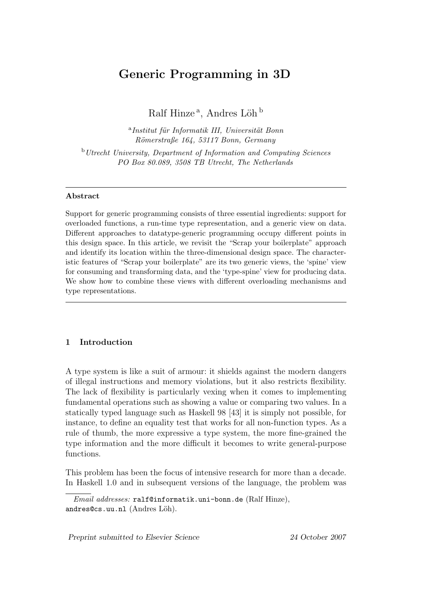# Generic Programming in 3D

Ralf Hinze<sup>a</sup>, Andres Löh<sup>b</sup>

<sup>a</sup>Institut für Informatik III, Universität Bonn Römerstraße 164, 53117 Bonn, Germany <sup>b</sup>Utrecht University, Department of Information and Computing Sciences PO Box 80.089, 3508 TB Utrecht, The Netherlands

## Abstract

Support for generic programming consists of three essential ingredients: support for overloaded functions, a run-time type representation, and a generic view on data. Different approaches to datatype-generic programming occupy different points in this design space. In this article, we revisit the "Scrap your boilerplate" approach and identify its location within the three-dimensional design space. The characteristic features of "Scrap your boilerplate" are its two generic views, the 'spine' view for consuming and transforming data, and the 'type-spine' view for producing data. We show how to combine these views with different overloading mechanisms and type representations.

# 1 Introduction

A type system is like a suit of armour: it shields against the modern dangers of illegal instructions and memory violations, but it also restricts flexibility. The lack of flexibility is particularly vexing when it comes to implementing fundamental operations such as showing a value or comparing two values. In a statically typed language such as Haskell 98 [43] it is simply not possible, for instance, to define an equality test that works for all non-function types. As a rule of thumb, the more expressive a type system, the more fine-grained the type information and the more difficult it becomes to write general-purpose functions.

This problem has been the focus of intensive research for more than a decade. In Haskell 1.0 and in subsequent versions of the language, the problem was

Preprint submitted to Elsevier Science 24 October 2007

Email addresses: ralf@informatik.uni-bonn.de (Ralf Hinze), andres@cs.uu.nl (Andres Löh).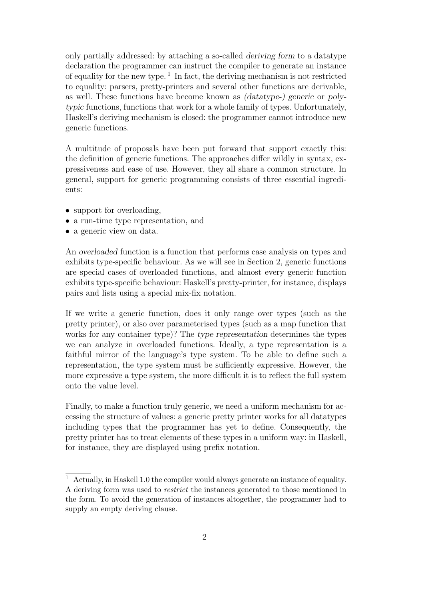only partially addressed: by attaching a so-called deriving form to a datatype declaration the programmer can instruct the compiler to generate an instance of equality for the new type.<sup>1</sup> In fact, the deriving mechanism is not restricted to equality: parsers, pretty-printers and several other functions are derivable, as well. These functions have become known as (datatype-) generic or polytypic functions, functions that work for a whole family of types. Unfortunately, Haskell's deriving mechanism is closed: the programmer cannot introduce new generic functions.

A multitude of proposals have been put forward that support exactly this: the definition of generic functions. The approaches differ wildly in syntax, expressiveness and ease of use. However, they all share a common structure. In general, support for generic programming consists of three essential ingredients:

- support for overloading,
- a run-time type representation, and
- a generic view on data.

An overloaded function is a function that performs case analysis on types and exhibits type-specific behaviour. As we will see in Section 2, generic functions are special cases of overloaded functions, and almost every generic function exhibits type-specific behaviour: Haskell's pretty-printer, for instance, displays pairs and lists using a special mix-fix notation.

If we write a generic function, does it only range over types (such as the pretty printer), or also over parameterised types (such as a map function that works for any container type)? The type representation determines the types we can analyze in overloaded functions. Ideally, a type representation is a faithful mirror of the language's type system. To be able to define such a representation, the type system must be sufficiently expressive. However, the more expressive a type system, the more difficult it is to reflect the full system onto the value level.

Finally, to make a function truly generic, we need a uniform mechanism for accessing the structure of values: a generic pretty printer works for all datatypes including types that the programmer has yet to define. Consequently, the pretty printer has to treat elements of these types in a uniform way: in Haskell, for instance, they are displayed using prefix notation.

 $1$  Actually, in Haskell 1.0 the compiler would always generate an instance of equality. A deriving form was used to restrict the instances generated to those mentioned in the form. To avoid the generation of instances altogether, the programmer had to supply an empty deriving clause.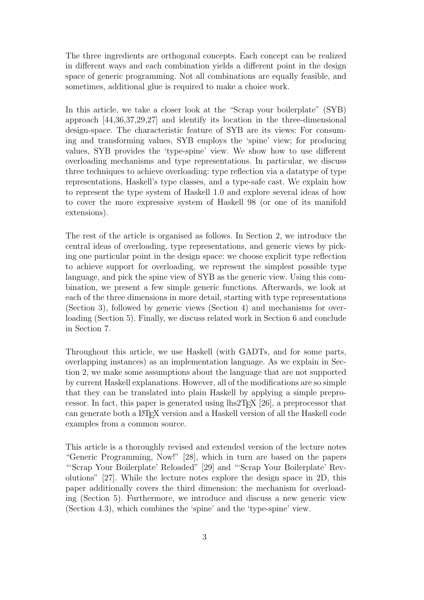The three ingredients are orthogonal concepts. Each concept can be realized in different ways and each combination yields a different point in the design space of generic programming. Not all combinations are equally feasible, and sometimes, additional glue is required to make a choice work.

In this article, we take a closer look at the "Scrap your boilerplate" (SYB) approach [44,36,37,29,27] and identify its location in the three-dimensional design-space. The characteristic feature of SYB are its views: For consuming and transforming values, SYB employs the 'spine' view; for producing values, SYB provides the 'type-spine' view. We show how to use different overloading mechanisms and type representations. In particular, we discuss three techniques to achieve overloading: type reflection via a datatype of type representations, Haskell's type classes, and a type-safe cast. We explain how to represent the type system of Haskell 1.0 and explore several ideas of how to cover the more expressive system of Haskell 98 (or one of its manifold extensions).

The rest of the article is organised as follows. In Section 2, we introduce the central ideas of overloading, type representations, and generic views by picking one particular point in the design space: we choose explicit type reflection to achieve support for overloading, we represent the simplest possible type language, and pick the spine view of SYB as the generic view. Using this combination, we present a few simple generic functions. Afterwards, we look at each of the three dimensions in more detail, starting with type representations (Section 3), followed by generic views (Section 4) and mechanisms for overloading (Section 5). Finally, we discuss related work in Section 6 and conclude in Section 7.

Throughout this article, we use Haskell (with GADTs, and for some parts, overlapping instances) as an implementation language. As we explain in Section 2, we make some assumptions about the language that are not supported by current Haskell explanations. However, all of the modifications are so simple that they can be translated into plain Haskell by applying a simple preprocessor. In fact, this paper is generated using lhs2TEX [26], a preprocessor that can generate both a LATEX version and a Haskell version of all the Haskell code examples from a common source.

This article is a thoroughly revised and extended version of the lecture notes "Generic Programming, Now!" [28], which in turn are based on the papers "'Scrap Your Boilerplate' Reloaded" [29] and "'Scrap Your Boilerplate' Revolutions" [27]. While the lecture notes explore the design space in 2D, this paper additionally covers the third dimension: the mechanism for overloading (Section 5). Furthermore, we introduce and discuss a new generic view (Section 4.3), which combines the 'spine' and the 'type-spine' view.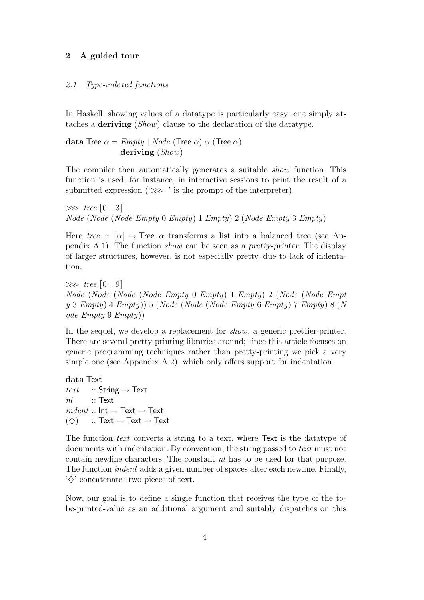# 2 A guided tour

#### 2.1 Type-indexed functions

In Haskell, showing values of a datatype is particularly easy: one simply attaches a deriving (Show) clause to the declaration of the datatype.

```
data Tree \alpha = Empty \mid Node (Tree \alpha) \alpha (Tree \alpha)
                   deriving (Show)
```
The compiler then automatically generates a suitable show function. This function is used, for instance, in interactive sessions to print the result of a submitted expression  $(\ggg)$  is the prompt of the interpreter).

 $\gggt$  tree  $[0..3]$ Node (Node (Node Empty 0 Empty) 1 Empty) 2 (Node Empty 3 Empty)

Here tree ::  $[\alpha] \rightarrow$  Tree  $\alpha$  transforms a list into a balanced tree (see Appendix A.1). The function show can be seen as a pretty-printer. The display of larger structures, however, is not especially pretty, due to lack of indentation.

 $\gggt$  tree  $[0..9]$ Node (Node (Node (Node Empty 0 Empty) 1 Empty) 2 (Node (Node Empt y 3 Empty) 4 Empty)) 5 (Node (Node (Node Empty 6 Empty) 7 Empty) 8 (N ode Empty 9 Empty))

In the sequel, we develop a replacement for *show*, a generic prettier-printer. There are several pretty-printing libraries around; since this article focuses on generic programming techniques rather than pretty-printing we pick a very simple one (see Appendix A.2), which only offers support for indentation.

data Text  $text$  :: String  $\rightarrow$  Text  $nl$  :: Text  $indent$ :: Int  $\rightarrow$  Text  $\rightarrow$  Text  $(\diamondsuit)$  :: Text  $\rightarrow$  Text  $\rightarrow$  Text

The function text converts a string to a text, where Text is the datatype of documents with indentation. By convention, the string passed to text must not contain newline characters. The constant nl has to be used for that purpose. The function indent adds a given number of spaces after each newline. Finally,  $\langle \diamond \rangle$  concatenates two pieces of text.

Now, our goal is to define a single function that receives the type of the tobe-printed-value as an additional argument and suitably dispatches on this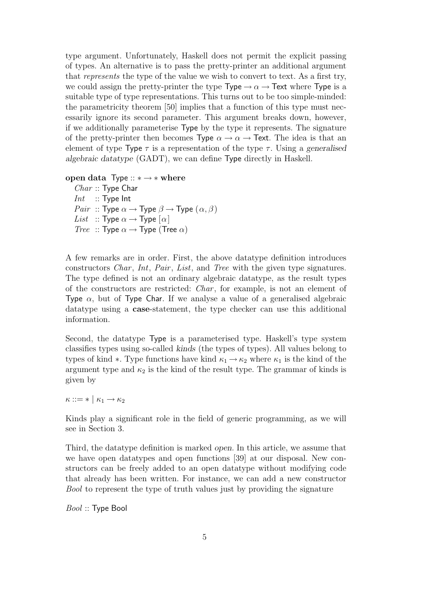type argument. Unfortunately, Haskell does not permit the explicit passing of types. An alternative is to pass the pretty-printer an additional argument that represents the type of the value we wish to convert to text. As a first try, we could assign the pretty-printer the type  $\exists y \in \mathcal{A} \rightarrow \mathcal{A}$  where Type is a suitable type of type representations. This turns out to be too simple-minded: the parametricity theorem [50] implies that a function of this type must necessarily ignore its second parameter. This argument breaks down, however, if we additionally parameterise Type by the type it represents. The signature of the pretty-printer then becomes Type  $\alpha \to \alpha \to$  Text. The idea is that an element of type Type  $\tau$  is a representation of the type  $\tau$ . Using a generalised algebraic datatype (GADT), we can define Type directly in Haskell.

open data Type :: ∗ → ∗ where  $Char:$ : Type Char  $Int$  :: Type Int *Pair* :: Type  $\alpha \rightarrow$  Type  $\beta \rightarrow$  Type  $(\alpha, \beta)$ *List* :: Type  $\alpha \rightarrow$  Type  $\alpha$ *Tree* :: Type  $\alpha \rightarrow$  Type (Tree  $\alpha$ )

A few remarks are in order. First, the above datatype definition introduces constructors *Char*, *Int*, *Pair*, *List*, and *Tree* with the given type signatures. The type defined is not an ordinary algebraic datatype, as the result types of the constructors are restricted: *Char*, for example, is not an element of Type  $\alpha$ , but of Type Char. If we analyse a value of a generalised algebraic datatype using a case-statement, the type checker can use this additional information.

Second, the datatype Type is a parameterised type. Haskell's type system classifies types using so-called kinds (the types of types). All values belong to types of kind  $*$ . Type functions have kind  $\kappa_1 \rightarrow \kappa_2$  where  $\kappa_1$  is the kind of the argument type and  $\kappa_2$  is the kind of the result type. The grammar of kinds is given by

 $\kappa ::= * | \kappa_1 \rightarrow \kappa_2$ 

Kinds play a significant role in the field of generic programming, as we will see in Section 3.

Third, the datatype definition is marked open. In this article, we assume that we have open datatypes and open functions [39] at our disposal. New constructors can be freely added to an open datatype without modifying code that already has been written. For instance, we can add a new constructor Bool to represent the type of truth values just by providing the signature

Bool :: Type Bool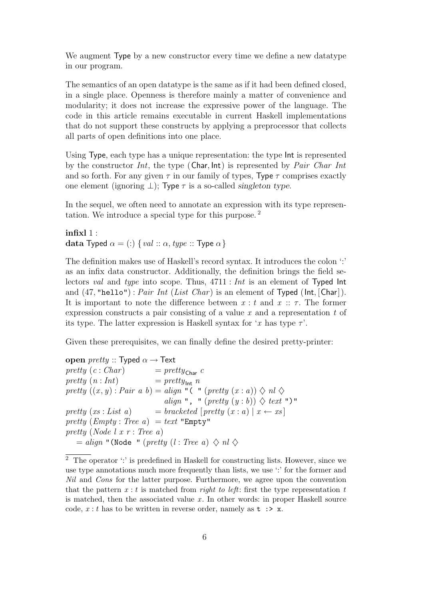We augment Type by a new constructor every time we define a new datatype in our program.

The semantics of an open datatype is the same as if it had been defined closed, in a single place. Openness is therefore mainly a matter of convenience and modularity; it does not increase the expressive power of the language. The code in this article remains executable in current Haskell implementations that do not support these constructs by applying a preprocessor that collects all parts of open definitions into one place.

Using Type, each type has a unique representation: the type Int is represented by the constructor Int, the type (Char, Int) is represented by Pair Char Int and so forth. For any given  $\tau$  in our family of types, Type  $\tau$  comprises exactly one element (ignoring  $\perp$ ); Type  $\tau$  is a so-called *singleton type*.

In the sequel, we often need to annotate an expression with its type representation. We introduce a special type for this purpose. <sup>2</sup>

infixl 1 : data Typed  $\alpha = (\cdot) \{ val : \alpha, type : : \text{Type } \alpha \}$ 

The definition makes use of Haskell's record syntax. It introduces the colon ':' as an infix data constructor. Additionally, the definition brings the field selectors val and type into scope. Thus, 4711 : Int is an element of Typed Int and  $(47, "hello")$ : *Pair Int* (*List Char*) is an element of Typed (Int, [Char]). It is important to note the difference between  $x : t$  and  $x :: \tau$ . The former expression constructs a pair consisting of a value  $x$  and a representation  $t$  of its type. The latter expression is Haskell syntax for 'x has type  $\tau$ '.

Given these prerequisites, we can finally define the desired pretty-printer:

open *pretty* :: Typed  $\alpha \rightarrow$  Text pretty  $(c : Char)$  = pretty<sub>Char</sub> c<br>pretty  $(n : Int)$  = pretty<sub>Int</sub> n pretty  $(n : Int)$ pretty  $((x, y) : Pair\ a\ b) = align\ "C" ( pretty\ (x : a)) \diamondsuit n l \diamondsuit$ align ", "  $(\text{pretty } (y : b)) \diamondsuit \text{text } "$ pretty  $(xs: List\ a)$  = bracketed  $[ pretty\ (x : a) \mid x \leftarrow xs]$ pretty  $(Empty:Tree\ a) = text$  "Empty" pretty (Node l x  $r:$  Tree a)  $= align$  "(Node " (pretty (l: Tree a)  $\Diamond$  nl  $\Diamond$ 

 $\overline{2}$  The operator ':' is predefined in Haskell for constructing lists. However, since we use type annotations much more frequently than lists, we use ':' for the former and Nil and Cons for the latter purpose. Furthermore, we agree upon the convention that the pattern  $x : t$  is matched from *right to left*: first the type representation t is matched, then the associated value  $x$ . In other words: in proper Haskell source code,  $x : t$  has to be written in reverse order, namely as  $t : > x$ .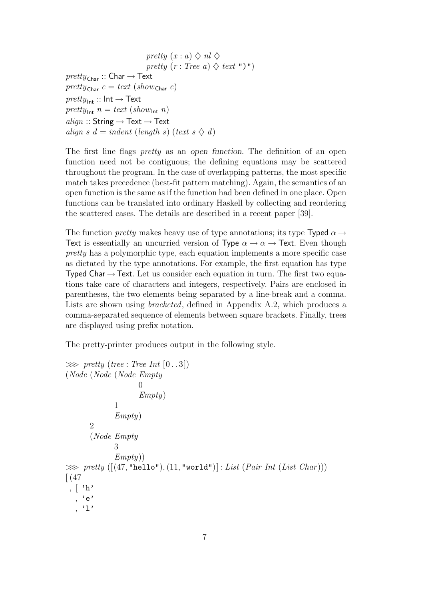```
pretty (x : a) \diamondsuit n l \diamondsuitpretty (r: Tree\ a) \diamondsuit text "\text{pretty}_{\text{Char}} :: \text{Char} \rightarrow \text{Text}pretty_{Char} c = text (show_{Char} c)\text{pretty}_{\text{Int}} :: \text{Int} \rightarrow \text{Text}pretty<sub>Int</sub> n = text (show_{Int} n)align::String \rightarrow Text \rightarrow Textalign s d = \text{indent} (length s) (text s \diamond d)
```
The first line flags *pretty* as an open function. The definition of an open function need not be contiguous; the defining equations may be scattered throughout the program. In the case of overlapping patterns, the most specific match takes precedence (best-fit pattern matching). Again, the semantics of an open function is the same as if the function had been defined in one place. Open functions can be translated into ordinary Haskell by collecting and reordering the scattered cases. The details are described in a recent paper [39].

The function *pretty* makes heavy use of type annotations; its type Typed  $\alpha \rightarrow$ Text is essentially an uncurried version of Type  $\alpha \to \alpha \to$  Text. Even though pretty has a polymorphic type, each equation implements a more specific case as dictated by the type annotations. For example, the first equation has type Typed Char  $\rightarrow$  Text. Let us consider each equation in turn. The first two equations take care of characters and integers, respectively. Pairs are enclosed in parentheses, the two elements being separated by a line-break and a comma. Lists are shown using bracketed, defined in Appendix A.2, which produces a comma-separated sequence of elements between square brackets. Finally, trees are displayed using prefix notation.

The pretty-printer produces output in the following style.

```
\gg\gg pretty (tree : Tree Int [0..3])
(Node (Node (Node Empty
                    \OmegaEmpty)
             1
             Empty)
      2
      (Node Empty
             3
             Emb(u)\gg pretty ([47, "hello"), (11, "world"): List (Pair Int (List Char)))
(47), \lceil 'h'
  , 'e'
  , 'l'
```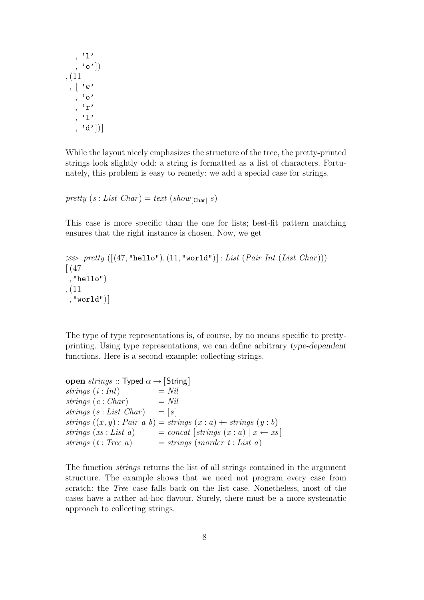$$
\begin{array}{c} \n \cdot \cdot \cdot \cdot \\
 \cdot \cdot \circ \cdot \cdot \\
 \cdot \cdot \cdot \\
 \cdot \cdot \cdot \\
 \cdot \cdot \cdot \\
 \cdot \cdot \cdot \\
 \cdot \cdot \cdot \\
 \cdot \cdot \cdot \\
 \cdot \cdot \cdot \\
 \cdot \cdot \cdot \\
 \cdot \cdot \cdot \\
 \cdot \cdot \cdot \\
 \cdot \cdot \cdot \\
 \cdot \cdot \cdot \\
 \cdot \cdot \cdot \\
 \cdot \cdot \cdot \\
 \cdot \cdot \cdot \\
 \cdot \cdot \cdot \\
 \cdot \cdot \cdot \\
 \cdot \cdot \cdot \\
 \cdot \cdot \cdot \\
 \cdot \cdot \cdot \\
 \cdot \cdot \cdot \\
 \cdot \cdot \cdot \\
 \cdot \cdot \cdot \\
 \cdot \cdot \cdot \\
 \cdot \cdot \cdot \\
 \cdot \cdot \cdot \\
 \cdot \cdot \cdot \\
 \cdot \cdot \cdot \\
 \cdot \cdot \cdot \\
 \cdot \cdot \cdot \\
 \cdot \cdot \cdot \\
 \cdot \cdot \cdot \\
 \cdot \cdot \cdot \\
 \cdot \cdot \cdot \\
 \cdot \cdot \cdot \\
 \cdot \cdot \cdot \\
 \cdot \cdot \cdot \\
 \cdot \cdot \cdot \\
 \cdot \cdot \cdot \\
 \cdot \cdot \cdot \\
 \cdot \cdot \cdot \\
 \cdot \cdot \cdot \\
 \cdot \cdot \cdot \\
 \cdot \cdot \cdot \\
 \cdot \cdot \cdot \\
 \cdot \cdot \cdot \\
 \cdot \cdot \cdot \\
 \cdot \cdot \cdot \\
 \cdot \cdot \cdot \\
 \cdot \cdot \cdot \\
 \cdot \cdot \cdot \\
 \cdot \cdot \cdot \\
 \cdot \cdot \cdot \\
 \cdot \cdot \cdot \\
 \cdot \cdot \cdot \\
 \cdot \cdot \cdot \\
 \cdot \cdot \cdot \\
 \cdot \cdot \cdot \\
 \cdot \cdot \cdot \\
 \cdot \cdot \cdot \cdot \\
 \cdot \cdot \cdot \cdot \\
 \cdot \cdot \cdot \cdot \\
 \cdot \cdot \cdot \cdot \\
 \cdot \cdot \cdot \cdot \\
 \cdot \cdot \cdot \cdot \\
 \cdot \cdot \cdot \cdot \\
 \cdot \cdot \cdot \cdot \\
 \cdot \cdot \cdot \cdot \\
 \cdot \cdot \cdot \cdot \cdot \\
 \cdot \cdot \cdot \cdot \cdot \\
 \cdot \cdot \cdot \cdot \cdot \\
 \cdot \cdot \cdot \cdot \cdot \\
 \cdot \cdot \cdot \cdot \cdot \\
 \cdot \cdot \cdot \cdot \cdot \\
 \cdot \cdot \cdot \cdot \cdot \\
 \cdot \cdot \cdot \cdot \cdot \\
 \cdot \cdot \cdot \cdot \cdot \\
 \cdot \cdot \cdot \cdot \cdot \\
 \cdot \cdot \cdot \cdot \cdot \\
 \cdot \cdot \cdot \cdot \cdot \cdot \\
 \cdot \cdot \cdot \cdot \cdot \cdot \\
 \cdot \cdot \cdot \cdot \cdot \cdot \\
 \cdot \cdot \cdot \cdot \cdot \cdot \cdot \\
 \cdot \cdot \cdot \cdot \cdot \cdot \cdot \\
 \cdot \cdot \cdot \cdot \cdot \cdot \cdot \cdot \\
 \cdot \cdot \cdot \cdot \cdot \cdot \cdot \cdot \cdot \cdot \cdot \\
 \cdot \cdot \cdot \
$$

While the layout nicely emphasizes the structure of the tree, the pretty-printed strings look slightly odd: a string is formatted as a list of characters. Fortunately, this problem is easy to remedy: we add a special case for strings.

```
pretty (s: List\ Char) = text\ (show[Char] s)
```
This case is more specific than the one for lists; best-fit pattern matching ensures that the right instance is chosen. Now, we get

```
\gg pretty ([47, "hello"), (11, "world"): List (Pair Int (List Char)))
[ (47
 , "hello")
, (11
, "world")]
```
The type of type representations is, of course, by no means specific to prettyprinting. Using type representations, we can define arbitrary type-dependent functions. Here is a second example: collecting strings.

```
open strings :: Typed \alpha \rightarrow [String]
strings (i : Int) = Nilstrings (c : Char) = Nil
strings (s: List Char) = [s]strings ((x, y): Pair a b) = strings (x : a) + strings (y : b)strings (xs: List\ a) = concat [strings\ (x : a) \mid x \leftarrow xs]strings (t : Tree a) = strings (inorder t : List a)
```
The function strings returns the list of all strings contained in the argument structure. The example shows that we need not program every case from scratch: the Tree case falls back on the list case. Nonetheless, most of the cases have a rather ad-hoc flavour. Surely, there must be a more systematic approach to collecting strings.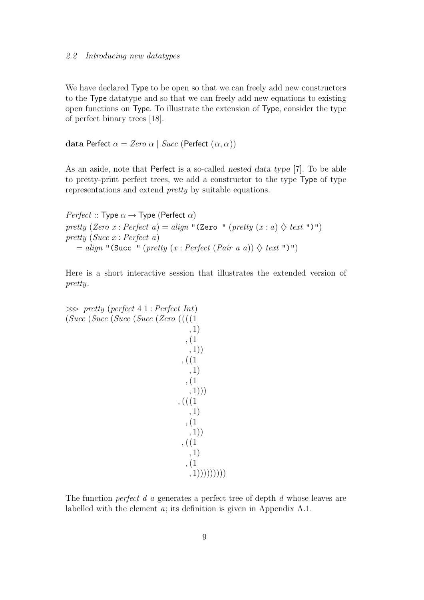We have declared Type to be open so that we can freely add new constructors to the Type datatype and so that we can freely add new equations to existing open functions on Type. To illustrate the extension of Type, consider the type of perfect binary trees [18].

data Perfect  $\alpha = Zero \alpha \mid Succ$  (Perfect  $(\alpha, \alpha)$ )

As an aside, note that Perfect is a so-called nested data type [7]. To be able to pretty-print perfect trees, we add a constructor to the type Type of type representations and extend pretty by suitable equations.

*Perfect* :: Type  $\alpha \rightarrow$  Type (Perfect  $\alpha$ ) pretty (Zero x : Perfect a) = align "(Zero " (pretty  $(x : a) \diamondsuit$  text ")") pretty (Succ  $x : Perfect\ a)$ = align "(Succ " (pretty  $(x : Perfect (Pair a a)) \diamondsuit text$ ")")

Here is a short interactive session that illustrates the extended version of pretty.

```
\gg pretty (perfect 4 1 : Perfect Int)
(Succ (Succ (Succ (Succ (Zero ))))), 1)
                                     , (1
                                      , 1))
                                    , ((1
                                      , 1)
                                     , (1
                                      , 1)))
                                  , ((1), 1)
                                     , (1
                                      , 1))
                                    , ((1
                                      , 1)
                                     , (1
                                      (1))))))))
```
The function *perfect* d a generates a perfect tree of depth d whose leaves are labelled with the element a; its definition is given in Appendix A.1.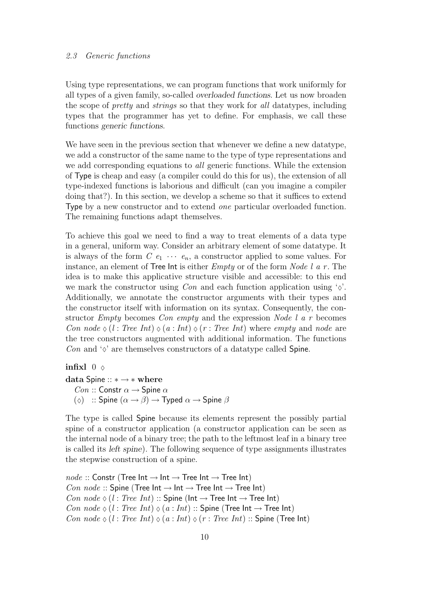#### 2.3 Generic functions

Using type representations, we can program functions that work uniformly for all types of a given family, so-called overloaded functions. Let us now broaden the scope of pretty and strings so that they work for all datatypes, including types that the programmer has yet to define. For emphasis, we call these functions generic functions.

We have seen in the previous section that whenever we define a new datatype, we add a constructor of the same name to the type of type representations and we add corresponding equations to *all* generic functions. While the extension of Type is cheap and easy (a compiler could do this for us), the extension of all type-indexed functions is laborious and difficult (can you imagine a compiler doing that?). In this section, we develop a scheme so that it suffices to extend Type by a new constructor and to extend one particular overloaded function. The remaining functions adapt themselves.

To achieve this goal we need to find a way to treat elements of a data type in a general, uniform way. Consider an arbitrary element of some datatype. It is always of the form  $C$   $e_1 \cdots e_n$ , a constructor applied to some values. For instance, an element of Tree Int is either  $Empty$  or of the form  $Node \,l \,a \,r$ . The idea is to make this applicative structure visible and accessible: to this end we mark the constructor using  $Con$  and each function application using ' $\diamond$ '. Additionally, we annotate the constructor arguments with their types and the constructor itself with information on its syntax. Consequently, the constructor Empty becomes Con empty and the expression Node l a r becomes Con node  $\Diamond$  (l: Tree Int)  $\Diamond$  (a: Int)  $\Diamond$  (r: Tree Int) where empty and node are the tree constructors augmented with additional information. The functions Con and  $\Diamond$  are themselves constructors of a datatype called Spine.

```
infixl 0 \diamonddata Spine :: ∗ → ∗ where
    Con :: Constr \alpha \rightarrow Spine \alpha(\Diamond) :: Spine (\alpha \rightarrow \beta) \rightarrow Typed \alpha \rightarrow Spine \beta
```
The type is called Spine because its elements represent the possibly partial spine of a constructor application (a constructor application can be seen as the internal node of a binary tree; the path to the leftmost leaf in a binary tree is called its left spine). The following sequence of type assignments illustrates the stepwise construction of a spine.

 $node::\textsf{Constr}$  (Tree  $\textsf{Int}\rightarrow\textsf{Int}\rightarrow\textsf{Tree}$  Int  $\rightarrow\textsf{Tree}$  Int) *Con node* :: Spine (Tree Int  $\rightarrow$  Int  $\rightarrow$  Tree Int  $\rightarrow$  Tree Int) Con node  $\Diamond$  (l: Tree Int) :: Spine (Int  $\rightarrow$  Tree Int  $\rightarrow$  Tree Int) *Con node*  $\Diamond$  (*l* : *Tree Int*)  $\Diamond$  (*a* : *Int*) :: Spine (Tree Int  $\rightarrow$  Tree Int) Con node  $\Diamond$  (1: Tree Int)  $\Diamond$  (a: Int)  $\Diamond$  (r: Tree Int) :: Spine (Tree Int)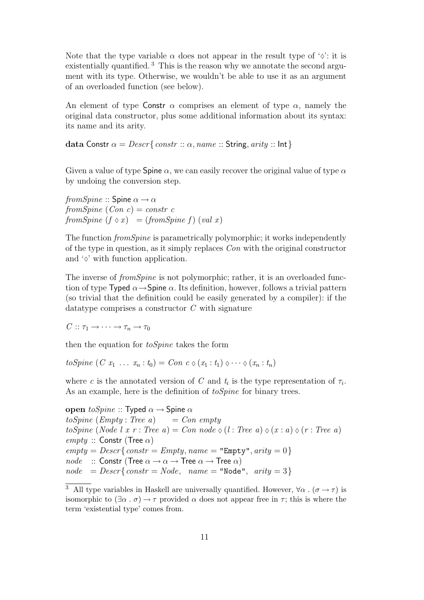Note that the type variable  $\alpha$  does not appear in the result type of ' $\diamond$ ': it is existentially quantified. <sup>3</sup> This is the reason why we annotate the second argument with its type. Otherwise, we wouldn't be able to use it as an argument of an overloaded function (see below).

An element of type Constr  $\alpha$  comprises an element of type  $\alpha$ , namely the original data constructor, plus some additional information about its syntax: its name and its arity.

data Constr  $\alpha = Descr\{ constr :: \alpha, name :: String, arity :: Int\}$ 

Given a value of type Spine  $\alpha$ , we can easily recover the original value of type  $\alpha$ by undoing the conversion step.

from Spine :: Spine  $\alpha \rightarrow \alpha$ from Spine  $(Con c) = constr$ from Spine  $(f \circ x) = (from Spine f) (val x)$ 

The function fromSpine is parametrically polymorphic; it works independently of the type in question, as it simply replaces Con with the original constructor and  $\Diamond'$  with function application.

The inverse of *fromSpine* is not polymorphic; rather, it is an overloaded function of type Typed  $\alpha \rightarrow$ Spine  $\alpha$ . Its definition, however, follows a trivial pattern (so trivial that the definition could be easily generated by a compiler): if the datatype comprises a constructor  $C$  with signature

 $C: \tau_1 \rightarrow \cdots \rightarrow \tau_n \rightarrow \tau_0$ 

then the equation for  $toSpine$  takes the form

toSpine  $(C x_1 \ldots x_n : t_0) = Con \ c \otimes (x_1 : t_1) \otimes \cdots \otimes (x_n : t_n)$ 

where c is the annotated version of C and  $t_i$  is the type representation of  $\tau_i$ . As an example, here is the definition of  $toSpine$  for binary trees.

open  $toSpine$ :: Typed  $\alpha \rightarrow$  Spine  $\alpha$  $toSpine (Empty: Tree a) = Con empty$ toSpine (Node l x r : Tree a) = Con node  $\Diamond$  (l : Tree a)  $\Diamond$  (x : a)  $\Diamond$  (r : Tree a)  $empty ::$  Constr (Tree  $\alpha$ )  $empty = Descr$  {  $constr = Empty$ ,  $name = "Empty",$   $arity = 0$  } *node* :: Constr (Tree  $\alpha \rightarrow \alpha \rightarrow$  Tree  $\alpha \rightarrow$  Tree  $\alpha$ )  $node = Descr{constr} = Node, name = "Node", arity = 3}$ 

<sup>&</sup>lt;sup>3</sup> All type variables in Haskell are universally quantified. However,  $\forall \alpha \cdot (\sigma \rightarrow \tau)$  is isomorphic to  $(\exists \alpha \cdot \sigma) \rightarrow \tau$  provided  $\alpha$  does not appear free in  $\tau$ ; this is where the term 'existential type' comes from.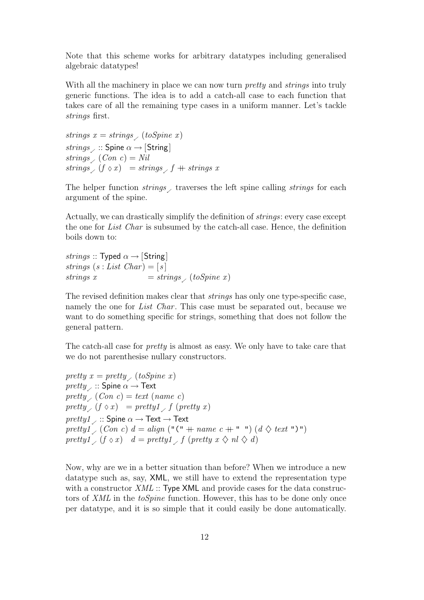Note that this scheme works for arbitrary datatypes including generalised algebraic datatypes!

With all the machinery in place we can now turn *pretty* and *strings* into truly generic functions. The idea is to add a catch-all case to each function that takes care of all the remaining type cases in a uniform manner. Let's tackle strings first.

```
strings x = strings / (toSpine x)strings \Box: Spine \alpha \rightarrow [String]
strings. (Con\ c) = Nilstrings (f \circ x) = strings \neq f + strings \neq x
```
The helper function  $strings / traverses$  the left spine calling strings for each argument of the spine.

Actually, we can drastically simplify the definition of strings: every case except the one for List Char is subsumed by the catch-all case. Hence, the definition boils down to:

strings :: Typed  $\alpha \rightarrow$  [String] strings  $(s: List Char) = [s]$ strings x  $=$  strings  $(t_0$ Spine x)

The revised definition makes clear that strings has only one type-specific case, namely the one for List Char. This case must be separated out, because we want to do something specific for strings, something that does not follow the general pattern.

The catch-all case for pretty is almost as easy. We only have to take care that we do not parenthesise nullary constructors.

```
pretty x = pretty / (toSpine x)pretty :: Spine \alpha \rightarrow Text
prety (Con c) = text (name c)prety (f \diamond x) = prety1 f (prety x)pretty1 .: Spine \alpha \rightarrow Text \rightarrow Text
pretty1 (Con c) d = align (\text{``} (\text{''} + name \text{''} \text{''}) \text{''}) (d \diamondsuit text \text{''})")
pretty1 (f \circ x) d = pretty1 f (pretty x \diamond n \diamond d)
```
Now, why are we in a better situation than before? When we introduce a new datatype such as, say, XML, we still have to extend the representation type with a constructor  $XML$  :: Type XML and provide cases for the data constructors of XML in the toSpine function. However, this has to be done only once per datatype, and it is so simple that it could easily be done automatically.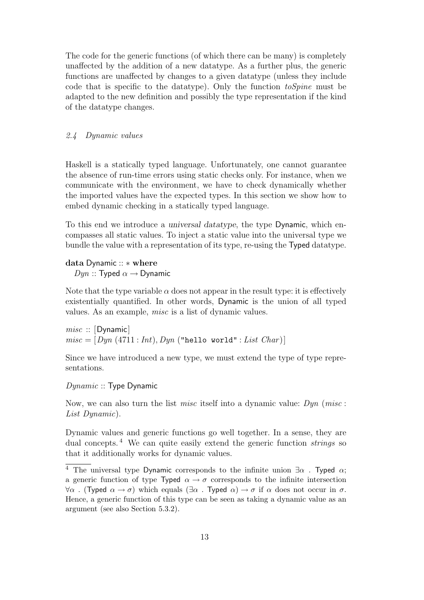The code for the generic functions (of which there can be many) is completely unaffected by the addition of a new datatype. As a further plus, the generic functions are unaffected by changes to a given datatype (unless they include code that is specific to the datatype). Only the function  $toSpine$  must be adapted to the new definition and possibly the type representation if the kind of the datatype changes.

# 2.4 Dynamic values

Haskell is a statically typed language. Unfortunately, one cannot guarantee the absence of run-time errors using static checks only. For instance, when we communicate with the environment, we have to check dynamically whether the imported values have the expected types. In this section we show how to embed dynamic checking in a statically typed language.

To this end we introduce a universal datatype, the type Dynamic, which encompasses all static values. To inject a static value into the universal type we bundle the value with a representation of its type, re-using the Typed datatype.

data Dynamic :: ∗ where  $Dyn :: Typed \alpha \rightarrow Dynamic$ 

Note that the type variable  $\alpha$  does not appear in the result type: it is effectively existentially quantified. In other words, Dynamic is the union of all typed values. As an example, misc is a list of dynamic values.

 $misc::[Dynamic]$  $misc = [Dun (4711 : Int), Dun$  ("hello world": List Char)]

Since we have introduced a new type, we must extend the type of type representations.

# Dynamic :: Type Dynamic

Now, we can also turn the list *misc* itself into a dynamic value:  $Dyn$  (*misc*: List Dynamic).

Dynamic values and generic functions go well together. In a sense, they are dual concepts.<sup>4</sup> We can quite easily extend the generic function *strings* so that it additionally works for dynamic values.

<sup>&</sup>lt;sup>4</sup> The universal type Dynamic corresponds to the infinite union  $\exists \alpha$ . Typed  $\alpha$ ; a generic function of type Typed  $\alpha \to \sigma$  corresponds to the infinite intersection  $\forall \alpha$ . (Typed  $\alpha \to \sigma$ ) which equals  $(\exists \alpha \cdot \text{Typed } \alpha) \to \sigma$  if  $\alpha$  does not occur in  $\sigma$ . Hence, a generic function of this type can be seen as taking a dynamic value as an argument (see also Section 5.3.2).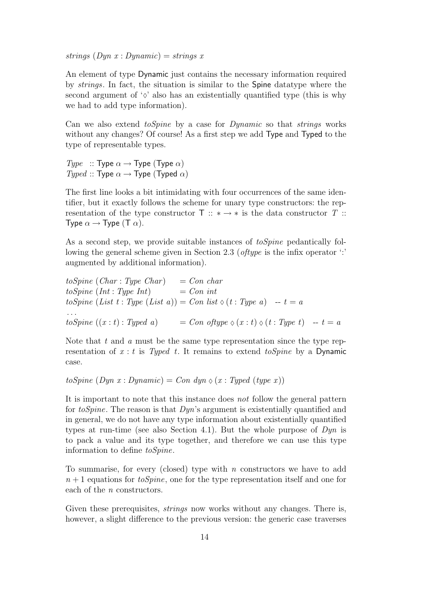strings  $(Dyn x : Dynamic) = strings x$ 

An element of type Dynamic just contains the necessary information required by strings. In fact, the situation is similar to the Spine datatype where the second argument of  $\Diamond$  also has an existentially quantified type (this is why we had to add type information).

Can we also extend toSpine by a case for Dynamic so that strings works without any changes? Of course! As a first step we add Type and Typed to the type of representable types.

 $Type$ : Type  $\alpha \rightarrow Type$  (Type  $\alpha$ )  $Typed :: Type \alpha \rightarrow Type$  (Typed  $\alpha$ )

The first line looks a bit intimidating with four occurrences of the same identifier, but it exactly follows the scheme for unary type constructors: the representation of the type constructor  $\top$  :: \* → \* is the data constructor  $T$  :: Type  $\alpha \rightarrow$  Type (T  $\alpha$ ).

As a second step, we provide suitable instances of *toSpine* pedantically following the general scheme given in Section 2.3 (*oftype* is the infix operator ':' augmented by additional information).

```
toSpine (Char: Type Char) = Con char
toSpine (Int: Type Int) = Con int
toSpine (List t : Type (List a)) = Con list \Diamond (t : Type a) -- t = a
. . .
toSpine ((x : t) : Type d \t a) = Con oftype \Diamond (x : t) \Diamond (t : Type t) -- t = a
```
Note that t and a must be the same type representation since the type representation of  $x : t$  is Typed t. It remains to extend to Spine by a Dynamic case.

toSpine (Dyn x : Dynamic) = Con dyn  $\Diamond(x : Typed (type x))$ 

It is important to note that this instance does not follow the general pattern for *toSpine*. The reason is that  $Dyn's$  argument is existentially quantified and in general, we do not have any type information about existentially quantified types at run-time (see also Section 4.1). But the whole purpose of  $Dyn$  is to pack a value and its type together, and therefore we can use this type information to define toSpine.

To summarise, for every (closed) type with  $n$  constructors we have to add  $n+1$  equations for  $toSpine$ , one for the type representation itself and one for each of the n constructors.

Given these prerequisites, *strings* now works without any changes. There is, however, a slight difference to the previous version: the generic case traverses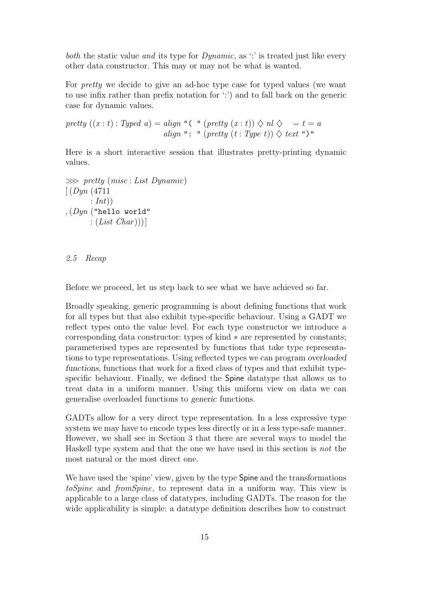both the static value and its type for  $Dynamic$ , as ':' is treated just like every other data constructor. This may or may not be what is wanted.

For pretty we decide to give an ad-hoc type case for typed values (we want to use infix rather than prefix notation for ':') and to fall back on the generic case for dynamic values.

pretty  $((x : t) : Typed \t a) = align \t ( " (pretty (x : t)) \t \& \t nl \t \& \t - t = a$ align ": " (pretty  $(t : Type t)$ )  $\Diamond$  text ")"

Here is a short interactive session that illustrates pretty-printing dynamic values.

 $\gg\gg$  pretty (misc : List Dynamic)  $[$  (Dyn (4711)  $: Int()$  $, (Dyn$  ("hello world" :  $(List \; Char))$ 

## 2.5 Recap

Before we proceed, let us step back to see what we have achieved so far.

Broadly speaking, generic programming is about defining functions that work for all types but that also exhibit type-specific behaviour. Using a GADT we reflect types onto the value level. For each type constructor we introduce a corresponding data constructor: types of kind ∗ are represented by constants; parameterised types are represented by functions that take type representations to type representations. Using reflected types we can program overloaded functions, functions that work for a fixed class of types and that exhibit typespecific behaviour. Finally, we defined the Spine datatype that allows us to treat data in a uniform manner. Using this uniform view on data we can generalise overloaded functions to generic functions.

GADTs allow for a very direct type representation. In a less expressive type system we may have to encode types less directly or in a less type-safe manner. However, we shall see in Section 3 that there are several ways to model the Haskell type system and that the one we have used in this section is not the most natural or the most direct one.

We have used the 'spine' view, given by the type Spine and the transformations toSpine and fromSpine, to represent data in a uniform way. This view is applicable to a large class of datatypes, including GADTs. The reason for the wide applicability is simple: a datatype definition describes how to construct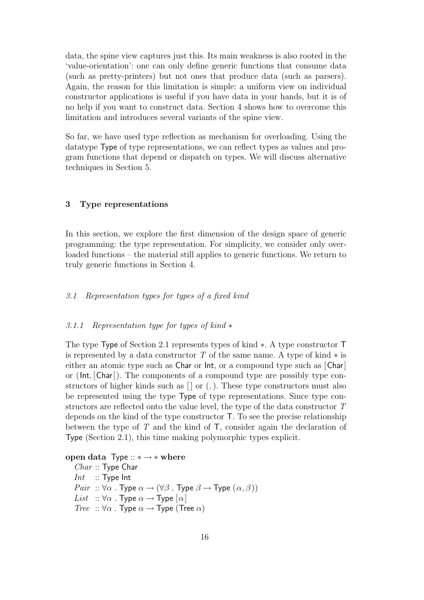data, the spine view captures just this. Its main weakness is also rooted in the 'value-orientation': one can only define generic functions that consume data (such as pretty-printers) but not ones that produce data (such as parsers). Again, the reason for this limitation is simple: a uniform view on individual constructor applications is useful if you have data in your hands, but it is of no help if you want to construct data. Section 4 shows how to overcome this limitation and introduces several variants of the spine view.

So far, we have used type reflection as mechanism for overloading. Using the datatype Type of type representations, we can reflect types as values and program functions that depend or dispatch on types. We will discuss alternative techniques in Section 5.

## 3 Type representations

In this section, we explore the first dimension of the design space of generic programming: the type representation. For simplicity, we consider only overloaded functions – the material still applies to generic functions. We return to truly generic functions in Section 4.

#### 3.1 Representation types for types of a fixed kind

#### 3.1.1 Representation type for types of kind ∗

The type Type of Section 2.1 represents types of kind ∗. A type constructor T is represented by a data constructor T of the same name. A type of kind  $*$  is either an atomic type such as Char or Int, or a compound type such as  $[Char]$ or (Int, [Char]). The components of a compound type are possibly type constructors of higher kinds such as  $\lceil \rceil$  or  $\lceil \rceil$ . These type constructors must also be represented using the type Type of type representations. Since type constructors are reflected onto the value level, the type of the data constructor T depends on the kind of the type constructor T. To see the precise relationship between the type of  $T$  and the kind of  $T$ , consider again the declaration of Type (Section 2.1), this time making polymorphic types explicit.

open data Type :: ∗ → ∗ where Char :: Type Char  $Int$  :: Type Int  $Pair :: \forall \alpha$ . Type  $\alpha \rightarrow (\forall \beta$ . Type  $\beta \rightarrow$  Type  $(\alpha, \beta)$ ) List ::  $\forall \alpha$ . Type  $\alpha \rightarrow$  Type  $\lceil \alpha \rceil$ *Tree* ::  $\forall \alpha$ . Type  $\alpha \rightarrow$  Type (Tree  $\alpha$ )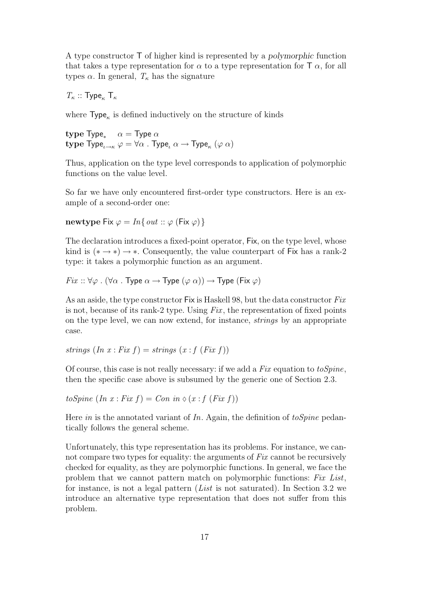A type constructor T of higher kind is represented by a polymorphic function that takes a type representation for  $\alpha$  to a type representation for  $\alpha$ , for all types  $\alpha$ . In general,  $T_{\kappa}$  has the signature

 $T_{\kappa}$  :: Type<sub> $\kappa$ </sub> T<sub> $\kappa$ </sub>

where  $Type_{\kappa}$  is defined inductively on the structure of kinds

type Type<sub>∗</sub>  $\alpha =$  Type  $\alpha$  $\tt type Type<sub>l\rightarrow \kappa</sub> \varphi = \forall \alpha$  . Type<sub> $l$ </sub>  $\alpha \rightarrow Type_{\kappa} (\varphi \alpha)$ 

Thus, application on the type level corresponds to application of polymorphic functions on the value level.

So far we have only encountered first-order type constructors. Here is an example of a second-order one:

newtype Fix  $\varphi = In\{ out : \varphi$  (Fix  $\varphi$ )}

The declaration introduces a fixed-point operator, Fix, on the type level, whose kind is  $(* \rightarrow *) \rightarrow *$ . Consequently, the value counterpart of Fix has a rank-2 type: it takes a polymorphic function as an argument.

 $Fix :: \forall \varphi : (\forall \alpha : \text{Type } \alpha \rightarrow \text{Type } (\varphi \alpha)) \rightarrow \text{Type } (\text{Fix } \varphi)$ 

As an aside, the type constructor Fix is Haskell 98, but the data constructor Fix is not, because of its rank-2 type. Using  $Fix$ , the representation of fixed points on the type level, we can now extend, for instance, strings by an appropriate case.

```
strings (In x : Fix f) = strings (x : f (Fix f))
```
Of course, this case is not really necessary: if we add a Fix equation to  $to5$  pine, then the specific case above is subsumed by the generic one of Section 2.3.

toSpine  $(In x : Fix f) = Con in \Diamond (x : f (Fix f))$ 

Here in is the annotated variant of In. Again, the definition of  $toSpine$  pedantically follows the general scheme.

Unfortunately, this type representation has its problems. For instance, we cannot compare two types for equality: the arguments of Fix cannot be recursively checked for equality, as they are polymorphic functions. In general, we face the problem that we cannot pattern match on polymorphic functions: Fix List, for instance, is not a legal pattern  $(List$  is not saturated). In Section 3.2 we introduce an alternative type representation that does not suffer from this problem.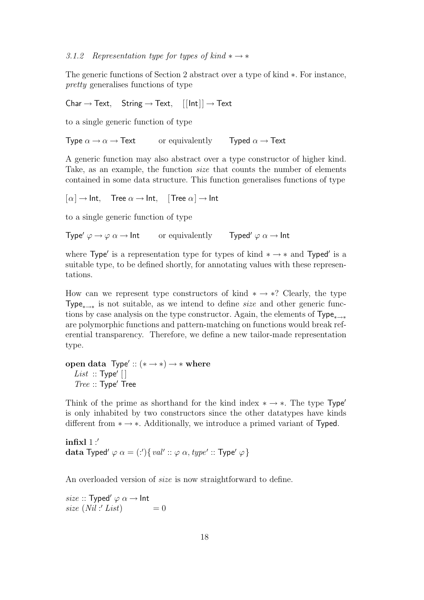#### 3.1.2 Representation type for types of kind  $* \rightarrow *$

The generic functions of Section 2 abstract over a type of kind ∗. For instance, pretty generalises functions of type

Char  $\rightarrow$  Text, String  $\rightarrow$  Text,  $[|Int|] \rightarrow$  Text

to a single generic function of type

Type  $\alpha \to \alpha \to$  Text or equivalently Typed  $\alpha \to$  Text

A generic function may also abstract over a type constructor of higher kind. Take, as an example, the function *size* that counts the number of elements contained in some data structure. This function generalises functions of type

 $[\alpha] \rightarrow$  Int, Tree  $\alpha \rightarrow$  Int, Tree  $\alpha$   $\rightarrow$  Int

to a single generic function of type

Type'  $\varphi \to \varphi \alpha \to \text{Int}$  or equivalently Typed'  $\varphi \alpha \to \text{Int}$ 

where Type' is a representation type for types of kind  $* \rightarrow *$  and Typed' is a suitable type, to be defined shortly, for annotating values with these representations.

How can we represent type constructors of kind  $* \rightarrow *?$  Clearly, the type Type<sub> $\ast \rightarrow \ast$ </sub> is not suitable, as we intend to define *size* and other generic functions by case analysis on the type constructor. Again, the elements of  $Type_{\star\to\star}$ are polymorphic functions and pattern-matching on functions would break referential transparency. Therefore, we define a new tailor-made representation type.

open data  $Type' :: (* \rightarrow *) \rightarrow *$  where  $List$  :: Type'  $[]$  $Tree :: Type'$  Tree

Think of the prime as shorthand for the kind index  $* \rightarrow *$ . The type Type<sup>'</sup> is only inhabited by two constructors since the other datatypes have kinds different from  $*\rightarrow *$ . Additionally, we introduce a primed variant of Typed.

 $\text{infixl } 1$  : data Typed'  $\varphi \alpha = ($ :' $)$ { val' ::  $\varphi \alpha$ , type' :: Type'  $\varphi$ }

An overloaded version of *size* is now straightforward to define.

size :: Typed'  $\varphi \alpha \rightarrow$  Int  $size(Nil : List) = 0$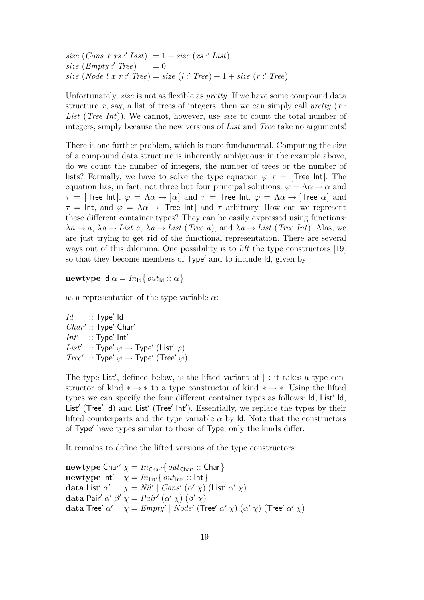size  $(Cons\ x\ xs\ :'\ List) = 1 + size\ (xs\ :'\ List)$  $size (Empty: 'Tree) = 0$ size (Node l x r :' Tree) = size (l :' Tree) +  $1 + size$  (r :' Tree)

Unfortunately, *size* is not as flexible as *pretty*. If we have some compound data structure x, say, a list of trees of integers, then we can simply call pretty  $(x:$ List (Tree Int)). We cannot, however, use size to count the total number of integers, simply because the new versions of List and Tree take no arguments!

There is one further problem, which is more fundamental. Computing the size of a compound data structure is inherently ambiguous: in the example above, do we count the number of integers, the number of trees or the number of lists? Formally, we have to solve the type equation  $\varphi \tau =$  [Tree Int]. The equation has, in fact, not three but four principal solutions:  $\varphi = \Lambda \alpha \rightarrow \alpha$  and  $\tau =$  [Tree Int],  $\varphi = \Lambda \alpha \rightarrow [\alpha]$  and  $\tau =$  Tree Int,  $\varphi = \Lambda \alpha \rightarrow$  [Tree  $\alpha$ ] and  $\tau = \text{Int, and } \varphi = \Lambda \alpha \rightarrow \text{[Tree Int]} \text{ and } \tau \text{ arbitrary. How can we represent }$ these different container types? They can be easily expressed using functions:  $\lambda a \rightarrow a$ ,  $\lambda a \rightarrow List \ a$ ,  $\lambda a \rightarrow List \ (Tree \ a)$ , and  $\lambda a \rightarrow List \ (Tree \ Int)$ . Alas, we are just trying to get rid of the functional representation. There are several ways out of this dilemma. One possibility is to lift the type constructors [19] so that they become members of Type' and to include Id, given by

newtype  $\text{Id} \alpha = In_{\text{Id}} \{ \text{out}_{\text{Id}} :: \alpha \}$ 

as a representation of the type variable  $\alpha$ :

 $Id$  :: Type' Id  $Char' :: Type'$  Char'  $Int'$  $::$  Type' Int' List' :: Type'  $\varphi \rightarrow$  Type' (List'  $\varphi$ ) Tree' :: Type'  $\varphi \rightarrow$  Type' (Tree'  $\varphi$ )

The type List', defined below, is the lifted variant of  $[]$ : it takes a type constructor of kind  $* \rightarrow *$  to a type constructor of kind  $* \rightarrow *$ . Using the lifted types we can specify the four different container types as follows: Id, List' Id, List' (Tree' ld) and List' (Tree' lnt'). Essentially, we replace the types by their lifted counterparts and the type variable  $\alpha$  by Id. Note that the constructors of  $Type'$  have types similar to those of  $Type$ , only the kinds differ.

It remains to define the lifted versions of the type constructors.

newtype Char'  $\chi = In_{Char'}\{out_{Char'} :: Char\}$ newtype  $\text{Int}' \quad \chi = In_{\text{Int}'}\{\text{out}_{\text{Int}'} :: \text{Int}\}\$ data List' $\alpha'$  $\chi = Nil' \mid Cons' (\alpha' \chi)$  (List'  $\alpha' \chi$ ) data Pair'  $\alpha' \beta' \chi = Pair' (\alpha' \chi) (\beta' \chi)$ data Tree'  $\alpha'$   $\chi = \text{Empty}'$  |  $\text{Node}'$  (Tree'  $\alpha'$   $\chi$ )  $(\alpha'$   $\chi)$  (Tree'  $\alpha'$   $\chi$ )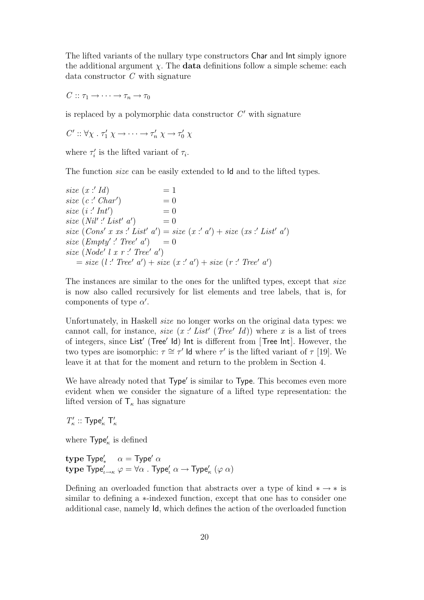The lifted variants of the nullary type constructors Char and Int simply ignore the additional argument  $\chi$ . The **data** definitions follow a simple scheme: each data constructor C with signature

 $C: \tau_1 \rightarrow \cdots \rightarrow \tau_n \rightarrow \tau_0$ 

is replaced by a polymorphic data constructor  $C'$  with signature

```
C' :: \forall \chi : \tau_1' \chi \rightarrow \cdots \rightarrow \tau_n' \chi \rightarrow \tau_0' \chi
```
where  $\tau'_i$  is the lifted variant of  $\tau_i$ .

The function size can be easily extended to Id and to the lifted types.

size  $(x:$  $= 1$  $size (c:' Char'$  $= 0$  $size (i:'Int'$  $= 0$  $size$  (Nil':' List'  $a'$  $= 0$  $size (Cons' x xs :' List' a') = size (x :' a') + size (xs :' List' a')$  $size$  (Empty':' Tree'  $a'$  $= 0$  $size (Node' l x r : 'Tree' a')$  $= size (l : 'Tree' a') + size (x : 'a') + size (r : 'Tree' a')$ 

The instances are similar to the ones for the unlifted types, except that *size* is now also called recursively for list elements and tree labels, that is, for components of type  $\alpha'$ .

Unfortunately, in Haskell size no longer works on the original data types: we cannot call, for instance, size  $(x:' List' (Tree' Id))$  where x is a list of trees of integers, since List' (Tree' ld) Int is different from [Tree Int]. However, the two types are isomorphic:  $\tau \cong \tau'$  ld where  $\tau'$  is the lifted variant of  $\tau$  [19]. We leave it at that for the moment and return to the problem in Section 4.

We have already noted that Type' is similar to Type. This becomes even more evident when we consider the signature of a lifted type representation: the lifted version of  $T_{\kappa}$  has signature

 $T'_{\kappa}$  :: Type $'_{\kappa}$  T'<sub> $\kappa$ </sub>

where  $Type'_{\kappa}$  is defined

type Type'<sub>\*</sub>  $\alpha =$  Type'  $\alpha$ type Type $'_{\iota \to \kappa} \varphi = \forall \alpha$  . Type $'_\iota \alpha \to \text{Type}'_\kappa$   $(\varphi \alpha)$ 

Defining an overloaded function that abstracts over a type of kind  $* \rightarrow *$  is similar to defining a ∗-indexed function, except that one has to consider one additional case, namely Id, which defines the action of the overloaded function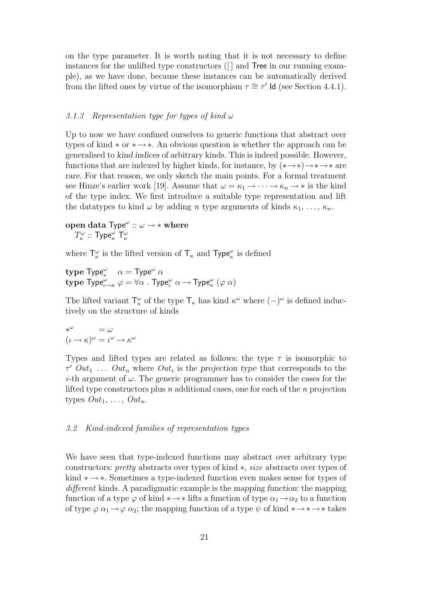on the type parameter. It is worth noting that it is not necessary to define instances for the unlifted type constructors ( $\Box$  and Tree in our running example), as we have done, because these instances can be automatically derived from the lifted ones by virtue of the isomorphism  $\tau \cong \tau'$  Id (see Section 4.4.1).

### 3.1.3 Representation type for types of kind  $\omega$

Up to now we have confined ourselves to generic functions that abstract over types of kind ∗ or ∗ → ∗. An obvious question is whether the approach can be generalised to kind indices of arbitrary kinds. This is indeed possible. However, functions that are indexed by higher kinds, for instance, by  $(*\rightarrow *) \rightarrow * \rightarrow *$  are rare. For that reason, we only sketch the main points. For a formal treatment see Hinze's earlier work [19]. Assume that  $\omega = \kappa_1 \rightarrow \cdots \rightarrow \kappa_n \rightarrow *$  is the kind of the type index. We first introduce a suitable type representation and lift the datatypes to kind  $\omega$  by adding n type arguments of kinds  $\kappa_1, \ldots, \kappa_n$ .

open data Type $\omega$  ::  $\omega \rightarrow *$  where  $T_{\kappa}^{\omega}$  :: Type $_{\kappa}^{\omega}$  T $_{\kappa}^{\omega}$ 

where  $\mathsf{T}^\omega_\kappa$  is the lifted version of  $\mathsf{T}_\kappa$  and  $\mathsf{Type}^\omega_\kappa$  is defined

type Type $_{*}^{\omega}$   $\alpha =$  Type $_{\alpha}^{\omega}$   $\alpha$ type  $\text{Type}^{\omega}_{\iota \to \kappa} \varphi = \forall \alpha$  .  $\text{Type}^{\omega}_{\iota} \alpha \to \text{Type}^{\omega}_{\kappa} (\varphi \alpha)$ 

The lifted variant  $\mathsf{T}^\omega_\kappa$  of the type  $\mathsf{T}_\kappa$  has kind  $\kappa^\omega$  where  $(-)^\omega$  is defined inductively on the structure of kinds

$$
\ast^{\omega} = \omega
$$

$$
(\iota \to \kappa)^{\omega} = \iota^{\omega} \to \kappa^{\omega}
$$

Types and lifted types are related as follows: the type  $\tau$  is isomorphic to  $\tau'$  Out<sub>1</sub> ... Out<sub>n</sub> where Out<sub>i</sub> is the projection type that corresponds to the i-th argument of  $\omega$ . The generic programmer has to consider the cases for the lifted type constructors plus n additional cases, one for each of the n projection types  $Out_1, \ldots, Out_n$ .

#### 3.2 Kind-indexed families of representation types

We have seen that type-indexed functions may abstract over arbitrary type constructors: pretty abstracts over types of kind ∗, size abstracts over types of kind ∗ → ∗. Sometimes a type-indexed function even makes sense for types of different kinds. A paradigmatic example is the mapping function: the mapping function of a type  $\varphi$  of kind  $*\rightarrow *\text{ lifts a function of type } \alpha_1 \rightarrow \alpha_2 \text{ to a function}$ of type  $\varphi \alpha_1 \rightarrow \varphi \alpha_2$ ; the mapping function of a type  $\psi$  of kind ∗ $\rightarrow \ast \rightarrow \ast$  takes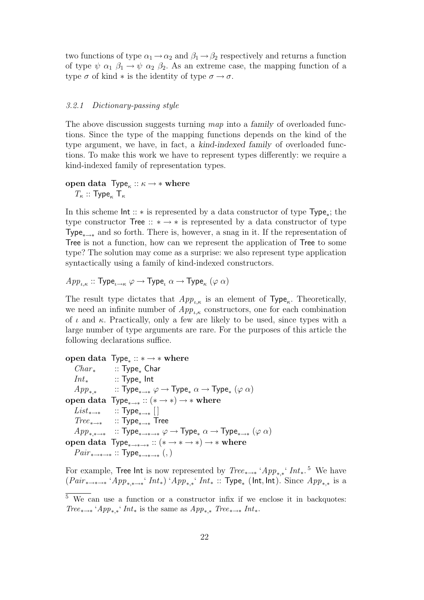two functions of type  $\alpha_1 \rightarrow \alpha_2$  and  $\beta_1 \rightarrow \beta_2$  respectively and returns a function of type  $\psi$   $\alpha_1$   $\beta_1 \rightarrow \psi$   $\alpha_2$   $\beta_2$ . As an extreme case, the mapping function of a type  $\sigma$  of kind  $*$  is the identity of type  $\sigma \rightarrow \sigma$ .

#### 3.2.1 Dictionary-passing style

The above discussion suggests turning map into a family of overloaded functions. Since the type of the mapping functions depends on the kind of the type argument, we have, in fact, a kind-indexed family of overloaded functions. To make this work we have to represent types differently: we require a kind-indexed family of representation types.

# open data  $\mathrm{Type}_\kappa :: \kappa \to *$  where  $T_{\kappa}$  :: Type<sub> $\kappa$ </sub> T<sub> $\kappa$ </sub>

In this scheme Int :: ∗ is represented by a data constructor of type Type<sup>∗</sup> ; the type constructor Tree ::  $* \rightarrow *$  is represented by a data constructor of type Type<sub> $\rightarrow\ast$ </sub> and so forth. There is, however, a snag in it. If the representation of Tree is not a function, how can we represent the application of Tree to some type? The solution may come as a surprise: we also represent type application syntactically using a family of kind-indexed constructors.

$$
App_{\iota,\kappa}::\mathsf{Type}_{\iota\to\kappa}\ \varphi\to \mathsf{Type}_\iota\ \alpha\to \mathsf{Type}_\kappa\ (\varphi\ \alpha)
$$

The result type dictates that  $App_{\iota,\kappa}$  is an element of Type<sub> $\kappa$ </sub>. Theoretically, we need an infinite number of  $App_{i,\kappa}$  constructors, one for each combination of  $\iota$  and  $\kappa$ . Practically, only a few are likely to be used, since types with a large number of type arguments are rare. For the purposes of this article the following declarations suffice.

```
open data \mathsf{Type}_*: \ast \to \ast where
    Char_* :: Type<sub>*</sub> Char
    Int_* :: Type<sub>*</sub> Int
   App_{\ast,\ast}:: Type_{* \to *}\varphi \to \mathsf{Type}_*\ \alpha \to \mathsf{Type}_*\ (\varphi\ \alpha)open data \text{Type}_{\ast\to\ast}::(\ast\to\ast)\to\ast where
    List_{* \rightarrow *} :: Type_{* \rightarrow *} []
    Tree_{* \rightarrow *} :: Type<sub>*→*</sub> Tree
    App_{*,* \to *} :: Type_{* \to * \to *} \varphi \to \text{Type}_* \alpha \to \text{Type}_{* \to *} (\varphi \alpha)open\ data\ \mathsf{Type}_{*\to * \to *}\n::(*\to *\to *)\to *\nwherePair_{* \rightarrow * \rightarrow *}: \mathsf{Type}_{* \rightarrow * \rightarrow *}(,)
```
For example, Tree Int is now represented by  $Tree_{* \rightarrow *} 'App_{*,*} 'Int_{*}.$ <sup>5</sup> We have  $(Pair_{* \to * \to *} 'App_{*,* \to *} 'Int_*) 'App_{*,*} 'Int_* :: Type_* (Int, Int). Since App_{*,*} is a$ 

<sup>5</sup> We can use a function or a constructor infix if we enclose it in backquotes:  $Tree_{* \rightarrow *} \, 'App_{*,*} \, 'Int_* \text{ is the same as } App_{*,*} \, Tree_{* \rightarrow *} Int_*.$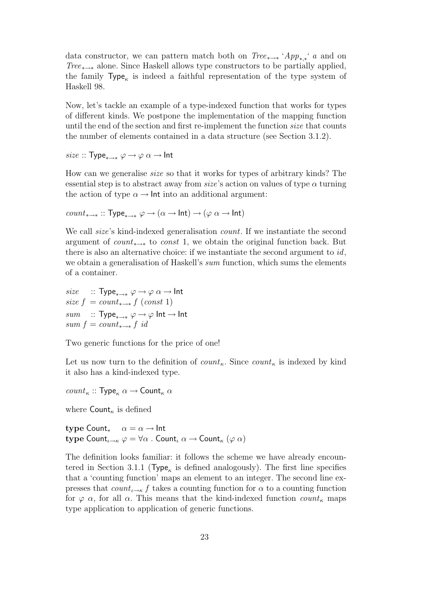data constructor, we can pattern match both on  $Tree_{\ast \rightarrow \ast} 'App_{\ast,\ast} 'a$  and on Tree∗→∗ alone. Since Haskell allows type constructors to be partially applied, the family  $Type_{\kappa}$  is indeed a faithful representation of the type system of Haskell 98.

Now, let's tackle an example of a type-indexed function that works for types of different kinds. We postpone the implementation of the mapping function until the end of the section and first re-implement the function size that counts the number of elements contained in a data structure (see Section 3.1.2).

size :: Type $\lim_{\alpha \to \infty} \varphi \to \varphi \alpha \to \ln t$ 

How can we generalise size so that it works for types of arbitrary kinds? The essential step is to abstract away from *size*'s action on values of type  $\alpha$  turning the action of type  $\alpha \rightarrow \text{Int}$  into an additional argument:

 $count_{\ast\rightarrow\ast}$ :: Type $\downarrow\rightarrow\infty$   $\rightarrow (\alpha \rightarrow \text{Int}) \rightarrow (\varphi \alpha \rightarrow \text{Int})$ 

We call *size's* kind-indexed generalisation *count*. If we instantiate the second argument of count<sub>\*→∗</sub> to const 1, we obtain the original function back. But there is also an alternative choice: if we instantiate the second argument to  $id$ , we obtain a generalisation of Haskell's sum function, which sums the elements of a container.

size :: Type<sub>\*→\*</sub>  $\varphi \to \varphi \alpha \to \text{Int}$ size  $f = count_{\ast \rightarrow \ast} f (const 1)$ sum :: Type<sub>\*→\*</sub>  $\varphi \to \varphi$  Int  $\to$  Int sum  $f = count_{x \to x} f$  id

Two generic functions for the price of one!

Let us now turn to the definition of  $count_{\kappa}$ . Since  $count_{\kappa}$  is indexed by kind it also has a kind-indexed type.

 $count_{\kappa}$  :: Type<sub> $\kappa$ </sub>  $\alpha \rightarrow$  Count<sub> $\kappa$ </sub>  $\alpha$ 

where  $Count_{\kappa}$  is defined

type Count<sub>∗</sub>  $\alpha = \alpha \rightarrow \text{Int}$ type Count $\iota_{\to\kappa} \varphi = \forall \alpha$  . Count $\iota_\alpha \alpha \to$  Count $\kappa$   $(\varphi \alpha)$ 

The definition looks familiar: it follows the scheme we have already encountered in Section 3.1.1 ( $Type_{\kappa}$  is defined analogously). The first line specifies that a 'counting function' maps an element to an integer. The second line expresses that  $count_{\iota\rightarrow\kappa} f$  takes a counting function for  $\alpha$  to a counting function for  $\varphi$   $\alpha$ , for all  $\alpha$ . This means that the kind-indexed function count<sub>k</sub> maps type application to application of generic functions.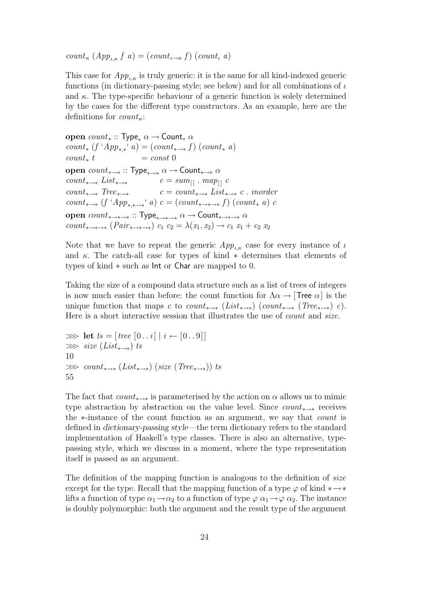$count_{\kappa}(App_{\iota,\kappa} f a) = (count_{\iota \to \kappa} f) (count_{\iota} a)$ 

This case for  $App_{\iota,\kappa}$  is truly generic: it is the same for all kind-indexed generic functions (in dictionary-passing style; see below) and for all combinations of  $\iota$ and  $\kappa$ . The type-specific behaviour of a generic function is solely determined by the cases for the different type constructors. As an example, here are the definitions for  $count_{\kappa}$ :

open  $count_* :: Type_* \alpha \rightarrow Count_* \alpha$  $count_*$   $(f \cdot App_{*,*} \cdot a) = (count_{*-*} f) (count_* a)$  $count_* t = const 0$ open  $count_{\ast\rightarrow\ast}$  :: Type<sub> $\ast\rightarrow\ast$ </sub>  $\alpha \rightarrow$  Count $\ast\rightarrow\ast$   $\alpha$  $count_{* \to *} List_{* \to *}$  c = sum<sub>[]</sub> . map<sub>[]</sub> c  $count_{\ast\rightarrow\ast} \, Tree_{\ast\rightarrow\ast} \, \qquad \qquad c = count_{\ast\rightarrow\ast} \, List_{\ast\rightarrow\ast} \, c \, . \, in order$  $count_{\ast\rightarrow\ast}(f \cdot App_{\ast,\ast\rightarrow\ast} ' a) c = (count_{\ast\rightarrow\ast\rightarrow\ast} f) (count_{\ast} a) c$ open  $count_{* \to * \to *}$  :: Type<sub>\*→\*→\*</sub>  $\alpha \to$  Count<sub>\*→\*→\*</sub>  $\alpha$  $count_{\ast\rightarrow\ast\rightarrow\ast}(Pair_{\ast\rightarrow\ast\rightarrow\ast}) c_1 c_2 = \lambda(x_1, x_2) \rightarrow c_1 x_1 + c_2 x_2$ 

Note that we have to repeat the generic  $App_{\iota,\kappa}$  case for every instance of  $\iota$ and  $\kappa$ . The catch-all case for types of kind  $*$  determines that elements of types of kind ∗ such as Int or Char are mapped to 0.

Taking the size of a compound data structure such as a list of trees of integers is now much easier than before: the count function for  $\Lambda \alpha \rightarrow [\text{Tree } \alpha]$  is the unique function that maps c to count \* + (List \* + + ) (count \* + + (Tree \* + + ) c). Here is a short interactive session that illustrates the use of count and size.

```
\gg let ts = [tree [0.. i] | i \leftarrow [0.. 9] ]\gg size (List<sub>*→*</sub>) ts
10
\gg count<sub>*→*</sub> (List<sub>*→*</sub>) (size (Tree<sub>*→*</sub>)) ts
55
```
The fact that  $count_{*-*}$  is parameterised by the action on  $\alpha$  allows us to mimic type abstraction by abstraction on the value level. Since  $count_{\star\to\star}$  receives the ∗-instance of the count function as an argument, we say that count is defined in dictionary-passing style—the term dictionary refers to the standard implementation of Haskell's type classes. There is also an alternative, typepassing style, which we discuss in a moment, where the type representation itself is passed as an argument.

The definition of the mapping function is analogous to the definition of *size* except for the type. Recall that the mapping function of a type  $\varphi$  of kind  $*\rightarrow*$ lifts a function of type  $\alpha_1 \rightarrow \alpha_2$  to a function of type  $\varphi \alpha_1 \rightarrow \varphi \alpha_2$ . The instance is doubly polymorphic: both the argument and the result type of the argument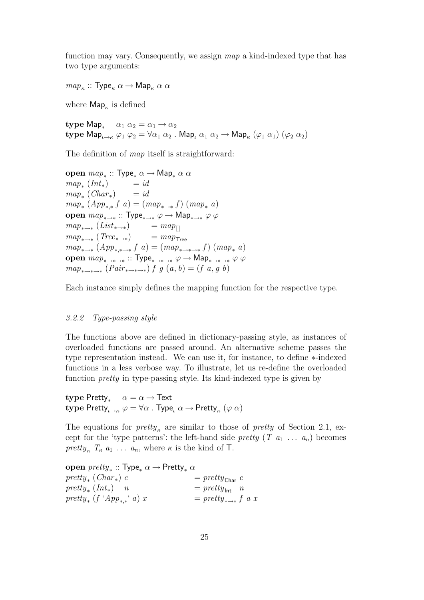function may vary. Consequently, we assign map a kind-indexed type that has two type arguments:

 $map_{\kappa}$  :: Type $_{\kappa}$   $\alpha$   $\rightarrow$  Map $_{\kappa}$   $\alpha$   $\alpha$ 

where  $\mathsf{Map}_{\kappa}$  is defined

type Map<sub>∗</sub>  $\alpha_1 \alpha_2 = \alpha_1 \rightarrow \alpha_2$  $\tt type Map$ <sub> $\iota \rightarrow \kappa \varphi_1 \varphi_2 = \forall \alpha_1 \alpha_2 \; .$   $\textsf{Map}_\iota \; \alpha_1 \; \alpha_2 \rightarrow \textsf{Map}_\kappa \; (\varphi_1 \; \alpha_1) \; (\varphi_2 \; \alpha_2)$ </sub>

The definition of map itself is straightforward:

```
open \mathit{map}_* :: \mathsf{Type}_* \alpha \to \mathsf{Map}_* \alpha \alphamap_* (Int_*) = id
map_* (Char_*) = id
map_* (App_{*,*} f a) = (map_{* \to*} f) (map_* a)\textbf{open}~map_{*\to*}: \textsf{Type}_{*\to*}~\varphi \to \textsf{Map}_{*\to*}~\varphi~\varphimap_{\ast \rightarrow \ast} (List_{\ast \rightarrow \ast}) = map_{[]}map_{* \rightarrow *}(Tree_{* \rightarrow *}) = map_{Tree}map_{\ast \rightarrow \ast}(App_{\ast,\ast \rightarrow \ast} f a) = (map_{\ast \rightarrow \ast \rightarrow \ast} f) (map_{\ast} a)\textbf{open}~map_{*\to * \to *}: : \textsf{Type}_{*\to * \to *}\ \varphi \to \textsf{Map}_{*\to * \to *}\ \varphi\ \varphimap_{* \rightarrow * \rightarrow *}(Pair_{* \rightarrow * \rightarrow *}) f g(a, b) = (f a, g b)
```
Each instance simply defines the mapping function for the respective type.

#### 3.2.2 Type-passing style

The functions above are defined in dictionary-passing style, as instances of overloaded functions are passed around. An alternative scheme passes the type representation instead. We can use it, for instance, to define ∗-indexed functions in a less verbose way. To illustrate, let us re-define the overloaded function pretty in type-passing style. Its kind-indexed type is given by

type Pretty  $\alpha = \alpha \rightarrow$  Text  $\tt type \, \mathsf{Pretty}_{\iota \to \kappa} \, \varphi = \forall \alpha \ . \ \mathsf{Type}_\iota \, \alpha \to \mathsf{Pretty}_{\kappa} \ (\varphi \, \alpha)$ 

The equations for  $pretty<sub>\kappa</sub>$  are similar to those of pretty of Section 2.1, except for the 'type patterns': the left-hand side *pretty*  $(T \ a_1 \ \ldots \ a_n)$  becomes pretty<sub>κ</sub>  $T_{\kappa}$   $a_1$  ...  $a_n$ , where  $\kappa$  is the kind of T.

open  $\mathit{pretty}_* :: \mathsf{Type}_* \alpha \rightarrow \mathsf{Pretty}_* \alpha$  $pretty_* (Char_*) c$  $= \text{pretty}_{\text{Char}} c$  $pretty_*$   $(Int_*)$  n  $= \text{pretty}_{\text{Int}}$  n  $\text{pretty}_*$  (f 'App<sub>\*,\*</sub>' a) x = pretty<sub>\*→\*</sub> f a x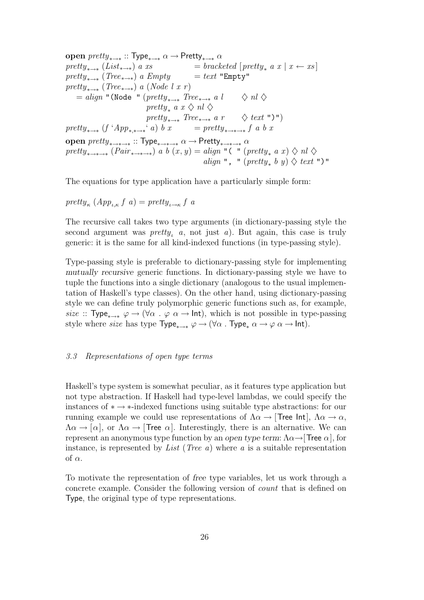open  $\text{pretty}_{\ast \to \ast} :: \text{Type}_{\ast \to \ast} \alpha \to \text{Pretty}_{\ast \to \ast} \alpha$  $pretty_{\ast\rightarrow\ast}$  (List<sub>\*→\*</sub>) a xs  $= bracketed [prefty_* a x \mid x \leftarrow xs]$  $\text{pretty}_{* \to *}( \text{Tree}_{* \to *})$  a  $\text{Empty}$  = text "Empty"  $pretty_{* \to *}$  (Tree<sub>\*→\*</sub>) a (Node l x r) = align "(Node " (pretty∗→∗ Tree∗→∗ a l ♦ nl ♦ pretty<sub>\*</sub> a x  $\Diamond$  nl  $\Diamond$  $\text{prety}_{\ast \to \ast}$  Tree $_{\ast \to \ast}$  a r  $\Diamond$  text ")")  $\text{pretty}_{* \to *}(f \cdot \operatorname{App}_{*, * \to *} \cdot a) b x = \text{pretty}_{* \to * \to *} f a b x$ open  $\text{pretty}_{* \to * \to *}$  :: Type $_{* \to * \to *}$   $\alpha \to \text{Pretty}_{* \to * \to *}$   $\alpha$  $\text{pretty}_{* \to * \to *}(Pair_{* \to * \to *})$  a b  $(x, y) = \text{align}$  "( "  $(\text{pretty}_{*} \ a \ x) \diamondsuit \ n \ \ \Diamond$ align ", " ( $\text{pretty}_*$  b y)  $\diamondsuit$  text ")"

The equations for type application have a particularly simple form:

 $\text{pretty}_{\kappa}$   $(\text{App}_{\iota,\kappa} f a) = \text{pretty}_{\iota \to \kappa} f a$ 

The recursive call takes two type arguments (in dictionary-passing style the second argument was *pretty*,  $a$ , not just  $a$ ). But again, this case is truly generic: it is the same for all kind-indexed functions (in type-passing style).

Type-passing style is preferable to dictionary-passing style for implementing mutually recursive generic functions. In dictionary-passing style we have to tuple the functions into a single dictionary (analogous to the usual implementation of Haskell's type classes). On the other hand, using dictionary-passing style we can define truly polymorphic generic functions such as, for example, size :: Type<sub>\*→\*</sub>  $\varphi \to (\forall \alpha \cdot \varphi \alpha \to \text{Int})$ , which is not possible in type-passing style where *size* has type  $Type_{\ast\rightarrow\ast} \varphi \rightarrow (\forall \alpha \cdot Type_{\ast} \alpha \rightarrow \varphi \alpha \rightarrow Int)$ .

## 3.3 Representations of open type terms

Haskell's type system is somewhat peculiar, as it features type application but not type abstraction. If Haskell had type-level lambdas, we could specify the instances of ∗ → ∗-indexed functions using suitable type abstractions: for our running example we could use representations of  $\Lambda \alpha \rightarrow$  [Tree Int],  $\Lambda \alpha \rightarrow \alpha$ ,  $\Lambda \alpha \rightarrow [\alpha]$ , or  $\Lambda \alpha \rightarrow$  [Tree  $\alpha$ ]. Interestingly, there is an alternative. We can represent an anonymous type function by an open type term:  $\Lambda \alpha \rightarrow$ [Tree  $\alpha$ ], for instance, is represented by List (Tree  $a$ ) where  $a$  is a suitable representation of  $\alpha$ .

To motivate the representation of free type variables, let us work through a concrete example. Consider the following version of count that is defined on Type, the original type of type representations.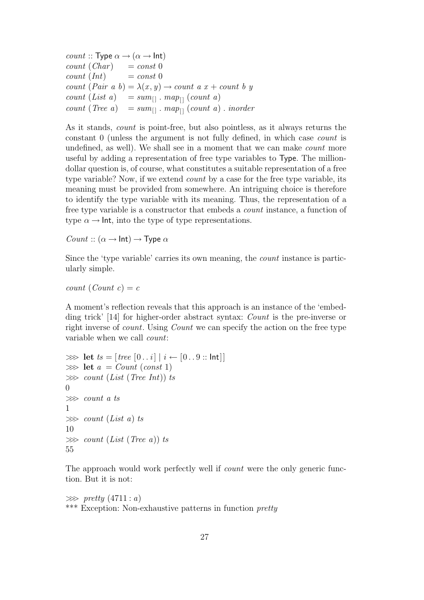*count* :: Type  $\alpha \rightarrow (\alpha \rightarrow \text{Int})$  $count (Char) = const 0$  $count (Int) = const 0$ count  $(Pair \ a \ b) = \lambda(x, y) \rightarrow count \ a \ x + count \ b \ y$ count (List a) =  $sum_{[]}$ . map<sub> $[]$ </sub> (count a) count (Tree a) =  $sum_{[]}$ . map<sub> $[]$ </sub> (count a). inorder

As it stands, count is point-free, but also pointless, as it always returns the constant 0 (unless the argument is not fully defined, in which case count is undefined, as well). We shall see in a moment that we can make count more useful by adding a representation of free type variables to Type. The milliondollar question is, of course, what constitutes a suitable representation of a free type variable? Now, if we extend count by a case for the free type variable, its meaning must be provided from somewhere. An intriguing choice is therefore to identify the type variable with its meaning. Thus, the representation of a free type variable is a constructor that embeds a count instance, a function of type  $\alpha \rightarrow$  Int, into the type of type representations.

 $Count :: (\alpha \rightarrow \text{Int}) \rightarrow \text{Type } \alpha$ 

Since the 'type variable' carries its own meaning, the count instance is particularly simple.

count  $(Count c) = c$ 

A moment's reflection reveals that this approach is an instance of the 'embedding trick' [14] for higher-order abstract syntax: Count is the pre-inverse or right inverse of count. Using Count we can specify the action on the free type variable when we call count:

```
\gg let ts = [tree [0.. i] | i \leftarrow [0.. 9::Int] ]\gg let a = Count (const 1)\gg count (List (Tree Int)) ts
0
\gg count a ts
1
\gg count (List a) ts
10
\gg count (List (Tree a)) ts
55
```
The approach would work perfectly well if *count* were the only generic function. But it is not:

 $\gg\gt{pretty}(4711:a)$ \*\*\* Exception: Non-exhaustive patterns in function *pretty*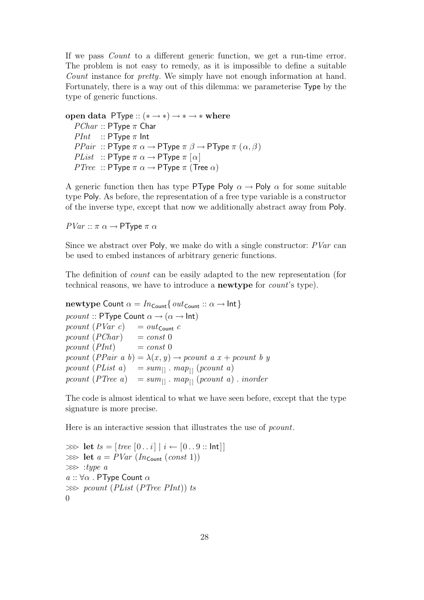If we pass Count to a different generic function, we get a run-time error. The problem is not easy to remedy, as it is impossible to define a suitable Count instance for pretty. We simply have not enough information at hand. Fortunately, there is a way out of this dilemma: we parameterise Type by the type of generic functions.

open data PType ::  $(* \rightarrow *) \rightarrow * \rightarrow *$  where  $PChar :: PType \pi$  Char *PInt* :: PType  $\pi$  Int *PPair* :: PType  $\pi \alpha \rightarrow$  PType  $\pi \beta \rightarrow$  PType  $\pi (\alpha, \beta)$ *PList* :: PType  $\pi \alpha \rightarrow$  PType  $\pi [\alpha]$ *PTree* :: PType  $\pi \alpha \rightarrow$  PType  $\pi$  (Tree  $\alpha$ )

A generic function then has type PType Poly  $\alpha \rightarrow$  Poly  $\alpha$  for some suitable type Poly. As before, the representation of a free type variable is a constructor of the inverse type, except that now we additionally abstract away from Poly.

 $PVar :: \pi \alpha \rightarrow \textsf{PType} \; \pi \; \alpha$ 

Since we abstract over Poly, we make do with a single constructor: PVar can be used to embed instances of arbitrary generic functions.

The definition of count can be easily adapted to the new representation (for technical reasons, we have to introduce a newtype for count's type).

```
newtype Count \alpha = In_{Count} \{ out_{Count} :: \alpha \rightarrow Int \}pcount :: PType Count \alpha \rightarrow (\alpha \rightarrow \text{Int})pcount (PVar c) = out_{Count} cpcount (PChar) = const 0
pcount (Plnt) = const 0
pcount (PPair \ a \ b) = \lambda(x, y) \rightarrow pcount \ a \ x + pcount \ b \ ypcount (Plist a) = sum_{[1]} . map_{[1]} (pcount a)pcount (PTree \space a) = sum_{[]} \cdot map_{[]} (pcount \space a) \cdot inorder
```
The code is almost identical to what we have seen before, except that the type signature is more precise.

Here is an interactive session that illustrates the use of *pcount*.

```
\gg let ts = [tree [0.. i] | i \leftarrow [0.. 9::Int] ]\gg let a = PVar(In_{Count}(const 1))\gg\gg : type a
a :: \forall \alpha . PType Count \alpha\gg pcount (PList (PTree PInt)) ts
\Omega
```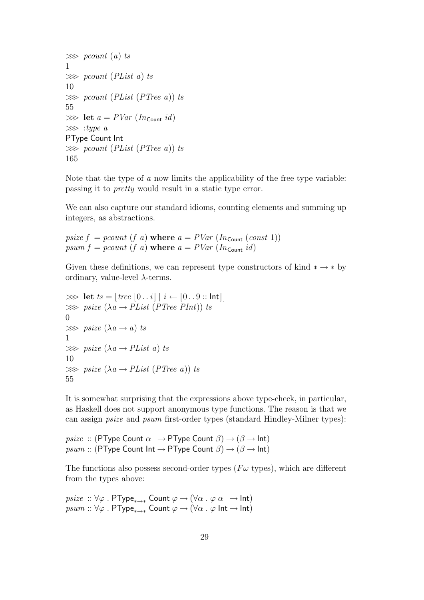```
\gg pcount (a) ts
1
\gg pcount (PList a) ts
10
\gg pcount (PList (PTree a)) ts
55
\gg let a = PVar(In_{Count} id)\gg\gg : type a
PType Count Int
\gg pcount (PList (PTree a)) ts
165
```
Note that the type of a now limits the applicability of the free type variable: passing it to pretty would result in a static type error.

We can also capture our standard idioms, counting elements and summing up integers, as abstractions.

psize  $f = pcount (f a)$  where  $a = PVar (In_{Count} (const 1))$ psum  $f =$  pcount  $(f \ a)$  where  $a = PVar$   $(In_{\text{Count}} id)$ 

Given these definitions, we can represent type constructors of kind  $* \rightarrow *$  by ordinary, value-level  $\lambda$ -terms.

```
\gg let ts = [tree [0.. i] | i \leftarrow [0.. 9::Int] ]\gg psize (\lambda a \rightarrow PList (PTree PInt)) ts
0
\gg psize (\lambda a \rightarrow a) ts
1
\gg psize (\lambda a \rightarrow PList a) ts
10
\gg psize (\lambda a \rightarrow Plist (PTree a)) ts
55
```
It is somewhat surprising that the expressions above type-check, in particular, as Haskell does not support anonymous type functions. The reason is that we can assign psize and psum first-order types (standard Hindley-Milner types):

```
psize :: (PType Count \alpha \rightarrow PType Count \beta) \rightarrow (\beta \rightarrow Int)
psum :: (PType Count Int \rightarrow PType Count \beta) \rightarrow (\beta \rightarrow Int)
```
The functions also possess second-order types ( $F\omega$  types), which are different from the types above:

```
psize :: \forall \varphi. PType<sub>*→*</sub> Count \varphi \to (\forall \alpha \cdot \varphi \alpha \to \text{Int})psum :: \forall \varphi. PType<sub>*→*</sub> Count \varphi \to (\forall \alpha : \varphi \text{ Int } \to \text{ Int})
```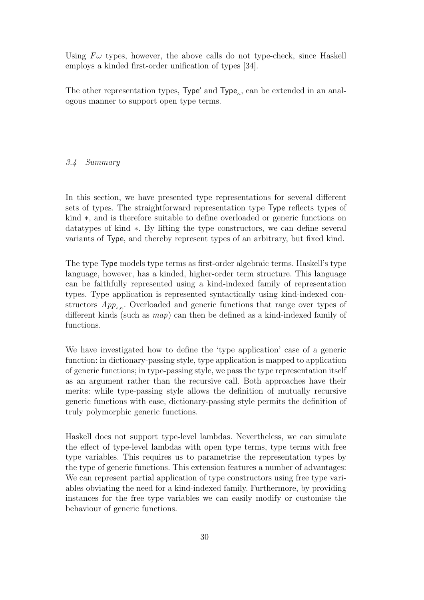Using  $F\omega$  types, however, the above calls do not type-check, since Haskell employs a kinded first-order unification of types [34].

The other representation types,  $Type'$  and  $Type_{\kappa}$ , can be extended in an analogous manner to support open type terms.

# 3.4 Summary

In this section, we have presented type representations for several different sets of types. The straightforward representation type Type reflects types of kind ∗, and is therefore suitable to define overloaded or generic functions on datatypes of kind ∗. By lifting the type constructors, we can define several variants of Type, and thereby represent types of an arbitrary, but fixed kind.

The type Type models type terms as first-order algebraic terms. Haskell's type language, however, has a kinded, higher-order term structure. This language can be faithfully represented using a kind-indexed family of representation types. Type application is represented syntactically using kind-indexed constructors  $App_{i,\kappa}$ . Overloaded and generic functions that range over types of different kinds (such as map) can then be defined as a kind-indexed family of functions.

We have investigated how to define the 'type application' case of a generic function: in dictionary-passing style, type application is mapped to application of generic functions; in type-passing style, we pass the type representation itself as an argument rather than the recursive call. Both approaches have their merits: while type-passing style allows the definition of mutually recursive generic functions with ease, dictionary-passing style permits the definition of truly polymorphic generic functions.

Haskell does not support type-level lambdas. Nevertheless, we can simulate the effect of type-level lambdas with open type terms, type terms with free type variables. This requires us to parametrise the representation types by the type of generic functions. This extension features a number of advantages: We can represent partial application of type constructors using free type variables obviating the need for a kind-indexed family. Furthermore, by providing instances for the free type variables we can easily modify or customise the behaviour of generic functions.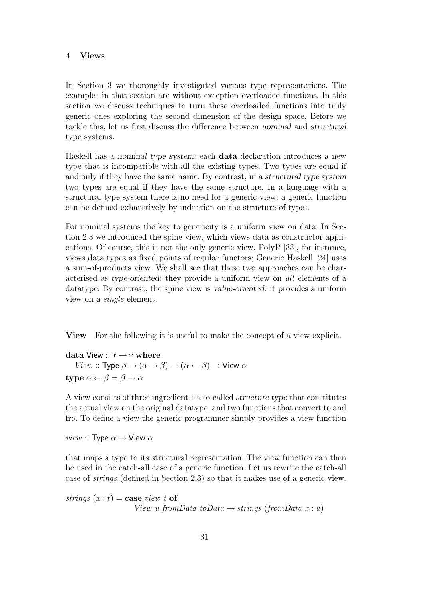## 4 Views

In Section 3 we thoroughly investigated various type representations. The examples in that section are without exception overloaded functions. In this section we discuss techniques to turn these overloaded functions into truly generic ones exploring the second dimension of the design space. Before we tackle this, let us first discuss the difference between nominal and structural type systems.

Haskell has a nominal type system: each data declaration introduces a new type that is incompatible with all the existing types. Two types are equal if and only if they have the same name. By contrast, in a structural type system two types are equal if they have the same structure. In a language with a structural type system there is no need for a generic view; a generic function can be defined exhaustively by induction on the structure of types.

For nominal systems the key to genericity is a uniform view on data. In Section 2.3 we introduced the spine view, which views data as constructor applications. Of course, this is not the only generic view. PolyP [33], for instance, views data types as fixed points of regular functors; Generic Haskell [24] uses a sum-of-products view. We shall see that these two approaches can be characterised as type-oriented: they provide a uniform view on all elements of a datatype. By contrast, the spine view is value-oriented: it provides a uniform view on a single element.

View For the following it is useful to make the concept of a view explicit.

data View :: ∗ → ∗ where View :: Type  $\beta \to (\alpha \to \beta) \to (\alpha \leftarrow \beta) \to V$ iew  $\alpha$ type  $\alpha \leftarrow \beta = \beta \rightarrow \alpha$ 

A view consists of three ingredients: a so-called structure type that constitutes the actual view on the original datatype, and two functions that convert to and fro. To define a view the generic programmer simply provides a view function

```
view :: Type \alpha \rightarrow View \alpha
```
that maps a type to its structural representation. The view function can then be used in the catch-all case of a generic function. Let us rewrite the catch-all case of strings (defined in Section 2.3) so that it makes use of a generic view.

strings  $(x : t) = \text{case view } t \text{ of }$ View u fromData toData  $\rightarrow$  strings (fromData x : u)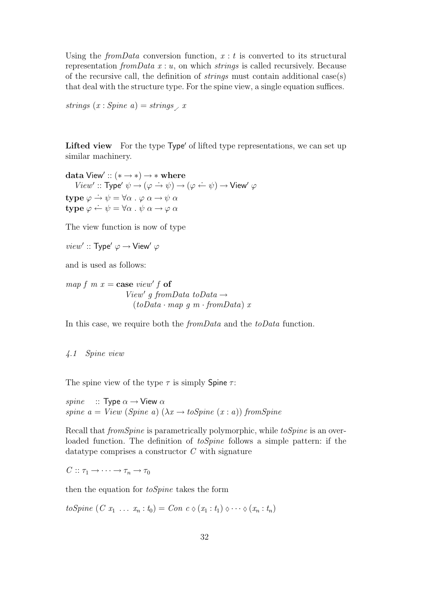Using the *fromData* conversion function,  $x : t$  is converted to its structural representation from Data  $x : u$ , on which strings is called recursively. Because of the recursive call, the definition of strings must contain additional case(s) that deal with the structure type. For the spine view, a single equation suffices.

strings  $(x : Spine a) = strings \, x$ 

Lifted view For the type Type' of lifted type representations, we can set up similar machinery.

data View' ::  $(* \rightarrow *) \rightarrow *$  where View':: Type'  $\psi \to (\varphi \to \psi) \to (\varphi \leftarrow \psi) \to V$ iew'  $\varphi$ type  $\varphi \rightarrow \psi = \forall \alpha \cdot \varphi \alpha \rightarrow \psi \alpha$ type  $\varphi \stackrel{\rightharpoonup}{\leftarrow} \psi = \forall \alpha \cdot \psi \alpha \rightarrow \varphi \alpha$ 

The view function is now of type

 $view' :: Type' \varphi \rightarrow View' \varphi$ 

and is used as follows:

map f m  $x = \cose$  view' f of View' g fromData toData  $\rightarrow$  $(toData \cdot map \cdot g \cdot m \cdot fromData) \cdot x$ 

In this case, we require both the *fromData* and the *toData* function.

#### 4.1 Spine view

The spine view of the type  $\tau$  is simply Spine  $\tau$ :

spine :: Type  $\alpha \rightarrow$  View  $\alpha$ spine  $a = View$  (Spine a)  $(\lambda x \rightarrow toSpine(x : a))$  from Spine

Recall that *fromSpine* is parametrically polymorphic, while *toSpine* is an overloaded function. The definition of  $toSpine$  follows a simple pattern: if the datatype comprises a constructor C with signature

 $C: \tau_1 \to \cdots \to \tau_n \to \tau_0$ 

then the equation for  $toSpine$  takes the form

toSpine  $(C x_1 \ldots x_n : t_0) = Con \ c \diamond (x_1 : t_1) \diamond \cdots \diamond (x_n : t_n)$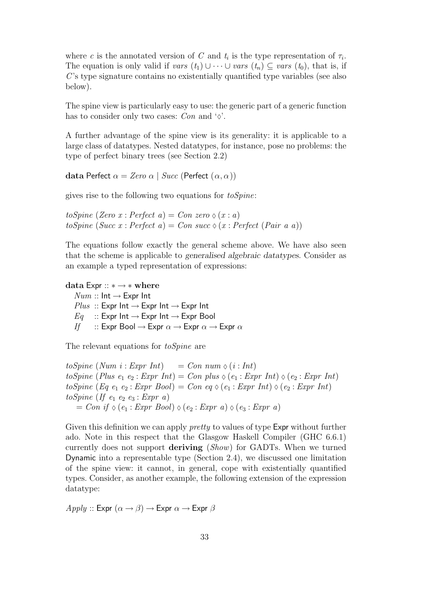where c is the annotated version of C and  $t_i$  is the type representation of  $\tau_i$ . The equation is only valid if vars  $(t_1) \cup \cdots \cup \text{vars}(t_n) \subseteq \text{vars}(t_0)$ , that is, if C 's type signature contains no existentially quantified type variables (see also below).

The spine view is particularly easy to use: the generic part of a generic function has to consider only two cases: Con and  $\Diamond$ .

A further advantage of the spine view is its generality: it is applicable to a large class of datatypes. Nested datatypes, for instance, pose no problems: the type of perfect binary trees (see Section 2.2)

data Perfect  $\alpha = Zero \alpha \mid Succ$  (Perfect  $(\alpha, \alpha)$ )

gives rise to the following two equations for  $toSpine$ :

toSpine (Zero x : Perfect a) = Con zero  $\Diamond(x : a)$ toSpine (Succ x : Perfect a) = Con succ  $\Diamond(x : Perfect \; (Pair \; a))$ 

The equations follow exactly the general scheme above. We have also seen that the scheme is applicable to generalised algebraic datatypes. Consider as an example a typed representation of expressions:

```
data Expr :: ∗ → ∗ where
   Num :: Int \rightarrow Expr IntPlus :: Expr Int \rightarrow Expr Int \rightarrow Expr Int
   Eq :: Expr Int \rightarrow Expr Int \rightarrow Expr Bool
   If :: Expr Bool \rightarrow Expr \alpha \rightarrow Expr \alpha \rightarrow Expr \alpha
```
The relevant equations for  $toSpine$  are

 $toSpine$  (Num  $i: Expr Int$ ) =  $Con num \diamond (i: Int)$ toSpine (Plus  $e_1$   $e_2$ : Expr Int) = Con plus  $\Diamond$  ( $e_1$ : Expr Int)  $\Diamond$  ( $e_2$ : Expr Int) toSpine (Eq e<sub>1</sub> e<sub>2</sub> : Expr Bool) = Con eq  $\Diamond$  (e<sub>1</sub> : Expr Int)  $\Diamond$  (e<sub>2</sub> : Expr Int) toSpine (If  $e_1$   $e_2$   $e_3$  : Expr a)  $= Con \text{ if } \Diamond(e_1 : Expr \; Bool) \Diamond(e_2 : Expr \; a) \Diamond(e_3 : Expr \; a)$ 

Given this definition we can apply *pretty* to values of type Expr without further ado. Note in this respect that the Glasgow Haskell Compiler (GHC 6.6.1) currently does not support deriving (Show) for GADTs. When we turned Dynamic into a representable type (Section 2.4), we discussed one limitation of the spine view: it cannot, in general, cope with existentially quantified types. Consider, as another example, the following extension of the expression datatype:

 $Apply :: \text{Expr } (\alpha \rightarrow \beta) \rightarrow \text{Expr } \alpha \rightarrow \text{Expr } \beta$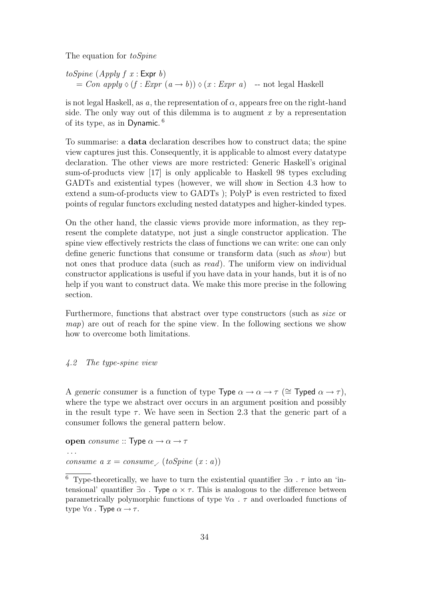The equation for *toSpine* 

toSpine  $(Apply f x : Expr b)$  $= Con \ apply \ \Diamond \ (f : \iota \to b) \) \ \Diamond \ (x : \iota \to b) \$  -- not legal Haskell

is not legal Haskell, as a, the representation of  $\alpha$ , appears free on the right-hand side. The only way out of this dilemma is to augment  $x$  by a representation of its type, as in Dynamic.  $^6$ 

To summarise: a data declaration describes how to construct data; the spine view captures just this. Consequently, it is applicable to almost every datatype declaration. The other views are more restricted: Generic Haskell's original sum-of-products view [17] is only applicable to Haskell 98 types excluding GADTs and existential types (however, we will show in Section 4.3 how to extend a sum-of-products view to GADTs ); PolyP is even restricted to fixed points of regular functors excluding nested datatypes and higher-kinded types.

On the other hand, the classic views provide more information, as they represent the complete datatype, not just a single constructor application. The spine view effectively restricts the class of functions we can write: one can only define generic functions that consume or transform data (such as *show*) but not ones that produce data (such as read). The uniform view on individual constructor applications is useful if you have data in your hands, but it is of no help if you want to construct data. We make this more precise in the following section.

Furthermore, functions that abstract over type constructors (such as *size* or map) are out of reach for the spine view. In the following sections we show how to overcome both limitations.

# 4.2 The type-spine view

A generic consumer is a function of type  $\alpha \rightarrow \alpha \rightarrow \tau$  ( $\cong$  Typed  $\alpha \rightarrow \tau$ ), where the type we abstract over occurs in an argument position and possibly in the result type  $\tau$ . We have seen in Section 2.3 that the generic part of a consumer follows the general pattern below.

open consume :: Type  $\alpha \rightarrow \alpha \rightarrow \tau$ . . . consume a  $x = \text{cosume} \setminus (toSpine(x : a))$ 

<sup>&</sup>lt;sup>6</sup> Type-theoretically, we have to turn the existential quantifier  $\exists \alpha \cdot \tau$  into an 'intensional' quantifier  $\exists \alpha$ . Type  $\alpha \times \tau$ . This is analogous to the difference between parametrically polymorphic functions of type  $\forall \alpha \cdot \tau$  and overloaded functions of type  $\forall \alpha$  . Type  $\alpha \rightarrow \tau$ .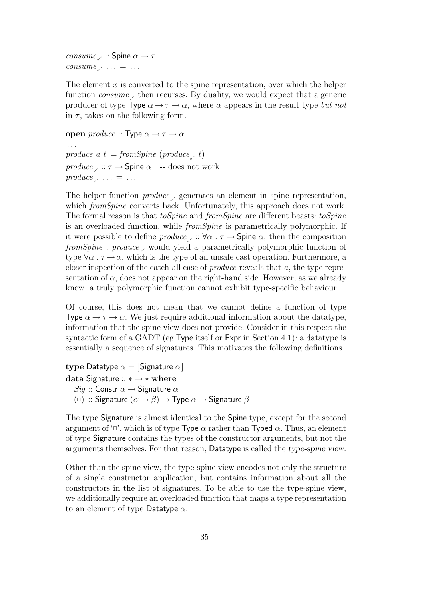$\mathit{cosume}$ : Spine  $\alpha \rightarrow \tau$  $\textit{cosume}_{\ell} \ldots = \ldots$ 

The element  $x$  is converted to the spine representation, over which the helper function *consume* then recurses. By duality, we would expect that a generic producer of type  $\overline{\alpha} \to \tau \to \alpha$ , where  $\alpha$  appears in the result type *but not* in  $\tau$ , takes on the following form.

open *produce* :: Type  $\alpha \rightarrow \tau \rightarrow \alpha$ 

. . . produce a  $t = fromSpine (produce \neq t)$ produce  $\chi: \tau \to \mathsf{Spine}\,\alpha$  -- does not work  $produce \_ \ldots = \ldots$ 

The helper function  $produce \_$  generates an element in spine representation, which *fromSpine* converts back. Unfortunately, this approach does not work. The formal reason is that *toSpine* and *fromSpine* are different beasts: *toSpine* is an overloaded function, while fromSpine is parametrically polymorphic. If it were possible to define  $produce$ ::  $\forall \alpha \cdot \tau \rightarrow$  Spine  $\alpha$ , then the composition  $from Spine$ . produce, would yield a parametrically polymorphic function of type  $\forall \alpha \cdot \tau \rightarrow \alpha$ , which is the type of an unsafe cast operation. Furthermore, a closer inspection of the catch-all case of *produce* reveals that  $a$ , the type representation of  $\alpha$ , does not appear on the right-hand side. However, as we already know, a truly polymorphic function cannot exhibit type-specific behaviour.

Of course, this does not mean that we cannot define a function of type Type  $\alpha \to \tau \to \alpha$ . We just require additional information about the datatype, information that the spine view does not provide. Consider in this respect the syntactic form of a GADT (eg Type itself or Expr in Section 4.1): a datatype is essentially a sequence of signatures. This motivates the following definitions.

```
type Datatype \alpha = [Signature \alpha]
data Signature :: ∗ → ∗ where
  Sig :: Constr \alpha \rightarrow Signature \alpha(□) :: Signature (α → β) → Type α → Signature β
```
The type Signature is almost identical to the Spine type, except for the second argument of ' $\Box$ ', which is of type Type  $\alpha$  rather than Typed  $\alpha$ . Thus, an element of type Signature contains the types of the constructor arguments, but not the arguments themselves. For that reason, Datatype is called the type-spine view.

Other than the spine view, the type-spine view encodes not only the structure of a single constructor application, but contains information about all the constructors in the list of signatures. To be able to use the type-spine view, we additionally require an overloaded function that maps a type representation to an element of type Datatype  $\alpha$ .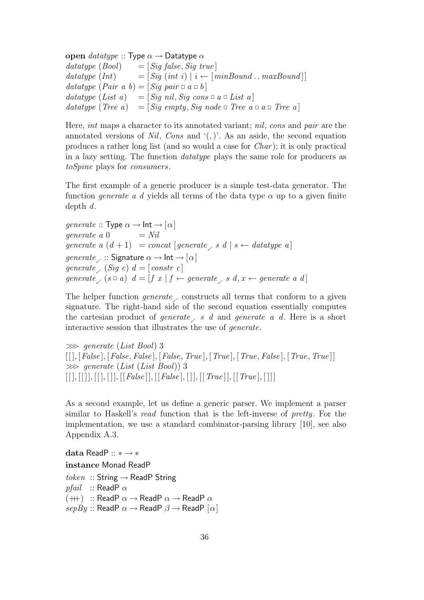open  $\text{datatype} ::$  Type  $\alpha \rightarrow$  Datatype  $\alpha$ datatype  $(Bool) = [Sig false, Sig true]$ datatype  $(Int) = [Sig (int i) | i \leftarrow [minBound \dots maxBound] ]$ datatype  $(Pair \ a \ b) = [Sig \ pair \ a \ a \ b]$ <br>datatype  $(List \ a) = [Sig \ nil, Sig \ cons$  $\mathcal{S}[s] = [Sig\; nil, Sig\; cons \sqcup a \sqcup List\; a]$ datatype (Tree a) = [Sig empty, Sig node  $\Box$  Tree  $a \Box a \Box$  Tree a]

Here, int maps a character to its annotated variant; nil, cons and pair are the annotated versions of Nil, Cons and  $($ ,  $)$ . As an aside, the second equation produces a rather long list (and so would a case for Char ); it is only practical in a lazy setting. The function datatype plays the same role for producers as toSpine plays for consumers.

The first example of a generic producer is a simple test-data generator. The function *generate* a d yields all terms of the data type  $\alpha$  up to a given finite depth  $d$ .

generate :: Type  $\alpha \rightarrow \text{Int} \rightarrow [\alpha]$ qenerate a 0  $=$  Nil generate  $a(d+1) = concat[generate \, , s \, d \mid s \leftarrow datotype a]$ *generate*  $\ldots$  Signature  $\alpha \rightarrow \ln t \rightarrow [\alpha]$ generate<sub> $\langle$ </sub> (Sig c)  $d =$ [constr c] generate<sub>/</sub>  $(s \Box a)$   $d = [f \ x \ | \ f \leftarrow \text{generate } s \ d, x \leftarrow \text{ generate } a \ d]$ 

The helper function  $generate \_$  constructs all terms that conform to a given signature. The right-hand side of the second equation essentially computes the cartesian product of generate, s d and generate a d. Here is a short interactive session that illustrates the use of generate.

```
\gg generate (List Bool) 3
[[ ], [False], [False, False], [False, True], [True], [True, False], [True, True]]\gg generate (List (List Bool)) 3
[[ ], [[]], [[], [[], [[], [[False]], [[False], [[], [[True]], [[True], [[]]]]
```
As a second example, let us define a generic parser. We implement a parser similar to Haskell's read function that is the left-inverse of pretty. For the implementation, we use a standard combinator-parsing library [10], see also Appendix A.3.

data ReadP :: ∗ → ∗ instance Monad ReadP  $token :: String \rightarrow ReadP String$ *pfail* :: ReadP  $\alpha$ ( $+\text{+}$ ) :: ReadP  $\alpha \rightarrow$  ReadP  $\alpha \rightarrow$  ReadP  $\alpha$  $sepBy :: ReadP \alpha \rightarrow ReadP \beta \rightarrow ReadP \alpha$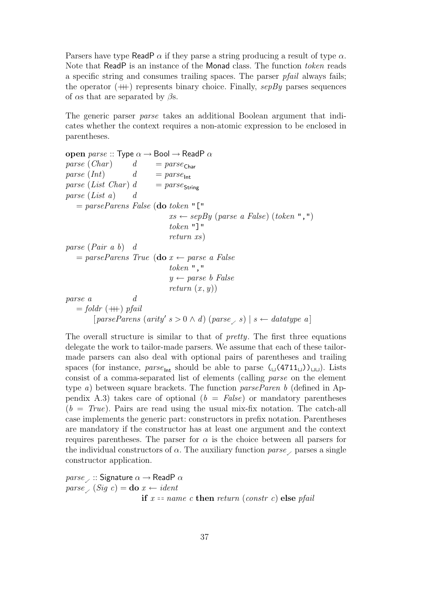Parsers have type ReadP  $\alpha$  if they parse a string producing a result of type  $\alpha$ . Note that ReadP is an instance of the Monad class. The function token reads a specific string and consumes trailing spaces. The parser pfail always fails; the operator  $(+)$  represents binary choice. Finally, sep By parses sequences of  $\alpha$ s that are separated by  $\beta$ s.

The generic parser parse takes an additional Boolean argument that indicates whether the context requires a non-atomic expression to be enclosed in parentheses.

open  $\text{parse} :: \text{Type } \alpha \rightarrow \text{Bool} \rightarrow \text{ReadP } \alpha$ parse (Char)  $d = parse_{Char}$ parse  $(Int)$   $d = parse_{Int}$ parse (List Char)  $d = parse_{String}$ parse  $(List \, a)$  d  $= parseParents False$  (do token "["]  $xs \leftarrow sepBy$  (parse a False) (token ",")  $token "]$ " return xs) parse (Pair a b) d  $= parseParents$  True (do  $x \leftarrow parse$  a False token ","  $y \leftarrow parse \ b \ False$ return  $(x, y)$ parse a d  $=$  foldr  $(++)$  pfail  $[parseParents (arity' s > 0 \land d) (parse_{\angle} s) | s \leftarrow dattype a]$ 

The overall structure is similar to that of pretty. The first three equations delegate the work to tailor-made parsers. We assume that each of these tailormade parsers can also deal with optional pairs of parentheses and trailing spaces (for instance,  $parse_{\text{Int}}$  should be able to parse  $(\text{L}(4711_{\text{L}}))_{\text{L}}$ ). Lists consist of a comma-separated list of elements (calling parse on the element type a) between square brackets. The function parseParen b (defined in Appendix A.3) takes care of optional  $(b = False)$  or mandatory parentheses  $(b = True)$ . Pairs are read using the usual mix-fix notation. The catch-all case implements the generic part: constructors in prefix notation. Parentheses are mandatory if the constructor has at least one argument and the context requires parentheses. The parser for  $\alpha$  is the choice between all parsers for the individual constructors of  $\alpha$ . The auxiliary function parse, parses a single constructor application.

```
\textit{parse}_{\geq} :: Signature \alpha \rightarrow \mathsf{ReadP}\ \alphaparse (Siq\ c) =do x \leftarrow identif x = name \; c then return (constr c) else pfail
```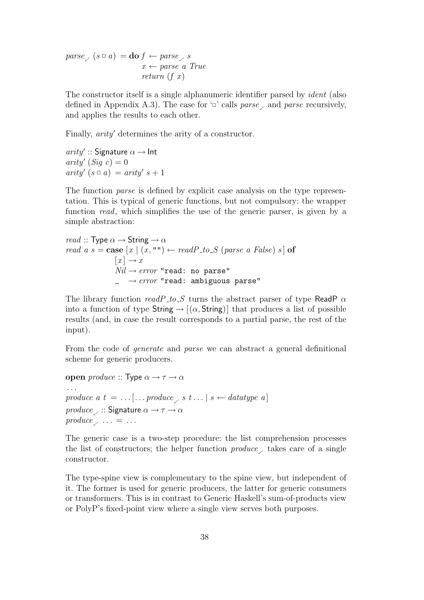$parse_{\geq}(s \sqcirc a) =$ **do**  $f \leftarrow parse_{\geq} s$  $x \leftarrow parse\ a\ True$ return  $(f x)$ 

The constructor itself is a single alphanumeric identifier parsed by *ident* (also defined in Appendix A.3). The case for ' $\sigma$ ' calls parse and parse recursively, and applies the results to each other.

Finally, *arity* determines the arity of a constructor.

 $arity' ::$  Signature  $\alpha \rightarrow$  Int arity'  $(Sig\ c) = 0$  $arity' (s \square a) = arity' s + 1$ 

The function parse is defined by explicit case analysis on the type representation. This is typical of generic functions, but not compulsory: the wrapper function *read*, which simplifies the use of the generic parser, is given by a simple abstraction:

```
read :: Type \alpha \rightarrow String \rightarrow \alpharead a s = \case [x | (x, \cdot \cdot \cdot \cdot) \leftarrow \text{readP_to.S} (parse a False) s of
                   [x] \rightarrow xNil \rightarrow error "read: no parse"
                    \Box \rightarrow error "read: ambiguous parse"
```
The library function readP to S turns the abstract parser of type ReadP  $\alpha$ into a function of type  $String \rightarrow [(\alpha, String)]$  that produces a list of possible results (and, in case the result corresponds to a partial parse, the rest of the input).

From the code of generate and parse we can abstract a general definitional scheme for generic producers.

```
open produce :: Type \alpha \rightarrow \tau \rightarrow \alpha. . .
produce a t = ...[...produce s t...] s \leftarrow datatype a]
\text{produce}_{\geq} :: \mathsf{Signature} \ \alpha \rightarrow \tau \rightarrow \alphaproduce \ldots = \ldots
```
The generic case is a two-step procedure: the list comprehension processes the list of constructors; the helper function  $\textit{produce} \neq \text{takes care of a single}$ constructor.

The type-spine view is complementary to the spine view, but independent of it. The former is used for generic producers, the latter for generic consumers or transformers. This is in contrast to Generic Haskell's sum-of-products view or PolyP's fixed-point view where a single view serves both purposes.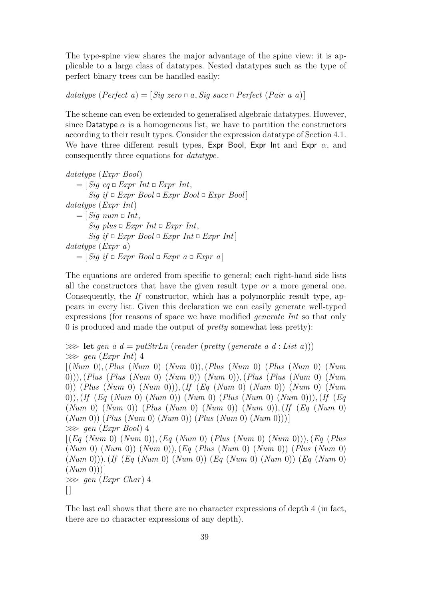The type-spine view shares the major advantage of the spine view: it is applicable to a large class of datatypes. Nested datatypes such as the type of perfect binary trees can be handled easily:

datatype (Perfect a) = [Sig zero  $\Box$  a, Sig succ  $\Box$  Perfect (Pair a a)]

The scheme can even be extended to generalised algebraic datatypes. However, since Datatype  $\alpha$  is a homogeneous list, we have to partition the constructors according to their result types. Consider the expression datatype of Section 4.1. We have three different result types, Expr Bool, Expr Int and Expr  $\alpha$ , and consequently three equations for datatype.

datatype (Expr Bool)  $=[$  Sig eq  $\Box$  Expr Int  $\Box$  Expr Int,  $Sig$  if  $\Box$  Expr Bool  $\Box$  Expr Bool  $\Box$  Expr Bool datatype (Expr Int)  $=[$  Sig num  $\Box$  Int.  $Sig$  plus  $\Box$  Expr Int  $\Box$  Expr Int,  $Sig \textit{ if } \exists \textit{Expr} \textit{Bool} \sqsupset \textit{Expr} \textit{Int } \exists \textit{Expr} \textit{Int } ]$ datatype (Expr a)  $=[ Sig if \sqcup Expr \; Bool \sqcup Expr \; a \sqcup Expr \; a]$ 

The equations are ordered from specific to general; each right-hand side lists all the constructors that have the given result type  $\sigma r$  a more general one. Consequently, the If constructor, which has a polymorphic result type, appears in every list. Given this declaration we can easily generate well-typed expressions (for reasons of space we have modified generate Int so that only 0 is produced and made the output of pretty somewhat less pretty):

 $\gg$  let gen a  $d = putStrLn$  (render (pretty (generate a d : List a)))  $\gg$  gen (Expr Int) 4  $[(Num\ 0), (Plus\ (Num\ 0)\ (Num\ 0)), (Plus\ (Num\ 0)\ (Num\ 0)]$ 0))),  $(Plus (Plus (Num 0) (Num 0)) (Num 0)), (Plus (Plus (Num 0) (Num 0)))$ 0)) (Plus (Num 0) (Num 0))), (If (Eq (Num 0) (Num 0)) (Num 0) (Num 0)),  $(If (Eq (Num 0) (Num 0)) (Num 0) (Plus (Num 0) (Num 0))$ ,  $(If (Eq 0)$  $(Num\ 0)\ (Num\ 0))$   $(Plus\ (Num\ 0)\ (Num\ 0))\ (Num\ 0)),$   $(If\ (Eq\ (Num\ 0))$  $(Num 0)$   $(Plus (Num 0) (Num 0) (Plus (Num 0) (Num 0))$ >>> gen (Expr Bool) 4  $[(Eq (Num 0) (Num 0)), (Eq (Num 0) (Plus (Num 0) (Num 0))], (Eq (Plus 0))$  $(Num\ 0)$   $(Num\ 0)$ )  $(Num\ 0)$ ,  $(Eq\ (Plus\ (Num\ 0)$   $(Num\ 0))$   $(Plus\ (Num\ 0)$  $(Num\ 0)),(If (Eq (Num\ 0) (Num\ 0)) (Eq (Num\ 0) (Num\ 0)) (Eq (Num\ 0))$  $(Num(0)))$ ]  $\gg$  gen (Expr Char) 4  $\prod$ 

The last call shows that there are no character expressions of depth 4 (in fact, there are no character expressions of any depth).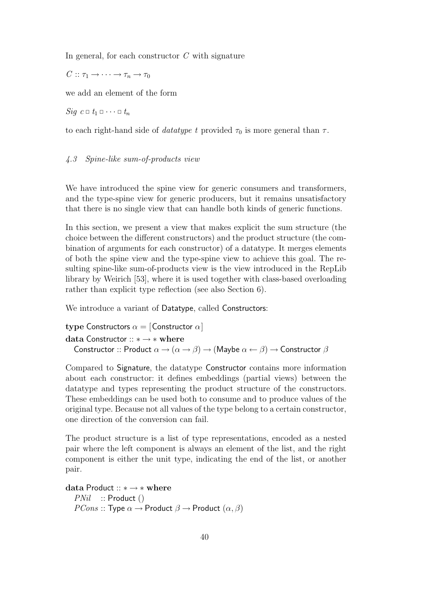In general, for each constructor  $C$  with signature

 $C: \tau_1 \rightarrow \cdots \rightarrow \tau_n \rightarrow \tau_0$ 

we add an element of the form

 $Sig \ c \sqcup t_1 \sqcup \cdots \sqcup t_n$ 

to each right-hand side of *datatype t* provided  $\tau_0$  is more general than  $\tau$ .

# 4.3 Spine-like sum-of-products view

We have introduced the spine view for generic consumers and transformers, and the type-spine view for generic producers, but it remains unsatisfactory that there is no single view that can handle both kinds of generic functions.

In this section, we present a view that makes explicit the sum structure (the choice between the different constructors) and the product structure (the combination of arguments for each constructor) of a datatype. It merges elements of both the spine view and the type-spine view to achieve this goal. The resulting spine-like sum-of-products view is the view introduced in the RepLib library by Weirich [53], where it is used together with class-based overloading rather than explicit type reflection (see also Section 6).

We introduce a variant of Datatype, called Constructors:

type Constructors  $\alpha =$  [Constructor  $\alpha$ ] data Constructor :: ∗ → ∗ where Constructor :: Product  $\alpha \to (\alpha \to \beta) \to$  (Maybe  $\alpha \leftarrow \beta$ )  $\to$  Constructor  $\beta$ 

Compared to Signature, the datatype Constructor contains more information about each constructor: it defines embeddings (partial views) between the datatype and types representing the product structure of the constructors. These embeddings can be used both to consume and to produce values of the original type. Because not all values of the type belong to a certain constructor, one direction of the conversion can fail.

The product structure is a list of type representations, encoded as a nested pair where the left component is always an element of the list, and the right component is either the unit type, indicating the end of the list, or another pair.

```
data Product :: ∗ → ∗ where
   PNil :: Product ()
  PCons :: Type \alpha \rightarrow Product \beta \rightarrow Product (\alpha, \beta)
```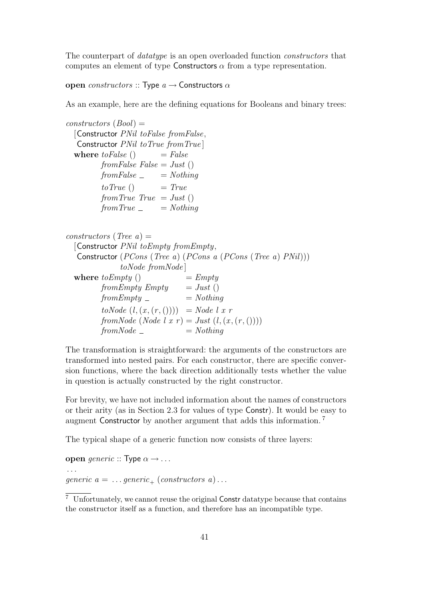The counterpart of *datatype* is an open overloaded function *constructors* that computes an element of type Constructors  $\alpha$  from a type representation.

# open *constructors* :: Type  $a \rightarrow$  Constructors  $\alpha$

As an example, here are the defining equations for Booleans and binary trees:

 $constructors (Bool) =$ [Constructor PNil toFalse fromFalse, Constructor PNil to True from True where  $to False$  ()  $= False$  $from False False = Just$  () fromFalse = Nothing  $toTrue$  ()  $= True$  $from True \, True = Just ()$ fromTrue = Nothing  $constructions$  (Tree a)  $=$ [Constructor PNil toEmpty fromEmpty, Constructor  $(PCons (Tree a) (PCons a (PCons (Tree a) PNil)))$ toNode fromNode ] where  $toEmpty$  ()  $=Empty$ fromEmpty Empty  $=$  Just () fromEmpty = Nothing  $toNode (l, (x, (r,)))$  = Node l x r fromNode (Node l x r) = Just  $(l, (x, (r,)))$ )  $fromNode = \qquad \qquad = Nothing$ 

The transformation is straightforward: the arguments of the constructors are transformed into nested pairs. For each constructor, there are specific conversion functions, where the back direction additionally tests whether the value in question is actually constructed by the right constructor.

For brevity, we have not included information about the names of constructors or their arity (as in Section 2.3 for values of type Constr). It would be easy to augment Constructor by another argument that adds this information. <sup>7</sup>

The typical shape of a generic function now consists of three layers:

```
open generic :: Type \alpha \rightarrow \dots. . .
generic a = \dots generic<sub>+</sub> (constructors a)...
```
 $7$  Unfortunately, we cannot reuse the original Constr datatype because that contains the constructor itself as a function, and therefore has an incompatible type.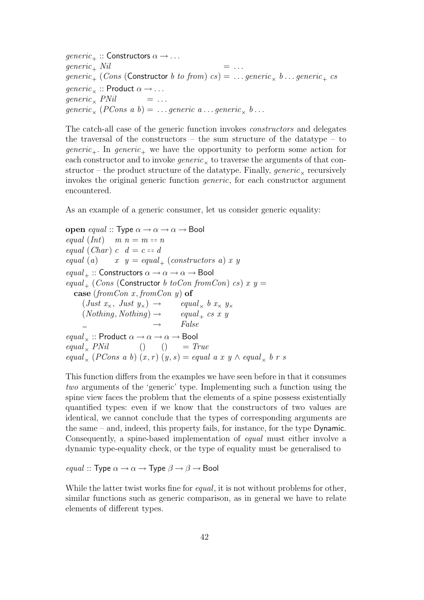$generic_+ ::$  Constructors  $\alpha \rightarrow \dots$  $generic_+$  Nil  $= \dots$ generic<sub>+</sub> (Cons (Constructor b to from) cs) = ... generic<sub>x</sub> b... generic<sub>+</sub> cs  $generic_{\times}$ : Product  $\alpha \rightarrow \dots$  $\textit{generic} \downarrow \textit{PNil}$  = ... generic<sub>x</sub> (PCons a b) = ... generic a... generic<sub>x</sub> b...

The catch-all case of the generic function invokes constructors and delegates the traversal of the constructors – the sum structure of the datatype – to generic<sub>+</sub>. In generic<sub>+</sub> we have the opportunity to perform some action for each constructor and to invoke  $generic_{\times}$  to traverse the arguments of that constructor – the product structure of the datatype. Finally, generic<sub> $\times$ </sub> recursively invokes the original generic function generic, for each constructor argument encountered.

As an example of a generic consumer, let us consider generic equality:

open *equal* :: Type  $\alpha \rightarrow \alpha \rightarrow \alpha \rightarrow$  Bool equal  $(Int)$   $m n = m = n$ equal (Char)  $c \ d = c = d$ equal (a)  $x \, y = \text{equal}_{+} (\text{constructors a}) \, x \, y$  $equal_+ ::$  Constructors  $\alpha \rightarrow \alpha \rightarrow \alpha \rightarrow$  Bool equal  $_{+}$  (Constructor b to Con from Con) cs) x y = case (fromCon x, fromCon y) of  $(Just\ x_{\times},\ Just\ y_{\times}) \rightarrow$  equal<sub> $\times$ </sub> b  $x_{\times} y_{\times}$  $(Nothing, Nothing) \rightarrow \text{equal}_{+} \text{cs } x y$  $\rightarrow$  False  $equal_{\times}$ : Product  $\alpha \rightarrow \alpha \rightarrow \alpha \rightarrow$  Bool  $equal \sim PNil$  ()  $)= True$ equal  $\chi$  (PCons a b)  $(x, r)$   $(y, s) =$  equal a x y  $\land$  equal  $\chi$  b r s

This function differs from the examples we have seen before in that it consumes two arguments of the 'generic' type. Implementing such a function using the spine view faces the problem that the elements of a spine possess existentially quantified types: even if we know that the constructors of two values are identical, we cannot conclude that the types of corresponding arguments are the same – and, indeed, this property fails, for instance, for the type Dynamic. Consequently, a spine-based implementation of equal must either involve a dynamic type-equality check, or the type of equality must be generalised to

equal :: Type  $\alpha \rightarrow \alpha \rightarrow$  Type  $\beta \rightarrow \beta \rightarrow$  Bool

While the latter twist works fine for *equal*, it is not without problems for other, similar functions such as generic comparison, as in general we have to relate elements of different types.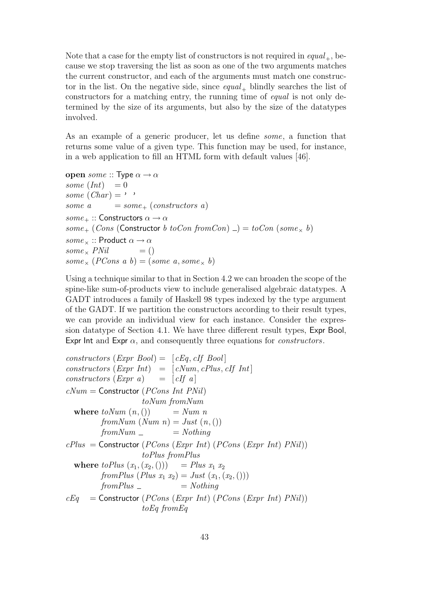Note that a case for the empty list of constructors is not required in  $equal_+$ , because we stop traversing the list as soon as one of the two arguments matches the current constructor, and each of the arguments must match one constructor in the list. On the negative side, since  $equal_{+}$  blindly searches the list of constructors for a matching entry, the running time of equal is not only determined by the size of its arguments, but also by the size of the datatypes involved.

As an example of a generic producer, let us define some, a function that returns some value of a given type. This function may be used, for instance, in a web application to fill an HTML form with default values [46].

open some :: Type  $\alpha \rightarrow \alpha$ some  $(Int) = 0$ some  $(Char) = \cdot$ some  $a = some_+ (constructors a)$  $some_+ ::$  Constructors  $\alpha \rightarrow \alpha$ some<sub>+</sub> (Cons (Constructor b to Con from Con)  $=$  to Con (some<sub>x</sub> b)  $some_\times$ :: Product  $\alpha \rightarrow \alpha$  $some \times PNil$  = ()  $some_{\times}$  (PCons a b) = (some a, some<sub>x</sub> b)

Using a technique similar to that in Section 4.2 we can broaden the scope of the spine-like sum-of-products view to include generalised algebraic datatypes. A GADT introduces a family of Haskell 98 types indexed by the type argument of the GADT. If we partition the constructors according to their result types, we can provide an individual view for each instance. Consider the expression datatype of Section 4.1. We have three different result types, Expr Bool, Expr Int and Expr  $\alpha$ , and consequently three equations for *constructors*.

```
constructors (Expr \; Bool) = [cEq, cIf \; Bool]constructors (Expr Int) = [cNum, cPlus, cIf Int]constructors (Expr a) = [cIf a]cNum = Constructor (PCons Int PNil)
                                       toNum fromNum
    where toNum(n,()) = Num nfromNum (Num n) = Just (n, ()from Num = \nightharpoonup \nightharpoonup \nightharpoonup \nightharpoonup \nightharpoonup \nightharpoonup \nightharpoonup \nightharpoonup \nightharpoonup \nightharpoonup \nightharpoonup \nightharpoonup \nightharpoonup \nightharpoonup \nightharpoonup \nightharpoonup \nightharpoonup \nightharpoonup \nightharpoonup \nightharpoonup \nightharpoonup \nightharpoonup \nightharpoonup \nightharpoonup \nightharpoonup \nightharpoonup \nightharpoonup \nightharpoonup \nightharpoonup \nightharpoonup \nightharpoonup \nightharpoonup \nightharpoonup \nightharpoonup \nightharpoonup \nightharpoonup \cPlus = Constructor (PCons (Expr Int) (PCons (Expr Int) PNil))
                                       toPlus fromPlus
    where toPlus(x_1,(x_2,()) = Plus x_1, x_2from Plus (Plus x_1 x_2) = Just (x_1,(x_2,()))
                  from Plus = NothingcEq = Constructor (PCons (Expr Int) (PCons (Expr Int) PNil))
                                       toEq fromEq
```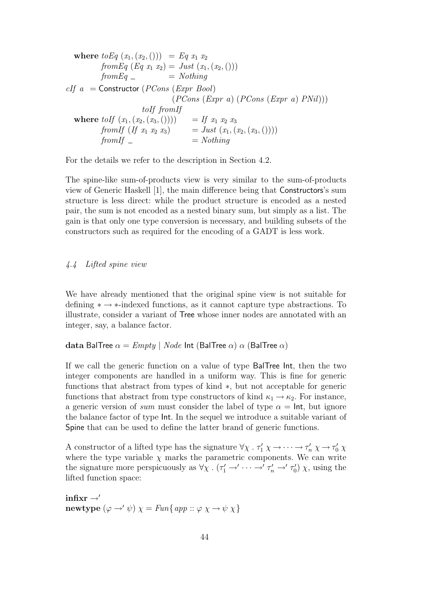where 
$$
toEq(x_1, (x_2,()) ) = Eq x_1 x_2
$$
  
\n $fromEq(Eq x_1 x_2) = Just (x_1, (x_2,()) )$   
\n $fromEq = Notbing$   
\n $cff a = Constructor (PCons (Expr Bool)$   
\n $(PCons (Expr a) (PCons (Expr a) PNil)))$   
\n $toIf fromIf$   
\nwhere  $toIf (x_1, (x_2, (x_3,))) ) = If x_1 x_2 x_3$   
\n $fromIf (If x_1 x_2 x_3) = Just (x_1, (x_2, (x_3,))) )$   
\n $= Notbing$ 

For the details we refer to the description in Section 4.2.

The spine-like sum-of-products view is very similar to the sum-of-products view of Generic Haskell [1], the main difference being that Constructors's sum structure is less direct: while the product structure is encoded as a nested pair, the sum is not encoded as a nested binary sum, but simply as a list. The gain is that only one type conversion is necessary, and building subsets of the constructors such as required for the encoding of a GADT is less work.

## 4.4 Lifted spine view

We have already mentioned that the original spine view is not suitable for defining ∗ → ∗-indexed functions, as it cannot capture type abstractions. To illustrate, consider a variant of Tree whose inner nodes are annotated with an integer, say, a balance factor.

# data BalTree  $\alpha = Empty \mid Node$  Int (BalTree  $\alpha$ )  $\alpha$  (BalTree  $\alpha$ )

If we call the generic function on a value of type BalTree Int, then the two integer components are handled in a uniform way. This is fine for generic functions that abstract from types of kind ∗, but not acceptable for generic functions that abstract from type constructors of kind  $\kappa_1 \rightarrow \kappa_2$ . For instance, a generic version of sum must consider the label of type  $\alpha = \text{Int}$ , but ignore the balance factor of type Int. In the sequel we introduce a suitable variant of Spine that can be used to define the latter brand of generic functions.

A constructor of a lifted type has the signature  $\forall \chi \cdot \tau'_1 \chi \to \cdots \to \tau'_n \chi \to \tau'_0 \chi$ where the type variable  $\chi$  marks the parametric components. We can write the signature more perspicuously as  $\forall \chi \cdot (\tau_1' \to' \cdots \to' \tau_n' \to' \tau_0') \chi$ , using the lifted function space:

infixr  $\rightarrow'$ newtype  $(\varphi \rightarrow' \psi) \chi = \text{Fun} \{ \text{app} :: \varphi \chi \rightarrow \psi \chi \}$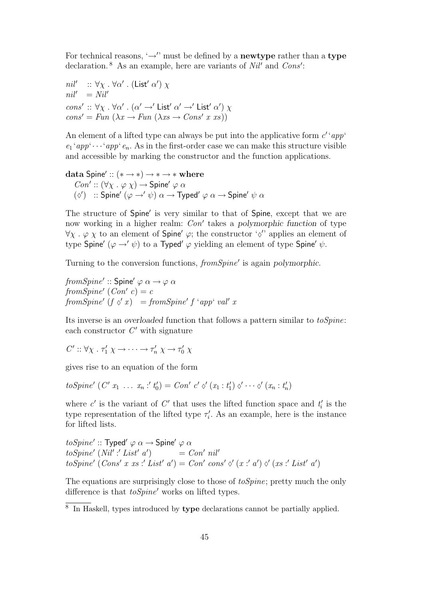For technical reasons,  $\rightarrow$ " must be defined by a **newtype** rather than a **type** declaration.<sup>8</sup> As an example, here are variants of  $Nil'$  and  $Cons'$ :

nil' ::  $\forall \chi \cdot \forall \alpha'$ . (List'  $\alpha'$ )  $\chi$  $nil' = Nil'$ cons' ::  $\forall \chi \cdot \forall \alpha' \cdot (\alpha' \rightarrow' \text{List}' \alpha' \rightarrow' \text{List}' \alpha') \chi$  $cons' = Fun (\lambda x \rightarrow Fun (\lambda xs \rightarrow Cons' x xs))$ 

An element of a lifted type can always be put into the applicative form  $c'$  app'  $e_1$ 'app'···· 'app'e<sub>n</sub>. As in the first-order case we can make this structure visible and accessible by marking the constructor and the function applications.

data Spine'::  $(* \rightarrow *) \rightarrow * \rightarrow *$  where  $Con': (\forall \chi \cdot \varphi \chi) \rightarrow$  Spine'  $\varphi \alpha$  $(\Diamond')$  :: Spine'  $(\varphi \rightarrow' \psi)$   $\alpha \rightarrow$  Typed'  $\varphi$   $\alpha \rightarrow$  Spine'  $\psi$   $\alpha$ 

The structure of Spine' is very similar to that of Spine, except that we are now working in a higher realm: Con' takes a polymorphic function of type  $\forall \chi \cdot \varphi \chi$  to an element of Spine'  $\varphi$ ; the constructor ' $\diamond'$ ' applies an element of type Spine'  $(\varphi \rightarrow' \psi)$  to a Typed'  $\varphi$  yielding an element of type Spine'  $\psi$ .

Turning to the conversion functions, from Spine' is again polymorphic.

 $fromSpine' ::$  Spine $'\varphi \alpha \rightarrow \varphi \alpha$  $fromSpine'$   $(Con'$   $c) = c$ from Spine'  $(f \diamond' x) = from Spine' f \text{ 'app' } val' x$ 

Its inverse is an overloaded function that follows a pattern similar to  $to Spine$ : each constructor  $C'$  with signature

 $C' :: \forall \chi \cdot \tau_1' \chi \rightarrow \cdots \rightarrow \tau_n' \chi \rightarrow \tau_0' \chi$ 

gives rise to an equation of the form

 $to Spine' (C' x_1 \ldots x_n : 't'_0) = Con' c' \diamond' (x_1 : t'_1) \diamond' \cdots \diamond' (x_n : t'_n)$ 

where  $c'$  is the variant of  $C'$  that uses the lifted function space and  $t'_{i}$  is the type representation of the lifted type  $\tau_i'$ . As an example, here is the instance for lifted lists.

 $toSpine' :: Typed' \varphi \alpha \rightarrow Spine' \varphi \alpha$  $toSpine'$  (Nil':' List'  $a'$  $=$  Con' nil'  $toSpine'$  (Cons' x xs :' List' a') = Con' cons'  $\Diamond'$  (x :' a')  $\Diamond'$  (xs :' List' a')

The equations are surprisingly close to those of *toSpine*; pretty much the only difference is that  $toSpine'$  works on lifted types.

<sup>&</sup>lt;sup>8</sup> In Haskell, types introduced by type declarations cannot be partially applied.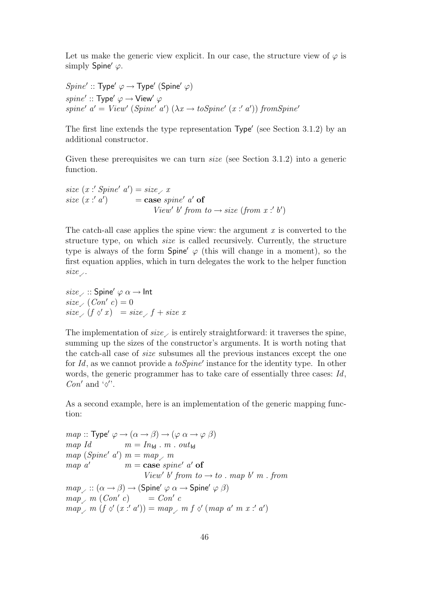Let us make the generic view explicit. In our case, the structure view of  $\varphi$  is simply Spine'  $\varphi$ .

 $Spine' :: Type' \varphi \rightarrow Type'$  (Spine'  $\varphi$ )  $spine' :: Type' \varphi \rightarrow View' \varphi$ spine'  $a' = View'$  (Spine' a')  $(\lambda x \rightarrow toSpine' (x : 'a'))$  from Spine'

The first line extends the type representation  $Type'$  (see Section 3.1.2) by an additional constructor.

Given these prerequisites we can turn *size* (see Section 3.1.2) into a generic function.

size  $(x$  :' Spine'  $a'$  = size, x  $size(x: a'$  $)$  = case spine' a' of View' b' from to  $\rightarrow$  size (from x :' b')

The catch-all case applies the spine view: the argument  $x$  is converted to the structure type, on which size is called recursively. Currently, the structure type is always of the form  $Spine^{\prime} \varphi$  (this will change in a moment), so the first equation applies, which in turn delegates the work to the helper function size.

size  $\chi$  :: Spine'  $\varphi \alpha \rightarrow$  Int  $size_{\angle}$  (Con' c) = 0  $size_{\diagup} (f \diamond' x) = size_{\diagup} f + size x$ 

The implementation of  $size$ , is entirely straightforward: it traverses the spine, summing up the sizes of the constructor's arguments. It is worth noting that the catch-all case of size subsumes all the previous instances except the one for  $Id$ , as we cannot provide a  $toSpine'$  instance for the identity type. In other words, the generic programmer has to take care of essentially three cases:  $Id$ ,  $Con'$  and ' $\diamond'$ '.

As a second example, here is an implementation of the generic mapping function:

$$
map :: Type' \varphi \rightarrow (\alpha \rightarrow \beta) \rightarrow (\varphi \alpha \rightarrow \varphi \beta)
$$
  
\n
$$
map Id \qquad m = In_{\text{Id}} \cdot m \cdot out_{\text{Id}}
$$
  
\n
$$
map (Spine' a') \ m = map \_ m
$$
  
\n
$$
map a' \qquad m = \text{case } spine' a' \text{ of}
$$
  
\n
$$
View' b' from to \rightarrow to \ . \ map \ b' \ m \ . \ from
$$
  
\n
$$
map \_{\sim} :: (\alpha \rightarrow \beta) \rightarrow (\text{Spine'} \ \varphi \ \alpha \rightarrow \text{Spine'} \ \varphi \ \beta)
$$
  
\n
$$
map \_{\sim} m (Con' c) = Con' c
$$
  
\n
$$
map \_{m} (f \circ ' (x : ' a')) = map \_{m} f \circ ' (map a' m x : ' a')
$$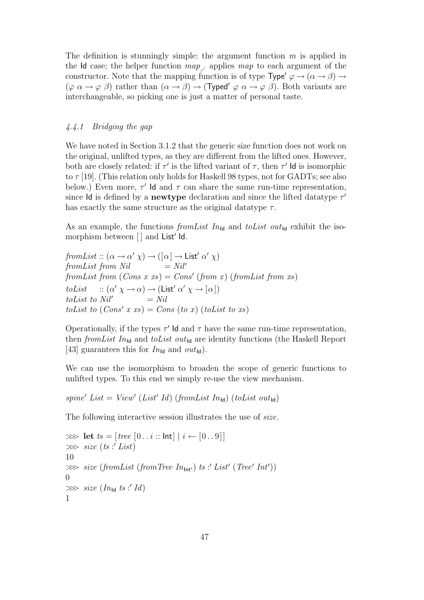The definition is stunningly simple: the argument function  $m$  is applied in the Id case; the helper function  $map$ , applies  $map$  to each argument of the constructor. Note that the mapping function is of type  $\mathsf{Type V} \varphi \to (\alpha \to \beta) \to$  $(\varphi \alpha \rightarrow \varphi \beta)$  rather than  $(\alpha \rightarrow \beta) \rightarrow$  (Typed'  $\varphi \alpha \rightarrow \varphi \beta$ ). Both variants are interchangeable, so picking one is just a matter of personal taste.

# 4.4.1 Bridging the gap

We have noted in Section 3.1.2 that the generic size function does not work on the original, unlifted types, as they are different from the lifted ones. However, both are closely related: if  $\tau'$  is the lifted variant of  $\tau$ , then  $\tau'$  ld is isomorphic to  $\tau$  [19]. (This relation only holds for Haskell 98 types, not for GADTs; see also below.) Even more,  $\tau'$  Id and  $\tau$  can share the same run-time representation, since Id is defined by a newtype declaration and since the lifted datatype  $\tau'$ has exactly the same structure as the original datatype  $\tau$ .

As an example, the functions from List In<sub>Id</sub> and to List out<sub>Id</sub> exhibit the isomorphism between [] and List' ld.

 $fromList: (\alpha \rightarrow \alpha' \chi) \rightarrow ([\alpha] \rightarrow List' \alpha' \chi)$ from List from Nil  $=$  Nil' from List from  $(Cons\ x\ xs) = Cons'$  (from x) (from List from xs) toList  $:: (\alpha' \chi \rightarrow \alpha) \rightarrow (List' \alpha' \chi \rightarrow [\alpha])$ toList to Nil'  $=$  Nil toList to  $(Cons' \; x \; xs) = Cons (to \; x) (toList \; to \; xs)$ 

Operationally, if the types  $\tau'$  ld and  $\tau$  have the same run-time representation, then from List In<sub>Id</sub> and to List out<sub>Id</sub> are identity functions (the Haskell Report [43] guarantees this for  $In_{\mathsf{Id}}$  and  $out_{\mathsf{Id}}$ .

We can use the isomorphism to broaden the scope of generic functions to unlifted types. To this end we simply re-use the view mechanism.

spine' List = View' (List' Id) (fromList In<sub>Id</sub>) (toList out<sub>Id</sub>)

The following interactive session illustrates the use of *size*.

```
\gg let ts = [tree [0.. i :: Int] | i \leftarrow [0.. 9]]\gg size (ts: List)
10
\gg size (from List (from Tree In_{\text{Int}}) ts :' List' (Tree' Int'))
0
\gg size (In<sub>Id</sub> ts: Id)
1
```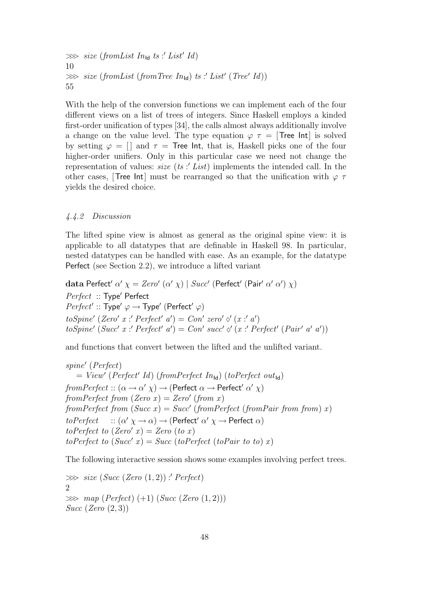```
\gg size (from List In<sub>d</sub> ts :' List' Id)
10
\gg size (from List (from Tree In<sub>d</sub>) ts :' List' (Tree' Id))
55
```
With the help of the conversion functions we can implement each of the four different views on a list of trees of integers. Since Haskell employs a kinded first-order unification of types [34], the calls almost always additionally involve a change on the value level. The type equation  $\varphi \tau =$  [Tree Int] is solved by setting  $\varphi = []$  and  $\tau =$  Tree Int, that is, Haskell picks one of the four higher-order unifiers. Only in this particular case we need not change the representation of values:  $size (ts: List)$  implements the intended call. In the other cases, [Tree Int] must be rearranged so that the unification with  $\varphi \tau$ yields the desired choice.

## 4.4.2 Discussion

The lifted spine view is almost as general as the original spine view: it is applicable to all datatypes that are definable in Haskell 98. In particular, nested datatypes can be handled with ease. As an example, for the datatype Perfect (see Section 2.2), we introduce a lifted variant

data Perfect'  $\alpha'$   $\chi = Zero'$   $(\alpha'$   $\chi)$  | Succ' (Perfect' (Pair'  $\alpha'$   $\alpha'$ )  $\chi$ )  $Perfect :: Type'$  Perfect  $Perfect' :: Type' \varphi \rightarrow Type'$  (Perfect'  $\varphi$ )  $to Spine'$  (Zero' x:' Perfect' a') = Con' zero'  $\Diamond'$  (x:' a')  $to Spine'$  (Succ' x: ' Perfect' a') = Con' succ'  $\Diamond'$  (x: ' Perfect' (Pair' a' a'))

and functions that convert between the lifted and the unlifted variant.

spine' (Perfect) = View' (Perfect' Id) (fromPerfect In<sub>Id</sub>) (toPerfect out<sub>Id</sub>)  $fromPerfect::(\alpha \rightarrow \alpha' \chi) \rightarrow (Perfect \alpha \rightarrow Perfect' \alpha' \chi)$ from Perfect from  $(Zero\ x) = Zero'\ (from\ x)$ fromPerfect from  $(Succ x) = Succ'$  (fromPerfect (fromPair from from) x)  $toPerfect$  ::  $(\alpha' \chi \rightarrow \alpha) \rightarrow (Perfect' \alpha' \chi \rightarrow Perfect \alpha)$  $toPerfect~to~(Zero'~x)=Zero~(to~x)$ toPerfect to  $(Succ' x) = Succ (toPerfect (toPair to to)x)$ 

The following interactive session shows some examples involving perfect trees.

```
\gg size (Succ (Zero (1, 2)): Perfect)
2
\gg map (Perfect) (+1) (Succ (Zero (1, 2)))
Succ (Zero(2,3))
```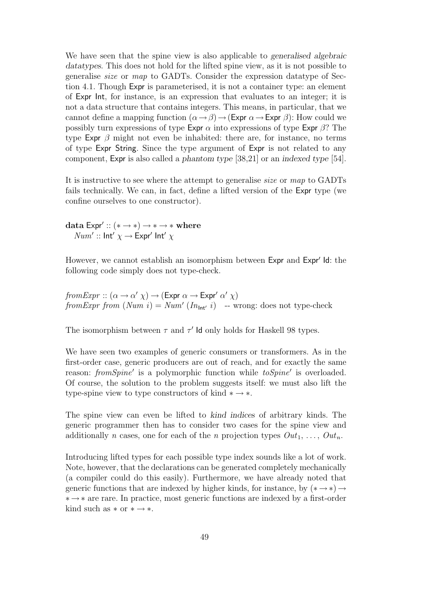We have seen that the spine view is also applicable to generalised algebraic datatypes. This does not hold for the lifted spine view, as it is not possible to generalise size or map to GADTs. Consider the expression datatype of Section 4.1. Though Expr is parameterised, it is not a container type: an element of Expr Int, for instance, is an expression that evaluates to an integer; it is not a data structure that contains integers. This means, in particular, that we cannot define a mapping function  $(\alpha \rightarrow \beta) \rightarrow (Expr \alpha \rightarrow Expr \beta)$ : How could we possibly turn expressions of type Expr  $\alpha$  into expressions of type Expr  $\beta$ ? The type Expr  $\beta$  might not even be inhabited: there are, for instance, no terms of type Expr String. Since the type argument of Expr is not related to any component, Expr is also called a phantom type [38,21] or an indexed type [54].

It is instructive to see where the attempt to generalise size or map to GADTs fails technically. We can, in fact, define a lifted version of the Expr type (we confine ourselves to one constructor).

data Expr' ::  $(* \rightarrow *) \rightarrow * \rightarrow *$  where  $Num' :: Int' \chi \rightarrow Expr' Int' \chi$ 

However, we cannot establish an isomorphism between Expr and Expr' ld: the following code simply does not type-check.

 $from Expr :: (\alpha \rightarrow \alpha' \chi) \rightarrow (\text{Expr }\alpha \rightarrow \text{Expr}' \alpha' \chi)$ fromExpr from  $(Num i) = Num' (In<sub>Int' i</sub>)$  -- wrong: does not type-check

The isomorphism between  $\tau$  and  $\tau'$  ld only holds for Haskell 98 types.

We have seen two examples of generic consumers or transformers. As in the first-order case, generic producers are out of reach, and for exactly the same reason:  $fromSpine'$  is a polymorphic function while  $toSpine'$  is overloaded. Of course, the solution to the problem suggests itself: we must also lift the type-spine view to type constructors of kind  $* \rightarrow *$ .

The spine view can even be lifted to kind indices of arbitrary kinds. The generic programmer then has to consider two cases for the spine view and additionally *n* cases, one for each of the *n* projection types  $Out_1, \ldots, Out_n$ .

Introducing lifted types for each possible type index sounds like a lot of work. Note, however, that the declarations can be generated completely mechanically (a compiler could do this easily). Furthermore, we have already noted that generic functions that are indexed by higher kinds, for instance, by  $(* \rightarrow *) \rightarrow$ ∗→∗ are rare. In practice, most generic functions are indexed by a first-order kind such as  $*$  or  $* \rightarrow *$ .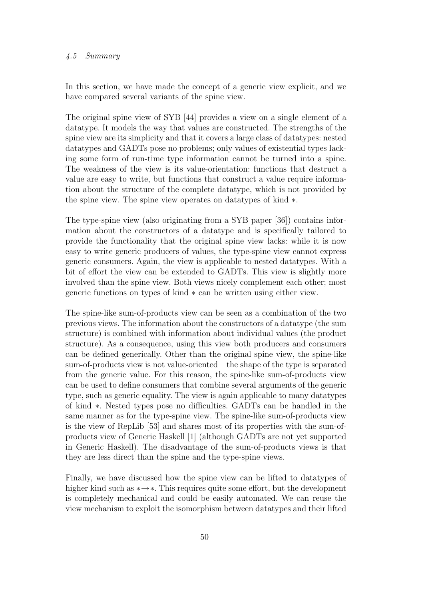# 4.5 Summary

In this section, we have made the concept of a generic view explicit, and we have compared several variants of the spine view.

The original spine view of SYB [44] provides a view on a single element of a datatype. It models the way that values are constructed. The strengths of the spine view are its simplicity and that it covers a large class of datatypes: nested datatypes and GADTs pose no problems; only values of existential types lacking some form of run-time type information cannot be turned into a spine. The weakness of the view is its value-orientation: functions that destruct a value are easy to write, but functions that construct a value require information about the structure of the complete datatype, which is not provided by the spine view. The spine view operates on datatypes of kind ∗.

The type-spine view (also originating from a SYB paper [36]) contains information about the constructors of a datatype and is specifically tailored to provide the functionality that the original spine view lacks: while it is now easy to write generic producers of values, the type-spine view cannot express generic consumers. Again, the view is applicable to nested datatypes. With a bit of effort the view can be extended to GADTs. This view is slightly more involved than the spine view. Both views nicely complement each other; most generic functions on types of kind ∗ can be written using either view.

The spine-like sum-of-products view can be seen as a combination of the two previous views. The information about the constructors of a datatype (the sum structure) is combined with information about individual values (the product structure). As a consequence, using this view both producers and consumers can be defined generically. Other than the original spine view, the spine-like sum-of-products view is not value-oriented – the shape of the type is separated from the generic value. For this reason, the spine-like sum-of-products view can be used to define consumers that combine several arguments of the generic type, such as generic equality. The view is again applicable to many datatypes of kind ∗. Nested types pose no difficulties. GADTs can be handled in the same manner as for the type-spine view. The spine-like sum-of-products view is the view of RepLib [53] and shares most of its properties with the sum-ofproducts view of Generic Haskell [1] (although GADTs are not yet supported in Generic Haskell). The disadvantage of the sum-of-products views is that they are less direct than the spine and the type-spine views.

Finally, we have discussed how the spine view can be lifted to datatypes of higher kind such as ∗→∗. This requires quite some effort, but the development is completely mechanical and could be easily automated. We can reuse the view mechanism to exploit the isomorphism between datatypes and their lifted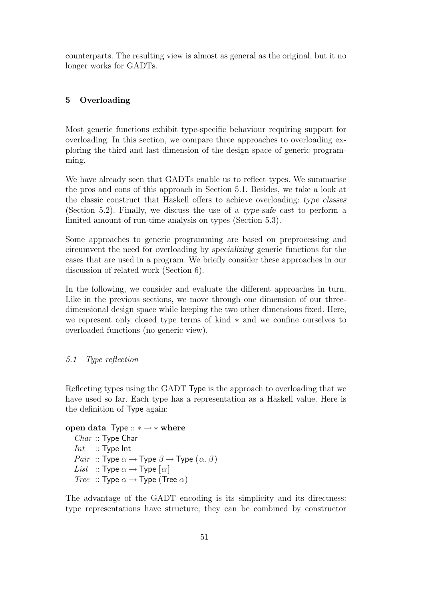counterparts. The resulting view is almost as general as the original, but it no longer works for GADTs.

# 5 Overloading

Most generic functions exhibit type-specific behaviour requiring support for overloading. In this section, we compare three approaches to overloading exploring the third and last dimension of the design space of generic programming.

We have already seen that GADTs enable us to reflect types. We summarise the pros and cons of this approach in Section 5.1. Besides, we take a look at the classic construct that Haskell offers to achieve overloading: type classes (Section 5.2). Finally, we discuss the use of a type-safe cast to perform a limited amount of run-time analysis on types (Section 5.3).

Some approaches to generic programming are based on preprocessing and circumvent the need for overloading by specializing generic functions for the cases that are used in a program. We briefly consider these approaches in our discussion of related work (Section 6).

In the following, we consider and evaluate the different approaches in turn. Like in the previous sections, we move through one dimension of our threedimensional design space while keeping the two other dimensions fixed. Here, we represent only closed type terms of kind ∗ and we confine ourselves to overloaded functions (no generic view).

# 5.1 Type reflection

Reflecting types using the GADT Type is the approach to overloading that we have used so far. Each type has a representation as a Haskell value. Here is the definition of Type again:

```
open data Type :: ∗ → ∗ where
   Char:: Type Char
   Int :: Type Int
   Pair :: Type \alpha \rightarrow Type \beta \rightarrow Type (\alpha, \beta)List :: Type \alpha \rightarrow Type [\alpha]Tree :: Type \alpha \rightarrow Type (Tree \alpha)
```
The advantage of the GADT encoding is its simplicity and its directness: type representations have structure; they can be combined by constructor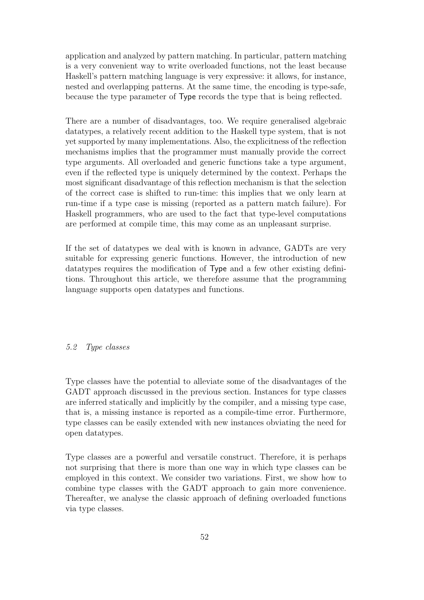application and analyzed by pattern matching. In particular, pattern matching is a very convenient way to write overloaded functions, not the least because Haskell's pattern matching language is very expressive: it allows, for instance, nested and overlapping patterns. At the same time, the encoding is type-safe, because the type parameter of Type records the type that is being reflected.

There are a number of disadvantages, too. We require generalised algebraic datatypes, a relatively recent addition to the Haskell type system, that is not yet supported by many implementations. Also, the explicitness of the reflection mechanisms implies that the programmer must manually provide the correct type arguments. All overloaded and generic functions take a type argument, even if the reflected type is uniquely determined by the context. Perhaps the most significant disadvantage of this reflection mechanism is that the selection of the correct case is shifted to run-time: this implies that we only learn at run-time if a type case is missing (reported as a pattern match failure). For Haskell programmers, who are used to the fact that type-level computations are performed at compile time, this may come as an unpleasant surprise.

If the set of datatypes we deal with is known in advance, GADTs are very suitable for expressing generic functions. However, the introduction of new datatypes requires the modification of Type and a few other existing definitions. Throughout this article, we therefore assume that the programming language supports open datatypes and functions.

# 5.2 Type classes

Type classes have the potential to alleviate some of the disadvantages of the GADT approach discussed in the previous section. Instances for type classes are inferred statically and implicitly by the compiler, and a missing type case, that is, a missing instance is reported as a compile-time error. Furthermore, type classes can be easily extended with new instances obviating the need for open datatypes.

Type classes are a powerful and versatile construct. Therefore, it is perhaps not surprising that there is more than one way in which type classes can be employed in this context. We consider two variations. First, we show how to combine type classes with the GADT approach to gain more convenience. Thereafter, we analyse the classic approach of defining overloaded functions via type classes.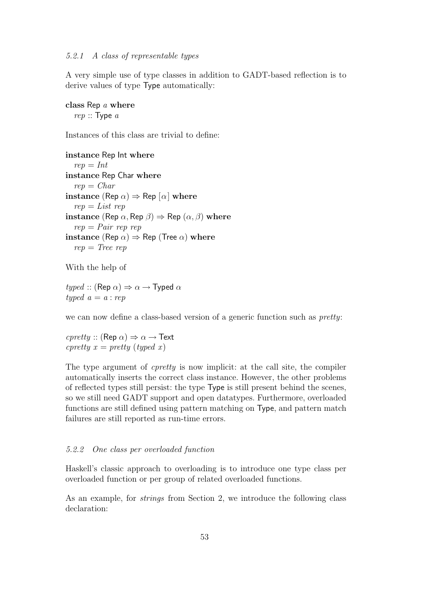## 5.2.1 A class of representable types

A very simple use of type classes in addition to GADT-based reflection is to derive values of type Type automatically:

class Rep a where  $rep ::$  Type  $a$ 

Instances of this class are trivial to define:

instance Rep Int where  $rep = Int$ instance Rep Char where  $rep = Char$ instance (Rep  $\alpha$ )  $\Rightarrow$  Rep  $\alpha$  where  $rep = List rep$ instance (Rep  $\alpha$ , Rep  $\beta$ )  $\Rightarrow$  Rep  $(\alpha, \beta)$  where  $rep = Pair rep$  rep instance (Rep  $\alpha$ )  $\Rightarrow$  Rep (Tree  $\alpha$ ) where  $rep = Tree rep$ 

With the help of

typed :: (Rep  $\alpha$ )  $\Rightarrow \alpha \rightarrow$  Typed  $\alpha$ typed  $a = a : rep$ 

we can now define a class-based version of a generic function such as pretty:

 $cpretty :: (Rep \alpha) \Rightarrow \alpha \rightarrow Text$ cpretty  $x = pretty (typed x)$ 

The type argument of *cpretty* is now implicit: at the call site, the compiler automatically inserts the correct class instance. However, the other problems of reflected types still persist: the type Type is still present behind the scenes, so we still need GADT support and open datatypes. Furthermore, overloaded functions are still defined using pattern matching on Type, and pattern match failures are still reported as run-time errors.

#### 5.2.2 One class per overloaded function

Haskell's classic approach to overloading is to introduce one type class per overloaded function or per group of related overloaded functions.

As an example, for strings from Section 2, we introduce the following class declaration: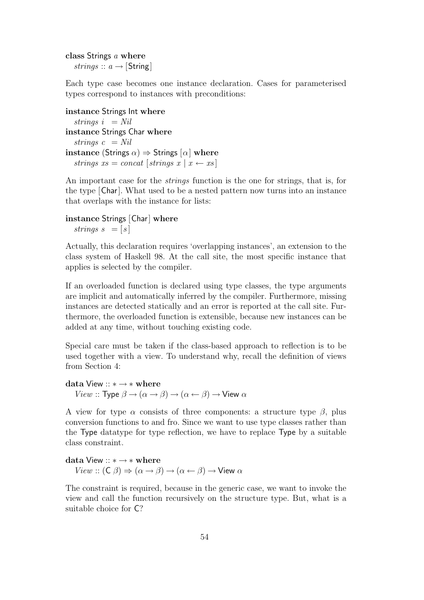class Strings a where

 $strings :: a \rightarrow [String]$ 

Each type case becomes one instance declaration. Cases for parameterised types correspond to instances with preconditions:

```
instance Strings Int where
  strings i = Nilinstance Strings Char where
  strings c = Nilinstance (Strings \alpha) \Rightarrow Strings [\alpha] where
  strings xs = concat [strings x \mid x \leftarrow xs]
```
An important case for the strings function is the one for strings, that is, for the type [Char]. What used to be a nested pattern now turns into an instance that overlaps with the instance for lists:

# instance Strings [Char] where strings  $s = [s]$

Actually, this declaration requires 'overlapping instances', an extension to the class system of Haskell 98. At the call site, the most specific instance that applies is selected by the compiler.

If an overloaded function is declared using type classes, the type arguments are implicit and automatically inferred by the compiler. Furthermore, missing instances are detected statically and an error is reported at the call site. Furthermore, the overloaded function is extensible, because new instances can be added at any time, without touching existing code.

Special care must be taken if the class-based approach to reflection is to be used together with a view. To understand why, recall the definition of views from Section 4:

```
data View :: ∗ → ∗ where
     View :: Type \beta \rightarrow (\alpha \rightarrow \beta) \rightarrow (\alpha \leftarrow \beta) \rightarrow View \alpha
```
A view for type  $\alpha$  consists of three components: a structure type  $\beta$ , plus conversion functions to and fro. Since we want to use type classes rather than the Type datatype for type reflection, we have to replace Type by a suitable class constraint.

```
data View :: ∗ → ∗ where
     View::(\mathsf{C}\beta)\Rightarrow(\alpha\rightarrow\beta)\rightarrow(\alpha\leftarrow\beta)\rightarrow\mathsf{View}\ \alpha
```
The constraint is required, because in the generic case, we want to invoke the view and call the function recursively on the structure type. But, what is a suitable choice for C?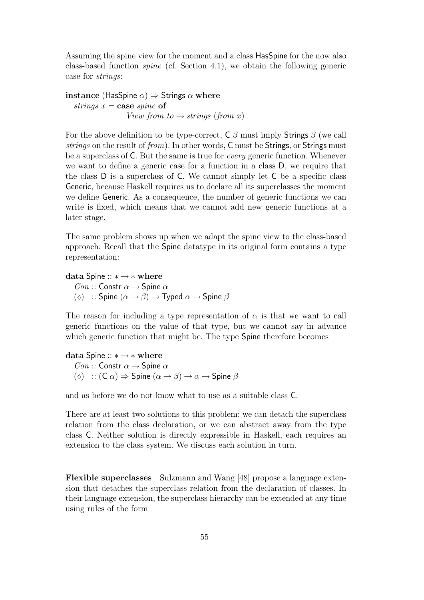Assuming the spine view for the moment and a class HasSpine for the now also class-based function spine (cf. Section 4.1), we obtain the following generic case for strings:

instance (HasSpine  $\alpha$ )  $\Rightarrow$  Strings  $\alpha$  where strings  $x = \csc$  spine of View from to  $\rightarrow$  strings (from x)

For the above definition to be type-correct,  $C \beta$  must imply Strings  $\beta$  (we call strings on the result of from). In other words, C must be Strings, or Strings must be a superclass of C. But the same is true for *every* generic function. Whenever we want to define a generic case for a function in a class D, we require that the class D is a superclass of C. We cannot simply let C be a specific class Generic, because Haskell requires us to declare all its superclasses the moment we define Generic. As a consequence, the number of generic functions we can write is fixed, which means that we cannot add new generic functions at a later stage.

The same problem shows up when we adapt the spine view to the class-based approach. Recall that the Spine datatype in its original form contains a type representation:

data Spine :: ∗ → ∗ where *Con* :: Constr  $\alpha \rightarrow$  Spine  $\alpha$ ( $\Diamond$ ) :: Spine  $(\alpha \rightarrow \beta) \rightarrow$  Typed  $\alpha \rightarrow$  Spine  $\beta$ 

The reason for including a type representation of  $\alpha$  is that we want to call generic functions on the value of that type, but we cannot say in advance which generic function that might be. The type Spine therefore becomes

data Spine :: ∗ → ∗ where  $Con ::$  Constr  $\alpha \rightarrow$  Spine  $\alpha$ ( $\Diamond$ ) :: (C  $\alpha$ )  $\Rightarrow$  Spine ( $\alpha \rightarrow \beta$ )  $\rightarrow \alpha \rightarrow$  Spine  $\beta$ 

and as before we do not know what to use as a suitable class C.

There are at least two solutions to this problem: we can detach the superclass relation from the class declaration, or we can abstract away from the type class C. Neither solution is directly expressible in Haskell, each requires an extension to the class system. We discuss each solution in turn.

Flexible superclasses Sulzmann and Wang [48] propose a language extension that detaches the superclass relation from the declaration of classes. In their language extension, the superclass hierarchy can be extended at any time using rules of the form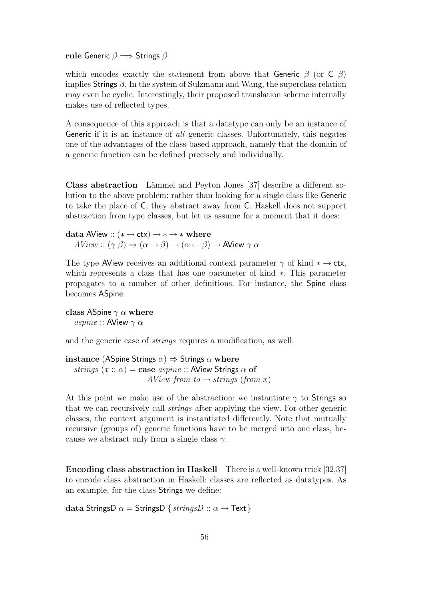rule Generic  $\beta \Longrightarrow$  Strings  $\beta$ 

which encodes exactly the statement from above that Generic  $\beta$  (or C  $\beta$ ) implies Strings  $\beta$ . In the system of Sulzmann and Wang, the superclass relation may even be cyclic. Interestingly, their proposed translation scheme internally makes use of reflected types.

A consequence of this approach is that a datatype can only be an instance of Generic if it is an instance of all generic classes. Unfortunately, this negates one of the advantages of the class-based approach, namely that the domain of a generic function can be defined precisely and individually.

Class abstraction Lämmel and Peyton Jones [37] describe a different solution to the above problem: rather than looking for a single class like Generic to take the place of C, they abstract away from C. Haskell does not support abstraction from type classes, but let us assume for a moment that it does:

data AView ::  $(* \rightarrow \text{ctx}) \rightarrow * \rightarrow * \text{ where}$  $\textit{AView} :: (\gamma \beta) \Rightarrow (\alpha \rightarrow \beta) \rightarrow (\alpha \leftarrow \beta) \rightarrow \textsf{AView} \ \gamma \ \alpha$ 

The type AView receives an additional context parameter  $\gamma$  of kind  $* \rightarrow$  ctx, which represents a class that has one parameter of kind ∗. This parameter propagates to a number of other definitions. For instance, the Spine class becomes ASpine:

class ASpine  $\gamma \alpha$  where aspine :: AView  $\gamma \alpha$ 

and the generic case of strings requires a modification, as well:

instance (ASpine Strings  $\alpha$ )  $\Rightarrow$  Strings  $\alpha$  where strings  $(x:: \alpha)$  = case *aspine* :: A View Strings  $\alpha$  of AView from to  $\rightarrow$  strings (from x)

At this point we make use of the abstraction: we instantiate  $\gamma$  to Strings so that we can recursively call strings after applying the view. For other generic classes, the context argument is instantiated differently. Note that mutually recursive (groups of) generic functions have to be merged into one class, because we abstract only from a single class  $\gamma$ .

Encoding class abstraction in Haskell There is a well-known trick [32,37] to encode class abstraction in Haskell: classes are reflected as datatypes. As an example, for the class Strings we define:

data StringsD  $\alpha =$  StringsD  $\{ \text{stringsD} :: \alpha \rightarrow \text{Text} \}$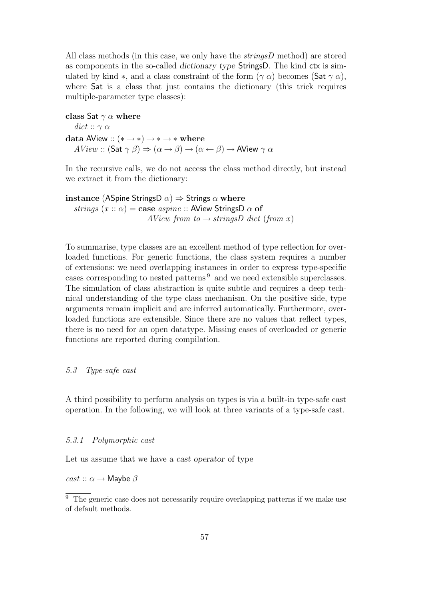All class methods (in this case, we only have the  $stringsD$  method) are stored as components in the so-called dictionary type StringsD. The kind ctx is simulated by kind  $\ast$ , and a class constraint of the form  $(\gamma \alpha)$  becomes (Sat  $\gamma \alpha$ ), where Sat is a class that just contains the dictionary (this trick requires multiple-parameter type classes):

class Sat  $\gamma \alpha$  where dict ::  $\gamma \alpha$ data AView ::  $(* \rightarrow *) \rightarrow * \rightarrow *$  where  $\textit{AView} :: (\mathsf{Sat} \ \gamma \ \beta) \Rightarrow (\alpha \rightarrow \beta) \rightarrow (\alpha \leftarrow \beta) \rightarrow \mathsf{AView} \ \gamma \ \alpha$ 

In the recursive calls, we do not access the class method directly, but instead we extract it from the dictionary:

instance (ASpine StringsD  $\alpha$ )  $\Rightarrow$  Strings  $\alpha$  where strings  $(x : \alpha)$  = case *aspine* :: A View Strings  $\alpha$  of AView from to  $\rightarrow$  stringsD dict (from x)

To summarise, type classes are an excellent method of type reflection for overloaded functions. For generic functions, the class system requires a number of extensions: we need overlapping instances in order to express type-specific cases corresponding to nested patterns <sup>9</sup> and we need extensible superclasses. The simulation of class abstraction is quite subtle and requires a deep technical understanding of the type class mechanism. On the positive side, type arguments remain implicit and are inferred automatically. Furthermore, overloaded functions are extensible. Since there are no values that reflect types, there is no need for an open datatype. Missing cases of overloaded or generic functions are reported during compilation.

#### 5.3 Type-safe cast

A third possibility to perform analysis on types is via a built-in type-safe cast operation. In the following, we will look at three variants of a type-safe cast.

# 5.3.1 Polymorphic cast

Let us assume that we have a cast operator of type

 $cast :: \alpha \rightarrow$  Maybe  $\beta$ 

 $\overline{9}$  The generic case does not necessarily require overlapping patterns if we make use of default methods.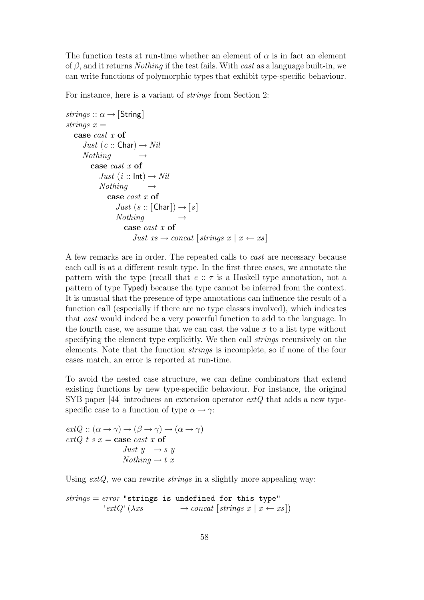The function tests at run-time whether an element of  $\alpha$  is in fact an element of  $\beta$ , and it returns *Nothing* if the test fails. With *cast* as a language built-in, we can write functions of polymorphic types that exhibit type-specific behaviour.

For instance, here is a variant of strings from Section 2:

```
strings :: \alpha \rightarrow [String]strings x =case cast x of
      Just (c :: Char) \rightarrow Nil
      Nothing \rightarrowcase cast x of
             Just (i:: Int) \rightarrow NilNothing \rightarrowcase cast x of
                   Just (s::[Char]) \rightarrow [s]\begin{array}{lll} Nothing & \longrightarrow & \end{array}case cast x of
                          Just xs \rightarrow concat [strings x \mid x \leftarrow xs]
```
A few remarks are in order. The repeated calls to cast are necessary because each call is at a different result type. In the first three cases, we annotate the pattern with the type (recall that  $e$ ::  $\tau$  is a Haskell type annotation, not a pattern of type Typed) because the type cannot be inferred from the context. It is unusual that the presence of type annotations can influence the result of a function call (especially if there are no type classes involved), which indicates that cast would indeed be a very powerful function to add to the language. In the fourth case, we assume that we can cast the value  $x$  to a list type without specifying the element type explicitly. We then call *strings* recursively on the elements. Note that the function strings is incomplete, so if none of the four cases match, an error is reported at run-time.

To avoid the nested case structure, we can define combinators that extend existing functions by new type-specific behaviour. For instance, the original SYB paper [44] introduces an extension operator  $extQ$  that adds a new typespecific case to a function of type  $\alpha \rightarrow \gamma$ :

```
extQ: (\alpha \rightarrow \gamma) \rightarrow (\beta \rightarrow \gamma) \rightarrow (\alpha \rightarrow \gamma)extQ t s x = \cose \, cast \, x \, ofJust y \rightarrow s yNothing \rightarrow t x
```
Using  $extQ$ , we can rewrite *strings* in a slightly more appealing way:

```
strings = error "strings is undefined for this type"
              \text{``ext}Q\text{``}(\lambda xs \rightarrow concat \text{^{}} \text{^{}} x \mid x \leftarrow xs\text{)}
```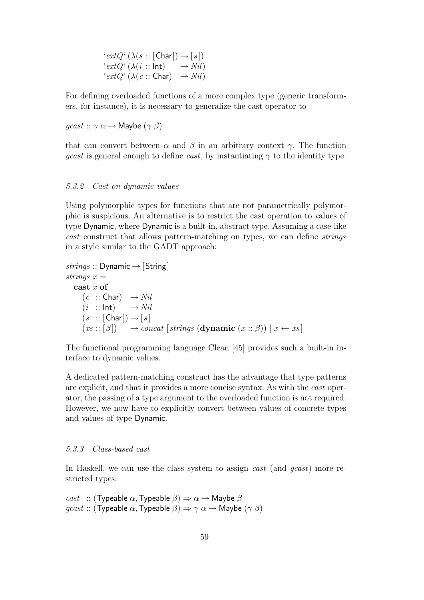$$
`extQ`\ (\lambda(s::[Char]) \rightarrow [s])\n`extQ`\ (\lambda(i::Int) \rightarrow Nil)\n`extQ`\ (\lambda(c::Char) \rightarrow Nil)
$$

For defining overloaded functions of a more complex type (generic transformers, for instance), it is necessary to generalize the cast operator to

 $gcast :: \gamma \alpha \rightarrow \text{Maybe } (\gamma \beta)$ 

that can convert between  $\alpha$  and  $\beta$  in an arbitrary context  $\gamma$ . The function *gcast* is general enough to define *cast*, by instantiating  $\gamma$  to the identity type.

## 5.3.2 Cast on dynamic values

Using polymorphic types for functions that are not parametrically polymorphic is suspicious. An alternative is to restrict the cast operation to values of type Dynamic, where Dynamic is a built-in, abstract type. Assuming a case-like cast construct that allows pattern-matching on types, we can define strings in a style similar to the GADT approach:

```
strings :: Dynamic \rightarrow [String]strings x =cast x of
      (c :: Char) \rightarrow Nil(i \ :: Int) \longrightarrow Nil(s :: [Char]) \rightarrow [s](xs::[\beta]) \rightarrow concat[strings(\text{dynamic}(x::\beta))] | x \leftarrow xs]
```
The functional programming language Clean [45] provides such a built-in interface to dynamic values.

A dedicated pattern-matching construct has the advantage that type patterns are explicit, and that it provides a more concise syntax. As with the cast operator, the passing of a type argument to the overloaded function is not required. However, we now have to explicitly convert between values of concrete types and values of type Dynamic.

## 5.3.3 Class-based cast

In Haskell, we can use the class system to assign *cast* (and *gcast*) more restricted types:

cast :: (Typeable  $\alpha$ , Typeable  $\beta$ )  $\Rightarrow \alpha \rightarrow$  Maybe  $\beta$ *gcast* :: (Typeable  $\alpha$ , Typeable  $\beta$ )  $\Rightarrow \gamma \alpha \rightarrow$  Maybe ( $\gamma \beta$ )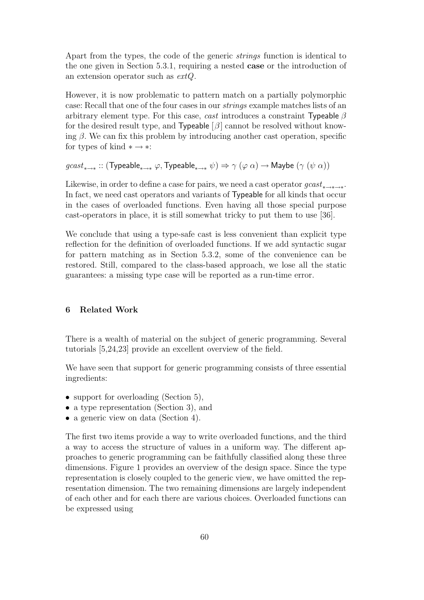Apart from the types, the code of the generic strings function is identical to the one given in Section 5.3.1, requiring a nested case or the introduction of an extension operator such as extQ.

However, it is now problematic to pattern match on a partially polymorphic case: Recall that one of the four cases in our strings example matches lists of an arbitrary element type. For this case, *cast* introduces a constraint Typeable  $\beta$ for the desired result type, and Typeable  $[\beta]$  cannot be resolved without knowing  $\beta$ . We can fix this problem by introducing another cast operation, specific for types of kind  $* \rightarrow *$ :

 $gcast_{* \to *} :: (\text{Typeable}_{* \to *} \varphi, \text{Typeable}_{* \to *} \psi) \Rightarrow \gamma (\varphi \alpha) \to \text{Maybe } (\gamma (\psi \alpha))$ 

Likewise, in order to define a case for pairs, we need a cast operator  $gcast_{* \rightarrow * \rightarrow *}.$ In fact, we need cast operators and variants of Typeable for all kinds that occur in the cases of overloaded functions. Even having all those special purpose cast-operators in place, it is still somewhat tricky to put them to use [36].

We conclude that using a type-safe cast is less convenient than explicit type reflection for the definition of overloaded functions. If we add syntactic sugar for pattern matching as in Section 5.3.2, some of the convenience can be restored. Still, compared to the class-based approach, we lose all the static guarantees: a missing type case will be reported as a run-time error.

#### 6 Related Work

There is a wealth of material on the subject of generic programming. Several tutorials [5,24,23] provide an excellent overview of the field.

We have seen that support for generic programming consists of three essential ingredients:

- support for overloading (Section 5),
- a type representation (Section 3), and
- a generic view on data (Section 4).

The first two items provide a way to write overloaded functions, and the third a way to access the structure of values in a uniform way. The different approaches to generic programming can be faithfully classified along these three dimensions. Figure 1 provides an overview of the design space. Since the type representation is closely coupled to the generic view, we have omitted the representation dimension. The two remaining dimensions are largely independent of each other and for each there are various choices. Overloaded functions can be expressed using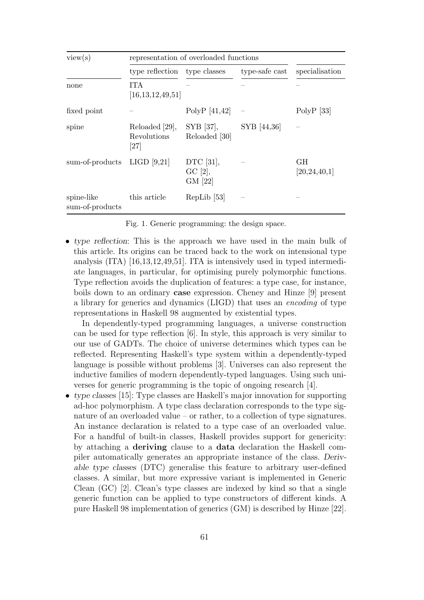| view(s)                       | representation of overloaded functions              |                                    |                |                       |
|-------------------------------|-----------------------------------------------------|------------------------------------|----------------|-----------------------|
|                               | type reflection                                     | type classes                       | type-safe cast | specialisation        |
| none                          | <b>ITA</b><br>[16, 13, 12, 49, 51]                  |                                    |                |                       |
| fixed point                   |                                                     | PolyP [41, 42]                     |                | PolyP $[33]$          |
| spine                         | Reloaded [29],<br>Revolutions<br>$\left[ 27\right]$ | SYB [37],<br>Reloaded [30]         | SYB [44,36]    |                       |
| sum-of-products               | LIGD $[9,21]$                                       | DTC $[31]$ ,<br>GC [2],<br>GM [22] |                | GН<br>[20, 24, 40, 1] |
| spine-like<br>sum-of-products | this article                                        | RepLib [53]                        |                |                       |

Fig. 1. Generic programming: the design space.

• type reflection: This is the approach we have used in the main bulk of this article. Its origins can be traced back to the work on intensional type analysis (ITA) [16,13,12,49,51]. ITA is intensively used in typed intermediate languages, in particular, for optimising purely polymorphic functions. Type reflection avoids the duplication of features: a type case, for instance, boils down to an ordinary case expression. Cheney and Hinze [9] present a library for generics and dynamics (LIGD) that uses an encoding of type representations in Haskell 98 augmented by existential types.

In dependently-typed programming languages, a universe construction can be used for type reflection [6]. In style, this approach is very similar to our use of GADTs. The choice of universe determines which types can be reflected. Representing Haskell's type system within a dependently-typed language is possible without problems [3]. Universes can also represent the inductive families of modern dependently-typed languages. Using such universes for generic programming is the topic of ongoing research [4].

• type classes [15]: Type classes are Haskell's major innovation for supporting ad-hoc polymorphism. A type class declaration corresponds to the type signature of an overloaded value – or rather, to a collection of type signatures. An instance declaration is related to a type case of an overloaded value. For a handful of built-in classes, Haskell provides support for genericity: by attaching a deriving clause to a data declaration the Haskell compiler automatically generates an appropriate instance of the class. Derivable type classes (DTC) generalise this feature to arbitrary user-defined classes. A similar, but more expressive variant is implemented in Generic Clean (GC) [2]. Clean's type classes are indexed by kind so that a single generic function can be applied to type constructors of different kinds. A pure Haskell 98 implementation of generics (GM) is described by Hinze [22].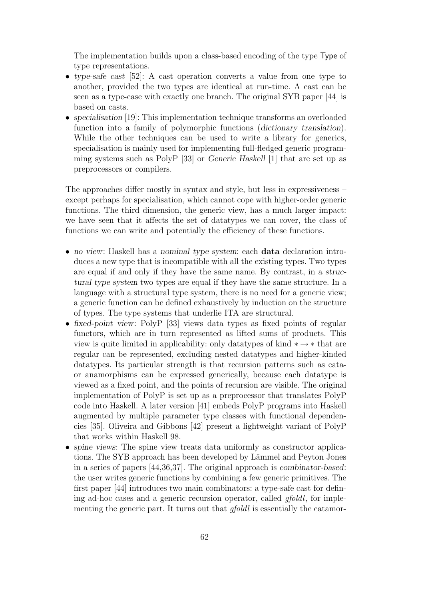The implementation builds upon a class-based encoding of the type Type of type representations.

- type-safe cast [52]: A cast operation converts a value from one type to another, provided the two types are identical at run-time. A cast can be seen as a type-case with exactly one branch. The original SYB paper [44] is based on casts.
- specialisation [19]: This implementation technique transforms an overloaded function into a family of polymorphic functions (dictionary translation). While the other techniques can be used to write a library for generics, specialisation is mainly used for implementing full-fledged generic programming systems such as PolyP [33] or Generic Haskell [1] that are set up as preprocessors or compilers.

The approaches differ mostly in syntax and style, but less in expressiveness – except perhaps for specialisation, which cannot cope with higher-order generic functions. The third dimension, the generic view, has a much larger impact: we have seen that it affects the set of datatypes we can cover, the class of functions we can write and potentially the efficiency of these functions.

- no view: Haskell has a nominal type system: each **data** declaration introduces a new type that is incompatible with all the existing types. Two types are equal if and only if they have the same name. By contrast, in a structural type system two types are equal if they have the same structure. In a language with a structural type system, there is no need for a generic view; a generic function can be defined exhaustively by induction on the structure of types. The type systems that underlie ITA are structural.
- fixed-point view: PolyP [33] views data types as fixed points of regular functors, which are in turn represented as lifted sums of products. This view is quite limited in applicability: only datatypes of kind  $* \rightarrow *$  that are regular can be represented, excluding nested datatypes and higher-kinded datatypes. Its particular strength is that recursion patterns such as cataor anamorphisms can be expressed generically, because each datatype is viewed as a fixed point, and the points of recursion are visible. The original implementation of PolyP is set up as a preprocessor that translates PolyP code into Haskell. A later version [41] embeds PolyP programs into Haskell augmented by multiple parameter type classes with functional dependencies [35]. Oliveira and Gibbons [42] present a lightweight variant of PolyP that works within Haskell 98.
- spine views: The spine view treats data uniformly as constructor applications. The SYB approach has been developed by Lämmel and Peyton Jones in a series of papers [44,36,37]. The original approach is combinator-based: the user writes generic functions by combining a few generic primitives. The first paper [44] introduces two main combinators: a type-safe cast for defining ad-hoc cases and a generic recursion operator, called gfoldl, for implementing the generic part. It turns out that *gfoldl* is essentially the catamor-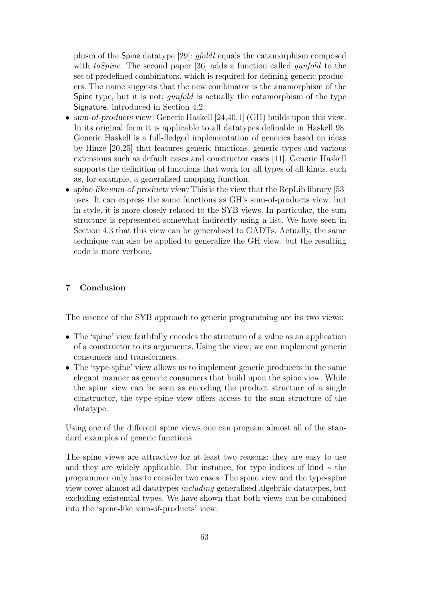phism of the Spine datatype [29]: gfoldl equals the catamorphism composed with *toSpine*. The second paper [36] adds a function called *gunfold* to the set of predefined combinators, which is required for defining generic producers. The name suggests that the new combinator is the anamorphism of the Spine type, but it is not: *gunfold* is actually the catamorphism of the type Signature, introduced in Section 4.2.

- sum-of-products view: Generic Haskell [24,40,1] (GH) builds upon this view. In its original form it is applicable to all datatypes definable in Haskell 98. Generic Haskell is a full-fledged implementation of generics based on ideas by Hinze [20,25] that features generic functions, generic types and various extensions such as default cases and constructor cases [11]. Generic Haskell supports the definition of functions that work for all types of all kinds, such as, for example, a generalised mapping function.
- spine-like sum-of-products view: This is the view that the RepLib library [53] uses. It can express the same functions as GH's sum-of-products view, but in style, it is more closely related to the SYB views. In particular, the sum structure is represented somewhat indirectly using a list. We have seen in Section 4.3 that this view can be generalised to GADTs. Actually, the same technique can also be applied to generalize the GH view, but the resulting code is more verbose.

## 7 Conclusion

The essence of the SYB approach to generic programming are its two views:

- The 'spine' view faithfully encodes the structure of a value as an application of a constructor to its arguments. Using the view, we can implement generic consumers and transformers.
- The 'type-spine' view allows us to implement generic producers in the same elegant manner as generic consumers that build upon the spine view. While the spine view can be seen as encoding the product structure of a single constructor, the type-spine view offers access to the sum structure of the datatype.

Using one of the different spine views one can program almost all of the standard examples of generic functions.

The spine views are attractive for at least two reasons: they are easy to use and they are widely applicable. For instance, for type indices of kind ∗ the programmer only has to consider two cases. The spine view and the type-spine view cover almost all datatypes including generalised algebraic datatypes, but excluding existential types. We have shown that both views can be combined into the 'spine-like sum-of-products' view.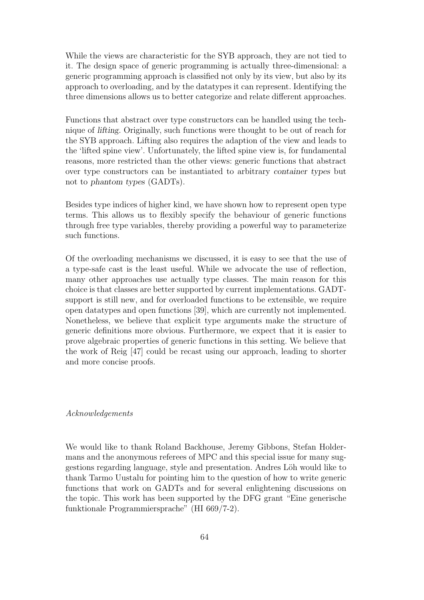While the views are characteristic for the SYB approach, they are not tied to it. The design space of generic programming is actually three-dimensional: a generic programming approach is classified not only by its view, but also by its approach to overloading, and by the datatypes it can represent. Identifying the three dimensions allows us to better categorize and relate different approaches.

Functions that abstract over type constructors can be handled using the technique of lifting. Originally, such functions were thought to be out of reach for the SYB approach. Lifting also requires the adaption of the view and leads to the 'lifted spine view'. Unfortunately, the lifted spine view is, for fundamental reasons, more restricted than the other views: generic functions that abstract over type constructors can be instantiated to arbitrary container types but not to phantom types (GADTs).

Besides type indices of higher kind, we have shown how to represent open type terms. This allows us to flexibly specify the behaviour of generic functions through free type variables, thereby providing a powerful way to parameterize such functions.

Of the overloading mechanisms we discussed, it is easy to see that the use of a type-safe cast is the least useful. While we advocate the use of reflection, many other approaches use actually type classes. The main reason for this choice is that classes are better supported by current implementations. GADTsupport is still new, and for overloaded functions to be extensible, we require open datatypes and open functions [39], which are currently not implemented. Nonetheless, we believe that explicit type arguments make the structure of generic definitions more obvious. Furthermore, we expect that it is easier to prove algebraic properties of generic functions in this setting. We believe that the work of Reig [47] could be recast using our approach, leading to shorter and more concise proofs.

#### Acknowledgements

We would like to thank Roland Backhouse, Jeremy Gibbons, Stefan Holdermans and the anonymous referees of MPC and this special issue for many suggestions regarding language, style and presentation. Andres Löh would like to thank Tarmo Uustalu for pointing him to the question of how to write generic functions that work on GADTs and for several enlightening discussions on the topic. This work has been supported by the DFG grant "Eine generische funktionale Programmiersprache" (HI 669/7-2).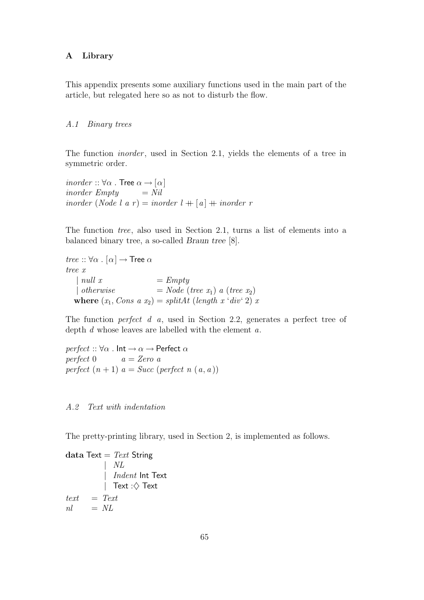## A Library

This appendix presents some auxiliary functions used in the main part of the article, but relegated here so as not to disturb the flow.

## A.1 Binary trees

The function *inorder*, used in Section 2.1, yields the elements of a tree in symmetric order.

*inorder* ::  $\forall \alpha$ . Tree  $\alpha \rightarrow [\alpha]$ inorder  $Empty = Nil$ inorder (Node l a r) = inorder  $l + [a] + inorder$  r

The function tree, also used in Section 2.1, turns a list of elements into a balanced binary tree, a so-called Braun tree [8].

tree ::  $\forall \alpha \cdot [\alpha] \rightarrow$  Tree  $\alpha$ tree x  $\int null \, x \qquad \qquad = \, Empty$ | otherwise  $= Node$  (tree  $x_1$ ) a (tree  $x_2$ ) where  $(x_1, Cons \ a \ x_2) = splitAt \ (length \ x \ 'div 2) \ x$ 

The function perfect d a, used in Section 2.2, generates a perfect tree of depth d whose leaves are labelled with the element a.

*perfect* ::  $\forall \alpha$ . Int  $\rightarrow \alpha \rightarrow$  Perfect  $\alpha$ perfect 0  $a = Zero \ a$ perfect  $(n + 1)$   $a = Succ$  (perfect  $n(a, a)$ )

#### A.2 Text with indentation

The pretty-printing library, used in Section 2, is implemented as follows.

data Text =  $Text$  String | NL | Indent Int Text | Text : $\diamondsuit$  Text  $text = Text$  $nl = NL$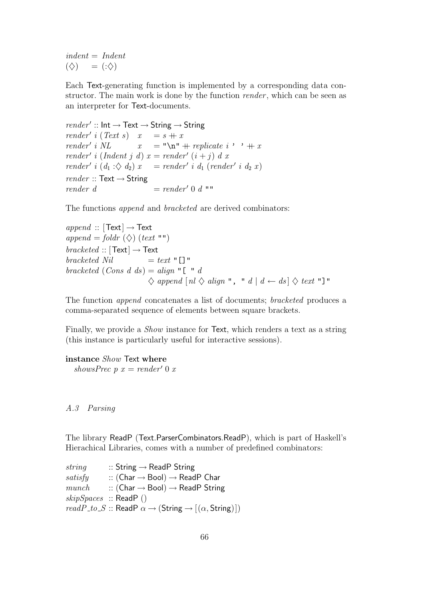$\text{indent} = \text{Indent}$  $(\diamondsuit) = (\dot{\diamondsuit})$ 

Each Text-generating function is implemented by a corresponding data constructor. The main work is done by the function *render*, which can be seen as an interpreter for Text-documents.

 $render' :: Int \rightarrow Text \rightarrow String \rightarrow String$ render' i (Text s)  $x = s + x$  $render'$  i  $NL$  $x = "\mathbf{n}" + replicate i' " + x$ render' i (Indent j d)  $x = render' (i + j) d x$ render' i  $(d_1 : \diamondsuit d_2)$  x = render' i  $d_1$  (render' i  $d_2$  x)  $render :: Text \rightarrow String$ render d  $= render' \ 0 \ d \$ ""

The functions append and bracketed are derived combinators:

 $append::[Text] \rightarrow Text$  $append = foldr (\diamondsuit) (text "")$  $bracketed ::$  [Text]  $\rightarrow$  Text bracketed Nil  $= text$  "[]" bracketed (Cons d ds) = align "[  $" d$  $\Diamond$  append  $\lceil nl \Diamond$  align ", " d  $\vert d \leftarrow ds \vert \Diamond$  text "]"

The function append concatenates a list of documents; bracketed produces a comma-separated sequence of elements between square brackets.

Finally, we provide a *Show* instance for Text, which renders a text as a string (this instance is particularly useful for interactive sessions).

instance Show Text where showsPrec  $p x = render' 0 x$ 

A.3 Parsing

The library ReadP (Text.ParserCombinators.ReadP), which is part of Haskell's Hierachical Libraries, comes with a number of predefined combinators:

```
string \rightarrow ReadP String
satisfy :: (Char \rightarrow Bool) \rightarrow ReadP Char
munch :: (Char \rightarrow Bool) \rightarrow ReadP String
skipSpaces :: ReadP ()
readP_to_S :: ReadP \alpha \rightarrow (String \rightarrow [(\alpha, String)])
```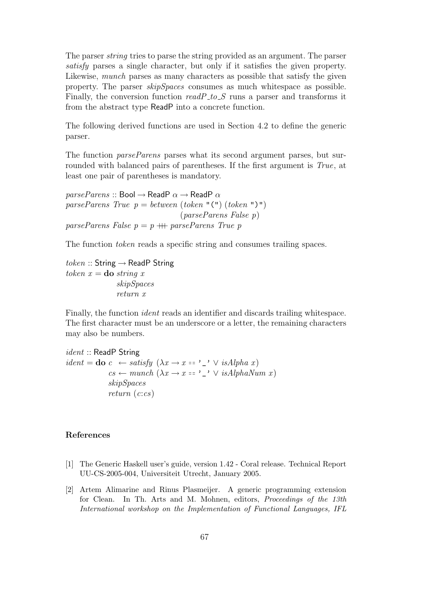The parser string tries to parse the string provided as an argument. The parser satisfy parses a single character, but only if it satisfies the given property. Likewise, *munch* parses as many characters as possible that satisfy the given property. The parser skipSpaces consumes as much whitespace as possible. Finally, the conversion function  $readP\_to\_S$  runs a parser and transforms it from the abstract type ReadP into a concrete function.

The following derived functions are used in Section 4.2 to define the generic parser.

The function *parseParens* parses what its second argument parses, but surrounded with balanced pairs of parentheses. If the first argument is *True*, at least one pair of parentheses is mandatory.

 $parseParents ::}$  Bool  $\rightarrow$  ReadP  $\alpha \rightarrow$  ReadP  $\alpha$ parseParens True  $p = between (token "(")(token "))$ (parseParens False p) parseParens False  $p = p + p$  parseParens True p

The function token reads a specific string and consumes trailing spaces.

 $token :: String \rightarrow ReadP$  String token  $x =$ **do** string x skipSpaces return x

Finally, the function *ident* reads an identifier and discards trailing whitespace. The first character must be an underscore or a letter, the remaining characters may also be numbers.

```
ident :: ReadP String
ident = do c \leftarrow satisfy (\lambda x \rightarrow x ==' \rightarrow \forall isAlpha x)cs \leftarrow much (\lambda x \rightarrow x == ' \rightarrow \lor isAlphaNum x)skipSpaces
                 return (c:cs)
```
# References

- [1] The Generic Haskell user's guide, version 1.42 Coral release. Technical Report UU-CS-2005-004, Universiteit Utrecht, January 2005.
- [2] Artem Alimarine and Rinus Plasmeijer. A generic programming extension for Clean. In Th. Arts and M. Mohnen, editors, Proceedings of the 13th International workshop on the Implementation of Functional Languages, IFL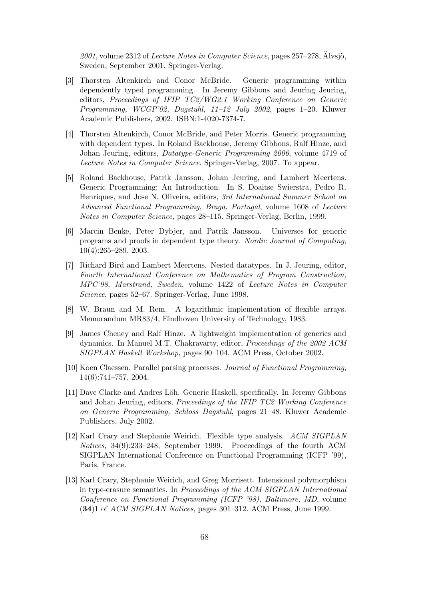$2001$ , volume  $2312$  of *Lecture Notes in Computer Science*, pages  $257-278$ ,  $\ddot{A}$ lvsjö, Sweden, September 2001. Springer-Verlag.

- [3] Thorsten Altenkirch and Conor McBride. Generic programming within dependently typed programming. In Jeremy Gibbons and Jeuring Jeuring, editors, Proceedings of IFIP TC2/WG2.1 Working Conference on Generic Programming, WCGP'02, Dagstuhl, 11–12 July 2002, pages 1–20. Kluwer Academic Publishers, 2002. ISBN:1-4020-7374-7.
- [4] Thorsten Altenkirch, Conor McBride, and Peter Morris. Generic programming with dependent types. In Roland Backhouse, Jeremy Gibbons, Ralf Hinze, and Johan Jeuring, editors, Datatype-Generic Programming 2006, volume 4719 of Lecture Notes in Computer Science. Springer-Verlag, 2007. To appear.
- [5] Roland Backhouse, Patrik Jansson, Johan Jeuring, and Lambert Meertens. Generic Programming: An Introduction. In S. Doaitse Swierstra, Pedro R. Henriques, and Jose N. Oliveira, editors, 3rd International Summer School on Advanced Functional Programming, Braga, Portugal, volume 1608 of Lecture Notes in Computer Science, pages 28–115. Springer-Verlag, Berlin, 1999.
- [6] Marcin Benke, Peter Dybjer, and Patrik Jansson. Universes for generic programs and proofs in dependent type theory. Nordic Journal of Computing, 10(4):265–289, 2003.
- [7] Richard Bird and Lambert Meertens. Nested datatypes. In J. Jeuring, editor, Fourth International Conference on Mathematics of Program Construction, MPC'98, Marstrand, Sweden, volume 1422 of Lecture Notes in Computer Science, pages 52–67. Springer-Verlag, June 1998.
- [8] W. Braun and M. Rem. A logarithmic implementation of flexible arrays. Memorandum MR83/4, Eindhoven University of Technology, 1983.
- [9] James Cheney and Ralf Hinze. A lightweight implementation of generics and dynamics. In Manuel M.T. Chakravarty, editor, Proceedings of the 2002 ACM SIGPLAN Haskell Workshop, pages 90–104. ACM Press, October 2002.
- [10] Koen Claessen. Parallel parsing processes. Journal of Functional Programming, 14(6):741–757, 2004.
- [11] Dave Clarke and Andres Löh. Generic Haskell, specifically. In Jeremy Gibbons and Johan Jeuring, editors, Proceedings of the IFIP TC2 Working Conference on Generic Programming, Schloss Dagstuhl, pages 21–48. Kluwer Academic Publishers, July 2002.
- [12] Karl Crary and Stephanie Weirich. Flexible type analysis. ACM SIGPLAN Notices, 34(9):233–248, September 1999. Proceedings of the fourth ACM SIGPLAN International Conference on Functional Programming (ICFP '99), Paris, France.
- [13] Karl Crary, Stephanie Weirich, and Greg Morrisett. Intensional polymorphism in type-erasure semantics. In Proceedings of the ACM SIGPLAN International Conference on Functional Programming (ICFP '98), Baltimore, MD, volume (34)1 of ACM SIGPLAN Notices, pages 301–312. ACM Press, June 1999.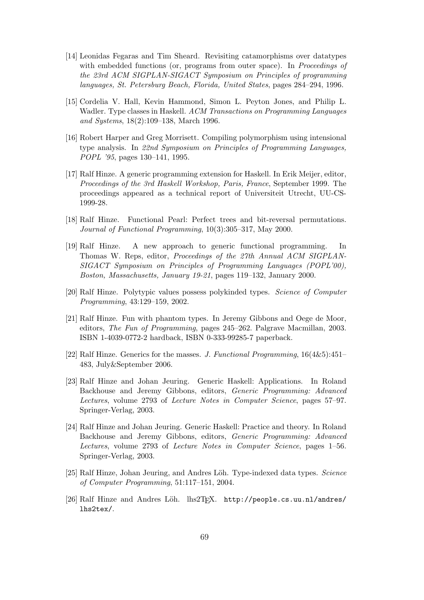- [14] Leonidas Fegaras and Tim Sheard. Revisiting catamorphisms over datatypes with embedded functions (or, programs from outer space). In *Proceedings of* the 23rd ACM SIGPLAN-SIGACT Symposium on Principles of programming languages, St. Petersburg Beach, Florida, United States, pages 284–294, 1996.
- [15] Cordelia V. Hall, Kevin Hammond, Simon L. Peyton Jones, and Philip L. Wadler. Type classes in Haskell. ACM Transactions on Programming Languages and Systems, 18(2):109–138, March 1996.
- [16] Robert Harper and Greg Morrisett. Compiling polymorphism using intensional type analysis. In 22nd Symposium on Principles of Programming Languages, POPL '95, pages 130–141, 1995.
- [17] Ralf Hinze. A generic programming extension for Haskell. In Erik Meijer, editor, Proceedings of the 3rd Haskell Workshop, Paris, France, September 1999. The proceedings appeared as a technical report of Universiteit Utrecht, UU-CS-1999-28.
- [18] Ralf Hinze. Functional Pearl: Perfect trees and bit-reversal permutations. Journal of Functional Programming, 10(3):305–317, May 2000.
- [19] Ralf Hinze. A new approach to generic functional programming. In Thomas W. Reps, editor, Proceedings of the 27th Annual ACM SIGPLAN-SIGACT Symposium on Principles of Programming Languages (POPL'00), Boston, Massachusetts, January 19-21, pages 119–132, January 2000.
- [20] Ralf Hinze. Polytypic values possess polykinded types. Science of Computer Programming, 43:129–159, 2002.
- [21] Ralf Hinze. Fun with phantom types. In Jeremy Gibbons and Oege de Moor, editors, The Fun of Programming, pages 245–262. Palgrave Macmillan, 2003. ISBN 1-4039-0772-2 hardback, ISBN 0-333-99285-7 paperback.
- [22] Ralf Hinze. Generics for the masses. J. Functional Programming, 16(4&5):451– 483, July&September 2006.
- [23] Ralf Hinze and Johan Jeuring. Generic Haskell: Applications. In Roland Backhouse and Jeremy Gibbons, editors, Generic Programming: Advanced Lectures, volume 2793 of Lecture Notes in Computer Science, pages 57–97. Springer-Verlag, 2003.
- [24] Ralf Hinze and Johan Jeuring. Generic Haskell: Practice and theory. In Roland Backhouse and Jeremy Gibbons, editors, Generic Programming: Advanced Lectures, volume 2793 of Lecture Notes in Computer Science, pages 1–56. Springer-Verlag, 2003.
- [25] Ralf Hinze, Johan Jeuring, and Andres Löh. Type-indexed data types. Science of Computer Programming, 51:117–151, 2004.
- [26] Ralf Hinze and Andres Löh. lhs2TFX. http://people.cs.uu.nl/andres/ lhs2tex/.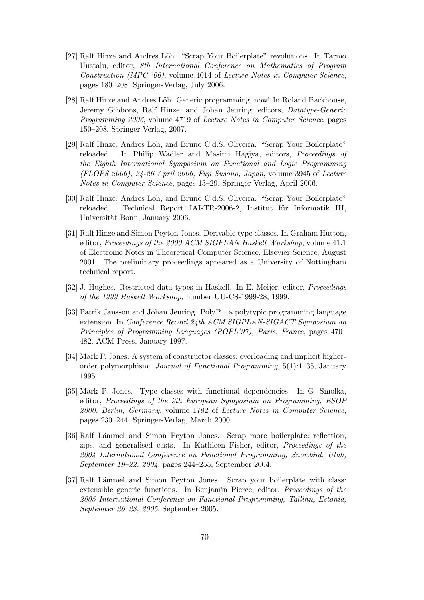- [27] Ralf Hinze and Andres Löh. "Scrap Your Boilerplate" revolutions. In Tarmo Uustalu, editor, 8th International Conference on Mathematics of Program Construction (MPC '06), volume 4014 of Lecture Notes in Computer Science, pages 180–208. Springer-Verlag, July 2006.
- [28] Ralf Hinze and Andres Löh. Generic programming, now! In Roland Backhouse, Jeremy Gibbons, Ralf Hinze, and Johan Jeuring, editors, Datatype-Generic Programming 2006, volume 4719 of Lecture Notes in Computer Science, pages 150–208. Springer-Verlag, 2007.
- [29] Ralf Hinze, Andres Löh, and Bruno C.d.S. Oliveira. "Scrap Your Boilerplate" reloaded. In Philip Wadler and Masimi Hagiya, editors, Proceedings of the Eighth International Symposium on Functional and Logic Programming (FLOPS 2006), 24-26 April 2006, Fuji Susono, Japan, volume 3945 of Lecture Notes in Computer Science, pages 13–29. Springer-Verlag, April 2006.
- [30] Ralf Hinze, Andres Löh, and Bruno C.d.S. Oliveira. "Scrap Your Boilerplate" reloaded. Technical Report IAI-TR-2006-2, Institut für Informatik III, Universität Bonn, January 2006.
- [31] Ralf Hinze and Simon Peyton Jones. Derivable type classes. In Graham Hutton, editor, Proceedings of the 2000 ACM SIGPLAN Haskell Workshop, volume 41.1 of Electronic Notes in Theoretical Computer Science. Elsevier Science, August 2001. The preliminary proceedings appeared as a University of Nottingham technical report.
- [32] J. Hughes. Restricted data types in Haskell. In E. Meijer, editor, Proceedings of the 1999 Haskell Workshop, number UU-CS-1999-28, 1999.
- [33] Patrik Jansson and Johan Jeuring. PolyP—a polytypic programming language extension. In Conference Record 24th ACM SIGPLAN-SIGACT Symposium on Principles of Programming Languages (POPL'97), Paris, France, pages 470– 482. ACM Press, January 1997.
- [34] Mark P. Jones. A system of constructor classes: overloading and implicit higherorder polymorphism. Journal of Functional Programming, 5(1):1–35, January 1995.
- [35] Mark P. Jones. Type classes with functional dependencies. In G. Smolka, editor, Proceedings of the 9th European Symposium on Programming, ESOP 2000, Berlin, Germany, volume 1782 of Lecture Notes in Computer Science, pages 230–244. Springer-Verlag, March 2000.
- [36] Ralf Lämmel and Simon Peyton Jones. Scrap more boilerplate: reflection, zips, and generalised casts. In Kathleen Fisher, editor, Proceedings of the 2004 International Conference on Functional Programming, Snowbird, Utah, September 19–22, 2004, pages 244–255, September 2004.
- [37] Ralf Lämmel and Simon Peyton Jones. Scrap your boilerplate with class: extensible generic functions. In Benjamin Pierce, editor, Proceedings of the 2005 International Conference on Functional Programming, Tallinn, Estonia, September 26–28, 2005, September 2005.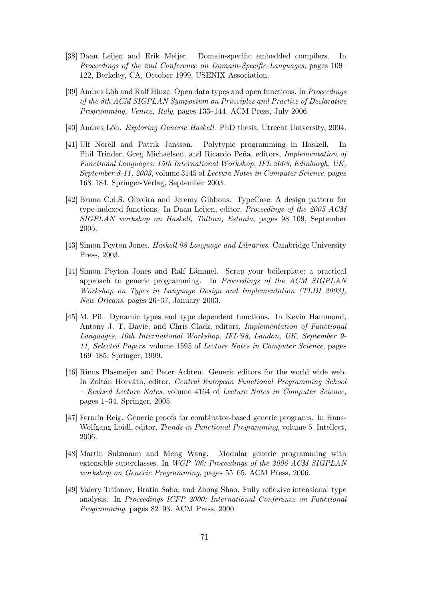- [38] Daan Leijen and Erik Meijer. Domain-specific embedded compilers. In Proceedings of the 2nd Conference on Domain-Specific Languages, pages 109– 122, Berkeley, CA, October 1999. USENIX Association.
- [39] Andres Löh and Ralf Hinze. Open data types and open functions. In *Proceedings* of the 8th ACM SIGPLAN Symposium on Principles and Practice of Declarative Programming, Venice, Italy, pages 133–144. ACM Press, July 2006.
- [40] Andres Löh. Exploring Generic Haskell. PhD thesis, Utrecht University, 2004.
- [41] Ulf Norell and Patrik Jansson. Polytypic programming in Haskell. In Phil Trinder, Greg Michaelson, and Ricardo Peña, editors, Implementation of Functional Languages: 15th International Workshop, IFL 2003, Edinburgh, UK, September 8-11, 2003, volume 3145 of Lecture Notes in Computer Science, pages 168–184. Springer-Verlag, September 2003.
- [42] Bruno C.d.S. Oliveira and Jeremy Gibbons. TypeCase: A design pattern for type-indexed functions. In Daan Leijen, editor, Proceedings of the 2005 ACM SIGPLAN workshop on Haskell, Tallinn, Estonia, pages 98–109, September 2005.
- [43] Simon Peyton Jones. Haskell 98 Language and Libraries. Cambridge University Press, 2003.
- [44] Simon Peyton Jones and Ralf Lämmel. Scrap your boilerplate: a practical approach to generic programming. In Proceedings of the ACM SIGPLAN Workshop on Types in Language Design and Implementation (TLDI 2003), New Orleans, pages 26–37, January 2003.
- [45] M. Pil. Dynamic types and type dependent functions. In Kevin Hammond, Antony J. T. Davie, and Chris Clack, editors, Implementation of Functional Languages, 10th International Workshop, IFL'98, London, UK, September 9- 11, Selected Papers, volume 1595 of Lecture Notes in Computer Science, pages 169–185. Springer, 1999.
- [46] Rinus Plasmeijer and Peter Achten. Generic editors for the world wide web. In Zoltán Horváth, editor, *Central European Functional Programming School* – Revised Lecture Notes, volume 4164 of Lecture Notes in Computer Science, pages 1–34. Springer, 2005.
- [47] Fermín Reig. Generic proofs for combinator-based generic programs. In Hans-Wolfgang Loidl, editor, Trends in Functional Programming, volume 5. Intellect, 2006.
- [48] Martin Sulzmann and Meng Wang. Modular generic programming with extensible superclasses. In WGP '06: Proceedings of the 2006 ACM SIGPLAN workshop on Generic Programming, pages 55–65. ACM Press, 2006.
- [49] Valery Trifonov, Bratin Saha, and Zhong Shao. Fully reflexive intensional type analysis. In Proceedings ICFP 2000: International Conference on Functional Programming, pages 82–93. ACM Press, 2000.